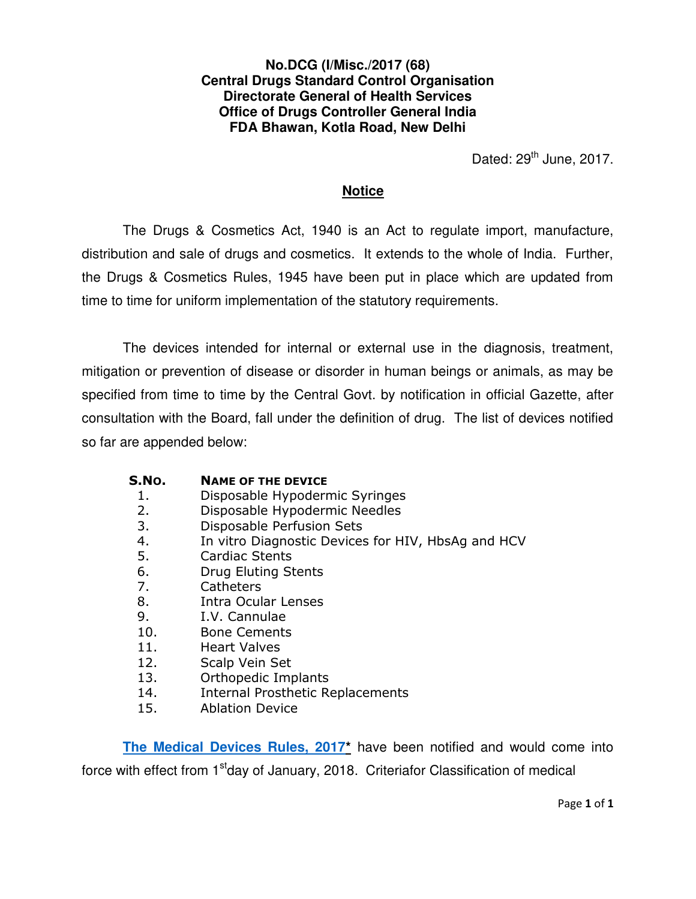### **No.DCG (I/Misc./2017 (68) Central Drugs Standard Control Organisation Directorate General of Health Services Office of Drugs Controller General India FDA Bhawan, Kotla Road, New Delhi**

Dated: 29<sup>th</sup> June, 2017.

### **Notice**

 The Drugs & Cosmetics Act, 1940 is an Act to regulate import, manufacture, distribution and sale of drugs and cosmetics. It extends to the whole of India. Further, the Drugs & Cosmetics Rules, 1945 have been put in place which are updated from time to time for uniform implementation of the statutory requirements.

 The devices intended for internal or external use in the diagnosis, treatment, mitigation or prevention of disease or disorder in human beings or animals, as may be specified from time to time by the Central Govt. by notification in official Gazette, after consultation with the Board, fall under the definition of drug. The list of devices notified so far are appended below:

|  | S.No. |  |  |  |  | <b>NAME OF THE DEVICE</b> |
|--|-------|--|--|--|--|---------------------------|
|--|-------|--|--|--|--|---------------------------|

- 1. Disposable Hypodermic Syringes
- 2. Disposable Hypodermic Needles
- 3. Disposable Perfusion Sets
- 4. In vitro Diagnostic Devices for HIV, HbsAg and HCV
- 5. Cardiac Stents
- 6. Drug Eluting Stents
- 7. Catheters
- 8. Intra Ocular Lenses
- 9. I.V. Cannulae
- 10. Bone Cements
- 11. Heart Valves
- 12. Scalp Vein Set
- 13. Orthopedic Implants
- 14. Internal Prosthetic Replacements
- 15. Ablation Device

**[The Medical Devices Rules, 2017\\*](http://www.cdsco.nic.in/writereaddata/Medical%20Device%20Rule%20gsr78E.pdf)** have been notified and would come into force with effect from 1<sup>st</sup>day of January, 2018. Criteriafor Classification of medical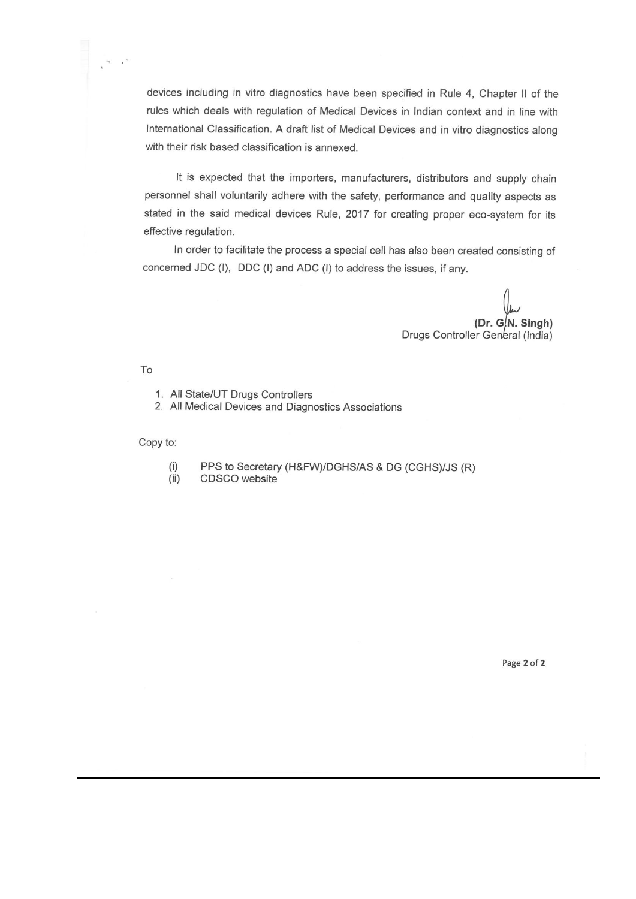devices including in vitro diagnostics have been specified in Rule 4, Chapter II of the rules which deals with regulation of Medical Devices in Indian context and in line with International Classification. A draft list of Medical Devices and in vitro diagnostics along with their risk based classification is annexed.

It is expected that the importers, manufacturers, distributors and supply chain personnel shall voluntarily adhere with the safety, performance and quality aspects as stated in the said medical devices Rule, 2017 for creating proper eco-system for its effective regulation.

In order to facilitate the process a special cell has also been created consisting of concerned JDC (I), DDC (I) and ADC (I) to address the issues, if any.

 $(Dr. G/N.$  Singh) Drugs Controller General (India)

To

1. All State/UT Drugs Controllers

2. All Medical Devices and Diagnostics Associations

Copy to:

- PPS to Secretary (H&FW)/DGHS/AS & DG (CGHS)/JS (R)  $(i)$
- CDSCO website  $(ii)$

Page 2 of 2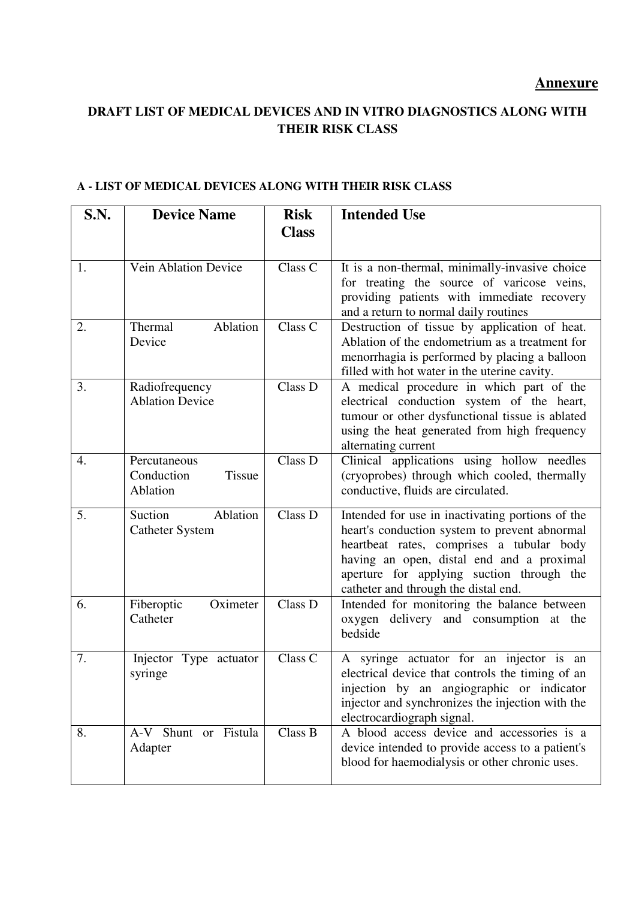# **DRAFT LIST OF MEDICAL DEVICES AND IN VITRO DIAGNOSTICS ALONG WITH THEIR RISK CLASS**

| S.N. | <b>Device Name</b>                                      | <b>Risk</b><br><b>Class</b> | <b>Intended Use</b>                                                                                                                                                                                                                                                              |
|------|---------------------------------------------------------|-----------------------------|----------------------------------------------------------------------------------------------------------------------------------------------------------------------------------------------------------------------------------------------------------------------------------|
| 1.   | Vein Ablation Device                                    | Class C                     | It is a non-thermal, minimally-invasive choice<br>for treating the source of varicose veins,<br>providing patients with immediate recovery<br>and a return to normal daily routines                                                                                              |
| 2.   | Ablation<br>Thermal<br>Device                           | Class C                     | Destruction of tissue by application of heat.<br>Ablation of the endometrium as a treatment for<br>menorrhagia is performed by placing a balloon<br>filled with hot water in the uterine cavity.                                                                                 |
| 3.   | Radiofrequency<br><b>Ablation Device</b>                | Class D                     | A medical procedure in which part of the<br>electrical conduction system of the heart,<br>tumour or other dysfunctional tissue is ablated<br>using the heat generated from high frequency<br>alternating current                                                                 |
| 4.   | Percutaneous<br><b>Tissue</b><br>Conduction<br>Ablation | Class D                     | Clinical applications using hollow needles<br>(cryoprobes) through which cooled, thermally<br>conductive, fluids are circulated.                                                                                                                                                 |
| 5.   | Ablation<br>Suction<br><b>Catheter System</b>           | Class D                     | Intended for use in inactivating portions of the<br>heart's conduction system to prevent abnormal<br>heartbeat rates, comprises a tubular body<br>having an open, distal end and a proximal<br>aperture for applying suction through the<br>catheter and through the distal end. |
| 6.   | Fiberoptic<br>Oximeter<br>Catheter                      | Class D                     | Intended for monitoring the balance between<br>oxygen delivery and consumption at the<br>bedside                                                                                                                                                                                 |
| 7.   | Injector Type actuator<br>syringe                       | Class C                     | A syringe actuator for an injector is an<br>electrical device that controls the timing of an<br>injection by an angiographic or indicator<br>injector and synchronizes the injection with the<br>electrocardiograph signal.                                                      |
| 8.   | A-V Shunt or Fistula<br>Adapter                         | Class B                     | A blood access device and accessories is a<br>device intended to provide access to a patient's<br>blood for haemodialysis or other chronic uses.                                                                                                                                 |

#### **A - LIST OF MEDICAL DEVICES ALONG WITH THEIR RISK CLASS**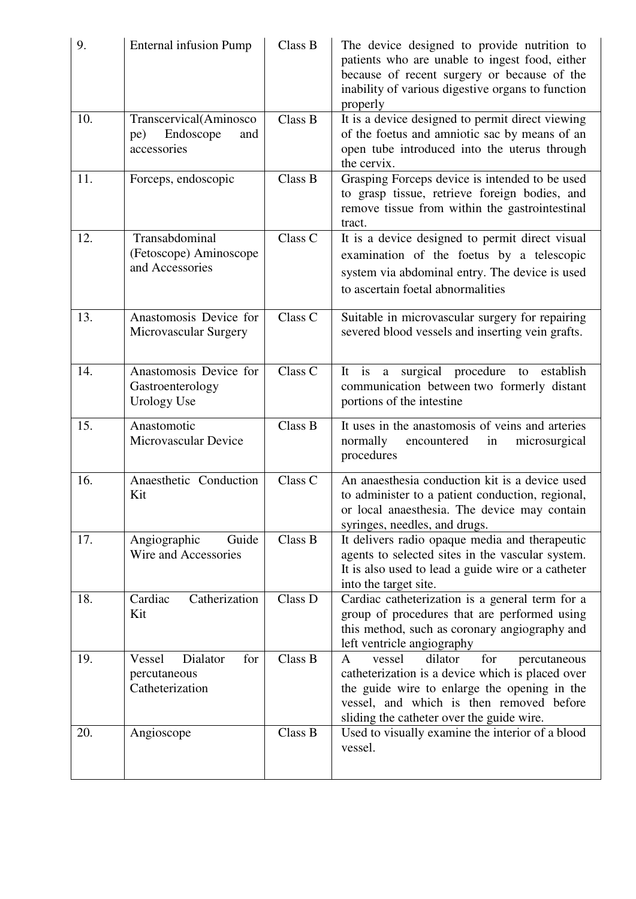| 9.  | <b>Enternal infusion Pump</b>                                    | Class B            | The device designed to provide nutrition to<br>patients who are unable to ingest food, either<br>because of recent surgery or because of the<br>inability of various digestive organs to function<br>properly                              |
|-----|------------------------------------------------------------------|--------------------|--------------------------------------------------------------------------------------------------------------------------------------------------------------------------------------------------------------------------------------------|
| 10. | Transcervical(Aminosco<br>Endoscope<br>and<br>pe)<br>accessories | Class B            | It is a device designed to permit direct viewing<br>of the foetus and amniotic sac by means of an<br>open tube introduced into the uterus through<br>the cervix.                                                                           |
| 11. | Forceps, endoscopic                                              | Class B            | Grasping Forceps device is intended to be used<br>to grasp tissue, retrieve foreign bodies, and<br>remove tissue from within the gastrointestinal<br>tract.                                                                                |
| 12. | Transabdominal<br>(Fetoscope) Aminoscope<br>and Accessories      | Class C            | It is a device designed to permit direct visual<br>examination of the foetus by a telescopic<br>system via abdominal entry. The device is used<br>to ascertain foetal abnormalities                                                        |
| 13. | Anastomosis Device for<br>Microvascular Surgery                  | Class <sub>C</sub> | Suitable in microvascular surgery for repairing<br>severed blood vessels and inserting vein grafts.                                                                                                                                        |
| 14. | Anastomosis Device for<br>Gastroenterology<br><b>Urology Use</b> | Class C            | is a surgical procedure to establish<br>It<br>communication between two formerly distant<br>portions of the intestine                                                                                                                      |
| 15. | Anastomotic<br>Microvascular Device                              | Class B            | It uses in the anastomosis of veins and arteries<br>normally<br>encountered<br>microsurgical<br>in<br>procedures                                                                                                                           |
| 16. | Anaesthetic Conduction<br>Kit                                    | Class C            | An anaesthesia conduction kit is a device used<br>to administer to a patient conduction, regional,<br>or local anaesthesia. The device may contain<br>syringes, needles, and drugs.                                                        |
| 17. | Angiographic<br>Guide<br>Wire and Accessories                    | Class B            | It delivers radio opaque media and therapeutic<br>agents to selected sites in the vascular system.<br>It is also used to lead a guide wire or a catheter<br>into the target site.                                                          |
| 18. | Catherization<br>Cardiac<br>Kit                                  | Class D            | Cardiac catheterization is a general term for a<br>group of procedures that are performed using<br>this method, such as coronary angiography and<br>left ventricle angiography                                                             |
| 19. | Dialator<br>Vessel<br>for<br>percutaneous<br>Catheterization     | Class B            | vessel<br>dilator<br>for<br>percutaneous<br>A<br>catheterization is a device which is placed over<br>the guide wire to enlarge the opening in the<br>vessel, and which is then removed before<br>sliding the catheter over the guide wire. |
| 20. | Angioscope                                                       | Class B            | Used to visually examine the interior of a blood<br>vessel.                                                                                                                                                                                |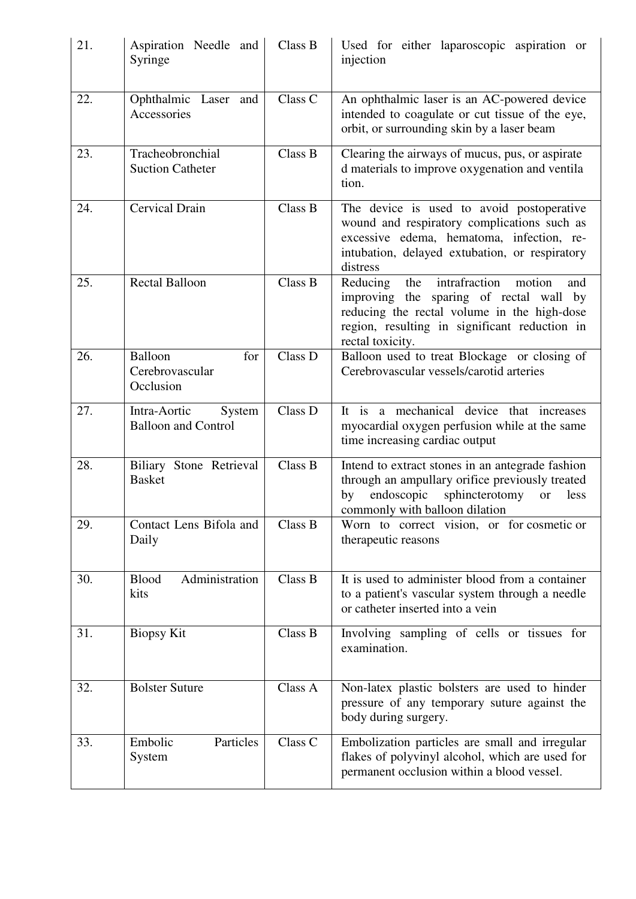| 21. | Aspiration Needle and<br>Syringe                     | Class B | Used for either laparoscopic aspiration or<br>injection                                                                                                                                                          |
|-----|------------------------------------------------------|---------|------------------------------------------------------------------------------------------------------------------------------------------------------------------------------------------------------------------|
| 22. | Ophthalmic Laser and<br>Accessories                  | Class C | An ophthalmic laser is an AC-powered device<br>intended to coagulate or cut tissue of the eye,<br>orbit, or surrounding skin by a laser beam                                                                     |
| 23. | Tracheobronchial<br><b>Suction Catheter</b>          | Class B | Clearing the airways of mucus, pus, or aspirate<br>d materials to improve oxygenation and ventila<br>tion.                                                                                                       |
| 24. | Cervical Drain                                       | Class B | The device is used to avoid postoperative<br>wound and respiratory complications such as<br>excessive edema, hematoma, infection, re-<br>intubation, delayed extubation, or respiratory<br>distress              |
| 25. | <b>Rectal Balloon</b>                                | Class B | intrafraction<br>Reducing<br>motion<br>the<br>and<br>improving the sparing of rectal wall by<br>reducing the rectal volume in the high-dose<br>region, resulting in significant reduction in<br>rectal toxicity. |
| 26. | Balloon<br>for<br>Cerebrovascular<br>Occlusion       | Class D | Balloon used to treat Blockage or closing of<br>Cerebrovascular vessels/carotid arteries                                                                                                                         |
| 27. | Intra-Aortic<br>System<br><b>Balloon and Control</b> | Class D | It is a mechanical device that increases<br>myocardial oxygen perfusion while at the same<br>time increasing cardiac output                                                                                      |
| 28. | Biliary Stone Retrieval<br><b>Basket</b>             | Class B | Intend to extract stones in an antegrade fashion<br>through an ampullary orifice previously treated<br>endoscopic<br>sphincterotomy<br>by<br>less<br>or<br>commonly with balloon dilation                        |
| 29. | Contact Lens Bifola and<br>Daily                     | Class B | Worn to correct vision, or for cosmetic or<br>therapeutic reasons                                                                                                                                                |
| 30. | Administration<br><b>Blood</b><br>kits               | Class B | It is used to administer blood from a container<br>to a patient's vascular system through a needle<br>or catheter inserted into a vein                                                                           |
| 31. | <b>Biopsy Kit</b>                                    | Class B | Involving sampling of cells or tissues for<br>examination.                                                                                                                                                       |
| 32. | <b>Bolster Suture</b>                                | Class A | Non-latex plastic bolsters are used to hinder<br>pressure of any temporary suture against the<br>body during surgery.                                                                                            |
| 33. | Embolic<br>Particles<br>System                       | Class C | Embolization particles are small and irregular<br>flakes of polyvinyl alcohol, which are used for<br>permanent occlusion within a blood vessel.                                                                  |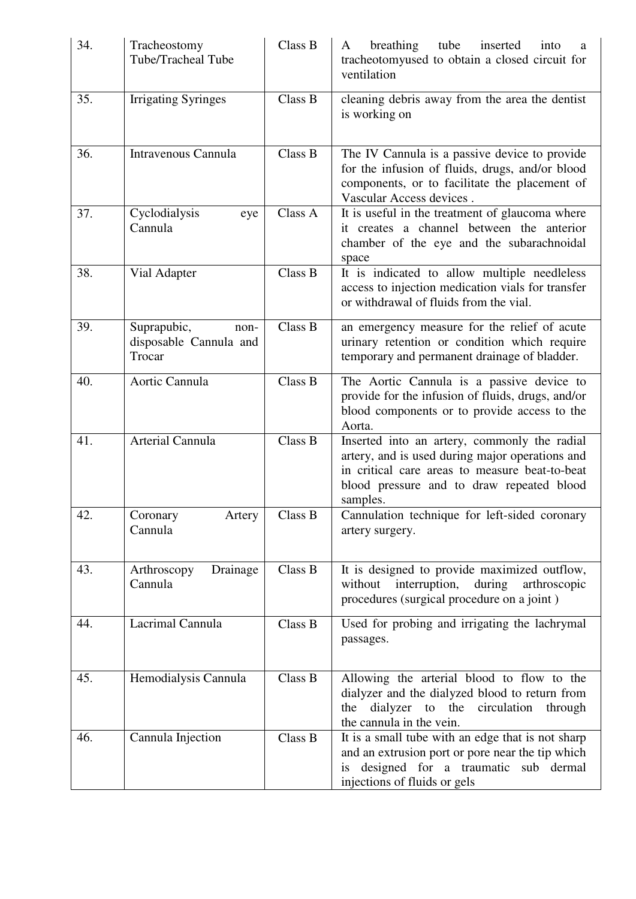| 34. | Tracheostomy<br><b>Tube/Tracheal Tube</b>               | Class B | breathing<br>tube<br>inserted<br>A<br>into<br>a<br>tracheotomyused to obtain a closed circuit for<br>ventilation                                                                                           |
|-----|---------------------------------------------------------|---------|------------------------------------------------------------------------------------------------------------------------------------------------------------------------------------------------------------|
| 35. | <b>Irrigating Syringes</b>                              | Class B | cleaning debris away from the area the dentist<br>is working on                                                                                                                                            |
| 36. | Intravenous Cannula                                     | Class B | The IV Cannula is a passive device to provide<br>for the infusion of fluids, drugs, and/or blood<br>components, or to facilitate the placement of<br>Vascular Access devices.                              |
| 37. | Cyclodialysis<br>eye<br>Cannula                         | Class A | It is useful in the treatment of glaucoma where<br>it creates a channel between the anterior<br>chamber of the eye and the subarach noidal<br>space                                                        |
| 38. | Vial Adapter                                            | Class B | It is indicated to allow multiple needleless<br>access to injection medication vials for transfer<br>or withdrawal of fluids from the vial.                                                                |
| 39. | Suprapubic,<br>non-<br>disposable Cannula and<br>Trocar | Class B | an emergency measure for the relief of acute<br>urinary retention or condition which require<br>temporary and permanent drainage of bladder.                                                               |
| 40. | Aortic Cannula                                          | Class B | The Aortic Cannula is a passive device to<br>provide for the infusion of fluids, drugs, and/or<br>blood components or to provide access to the<br>Aorta.                                                   |
| 41. | Arterial Cannula                                        | Class B | Inserted into an artery, commonly the radial<br>artery, and is used during major operations and<br>in critical care areas to measure beat-to-beat<br>blood pressure and to draw repeated blood<br>samples. |
| 42. | Coronary<br>Artery<br>Cannula                           | Class B | Cannulation technique for left-sided coronary<br>artery surgery.                                                                                                                                           |
| 43. | Drainage<br>Arthroscopy<br>Cannula                      | Class B | It is designed to provide maximized outflow,<br>interruption,<br>during<br>without<br>arthroscopic<br>procedures (surgical procedure on a joint)                                                           |
| 44. | Lacrimal Cannula                                        | Class B | Used for probing and irrigating the lachrymal<br>passages.                                                                                                                                                 |
| 45. | Hemodialysis Cannula                                    | Class B | Allowing the arterial blood to flow to the<br>dialyzer and the dialyzed blood to return from<br>dialyzer to the circulation<br>the<br>through<br>the cannula in the vein.                                  |
| 46. | Cannula Injection                                       | Class B | It is a small tube with an edge that is not sharp<br>and an extrusion port or pore near the tip which<br>designed for a traumatic sub dermal<br>1S<br>injections of fluids or gels                         |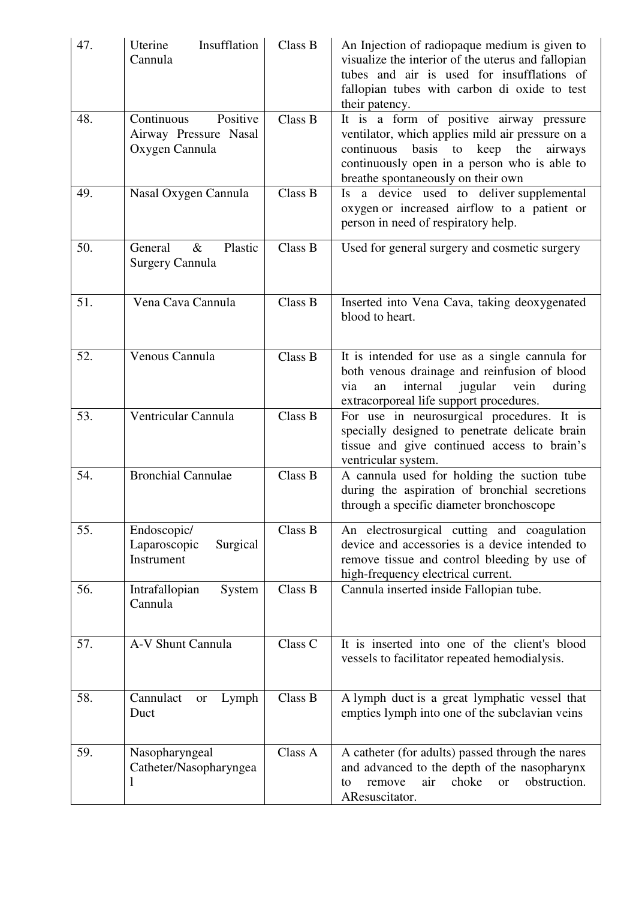| 47. | Insufflation<br>Uterine<br>Cannula                                | Class B                     | An Injection of radiopaque medium is given to<br>visualize the interior of the uterus and fallopian<br>tubes and air is used for insufflations of<br>fallopian tubes with carbon di oxide to test<br>their patency.              |
|-----|-------------------------------------------------------------------|-----------------------------|----------------------------------------------------------------------------------------------------------------------------------------------------------------------------------------------------------------------------------|
| 48. | Continuous<br>Positive<br>Airway Pressure Nasal<br>Oxygen Cannula | $\overline{\text{Class}}$ B | It is a form of positive airway pressure<br>ventilator, which applies mild air pressure on a<br>basis to keep the<br>continuous<br>airways<br>continuously open in a person who is able to<br>breathe spontaneously on their own |
| 49. | Nasal Oxygen Cannula                                              | Class B                     | a device used to deliver supplemental<br>$\mathbf{I}$ s<br>oxygen or increased airflow to a patient or<br>person in need of respiratory help.                                                                                    |
| 50. | Plastic<br>$\&$<br>General<br><b>Surgery Cannula</b>              | Class B                     | Used for general surgery and cosmetic surgery                                                                                                                                                                                    |
| 51. | Vena Cava Cannula                                                 | Class B                     | Inserted into Vena Cava, taking deoxygenated<br>blood to heart.                                                                                                                                                                  |
| 52. | Venous Cannula                                                    | Class B                     | It is intended for use as a single cannula for<br>both venous drainage and reinfusion of blood<br>via<br>internal<br>jugular<br>vein<br>an<br>during<br>extracorporeal life support procedures.                                  |
| 53. | Ventricular Cannula                                               | Class B                     | For use in neurosurgical procedures. It is<br>specially designed to penetrate delicate brain<br>tissue and give continued access to brain's<br>ventricular system.                                                               |
| 54. | <b>Bronchial Cannulae</b>                                         | Class B                     | A cannula used for holding the suction tube<br>during the aspiration of bronchial secretions<br>through a specific diameter bronchoscope                                                                                         |
| 55. | Endoscopic/<br>Laparoscopic<br>Surgical<br>Instrument             | Class B                     | An electrosurgical cutting and coagulation<br>device and accessories is a device intended to<br>remove tissue and control bleeding by use of<br>high-frequency electrical current.                                               |
| 56. | Intrafallopian<br>System<br>Cannula                               | Class B                     | Cannula inserted inside Fallopian tube.                                                                                                                                                                                          |
| 57. | A-V Shunt Cannula                                                 | Class C                     | It is inserted into one of the client's blood<br>vessels to facilitator repeated hemodialysis.                                                                                                                                   |
| 58. | Cannulact<br>Lymph<br><b>or</b><br>Duct                           | Class B                     | A lymph duct is a great lymphatic vessel that<br>empties lymph into one of the subclavian veins                                                                                                                                  |
| 59. | Nasopharyngeal<br>Catheter/Nasopharyngea<br>1                     | Class A                     | A catheter (for adults) passed through the nares<br>and advanced to the depth of the nasopharynx<br>choke<br>obstruction.<br>air<br><b>or</b><br>remove<br>to<br>AResuscitator.                                                  |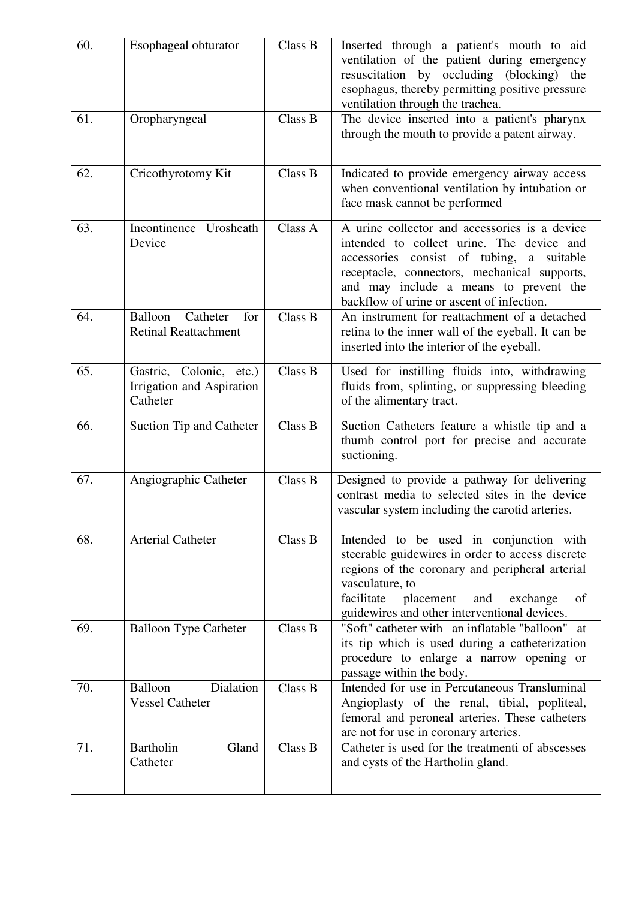| 60. | Esophageal obturator                                             | Class B | Inserted through a patient's mouth to aid<br>ventilation of the patient during emergency<br>resuscitation by occluding (blocking) the<br>esophagus, thereby permitting positive pressure<br>ventilation through the trachea.                                                   |
|-----|------------------------------------------------------------------|---------|--------------------------------------------------------------------------------------------------------------------------------------------------------------------------------------------------------------------------------------------------------------------------------|
| 61. | Oropharyngeal                                                    | Class B | The device inserted into a patient's pharynx<br>through the mouth to provide a patent airway.                                                                                                                                                                                  |
| 62. | Cricothyrotomy Kit                                               | Class B | Indicated to provide emergency airway access<br>when conventional ventilation by intubation or<br>face mask cannot be performed                                                                                                                                                |
| 63. | Incontinence Urosheath<br>Device                                 | Class A | A urine collector and accessories is a device<br>intended to collect urine. The device and<br>accessories consist of tubing, a suitable<br>receptacle, connectors, mechanical supports,<br>and may include a means to prevent the<br>backflow of urine or ascent of infection. |
| 64. | Catheter<br>Balloon<br>for<br><b>Retinal Reattachment</b>        | Class B | An instrument for reattachment of a detached<br>retina to the inner wall of the eyeball. It can be<br>inserted into the interior of the eyeball.                                                                                                                               |
| 65. | Gastric, Colonic, etc.)<br>Irrigation and Aspiration<br>Catheter | Class B | Used for instilling fluids into, withdrawing<br>fluids from, splinting, or suppressing bleeding<br>of the alimentary tract.                                                                                                                                                    |
| 66. | Suction Tip and Catheter                                         | Class B | Suction Catheters feature a whistle tip and a<br>thumb control port for precise and accurate<br>suctioning.                                                                                                                                                                    |
| 67. | Angiographic Catheter                                            | Class B | Designed to provide a pathway for delivering<br>contrast media to selected sites in the device<br>vascular system including the carotid arteries.                                                                                                                              |
| 68. | <b>Arterial Catheter</b>                                         | Class B | Intended to be used in conjunction with<br>steerable guidewires in order to access discrete<br>regions of the coronary and peripheral arterial<br>vasculature, to<br>facilitate<br>placement<br>and<br>exchange<br>of<br>guidewires and other interventional devices.          |
| 69. | <b>Balloon Type Catheter</b>                                     | Class B | "Soft" catheter with an inflatable "balloon" at<br>its tip which is used during a catheterization<br>procedure to enlarge a narrow opening or<br>passage within the body.                                                                                                      |
| 70. | Dialation<br>Balloon<br><b>Vessel Catheter</b>                   | Class B | Intended for use in Percutaneous Transluminal<br>Angioplasty of the renal, tibial, popliteal,<br>femoral and peroneal arteries. These catheters<br>are not for use in coronary arteries.                                                                                       |
| 71. | Bartholin<br>Gland<br>Catheter                                   | Class B | Catheter is used for the treatmenti of abscesses<br>and cysts of the Hartholin gland.                                                                                                                                                                                          |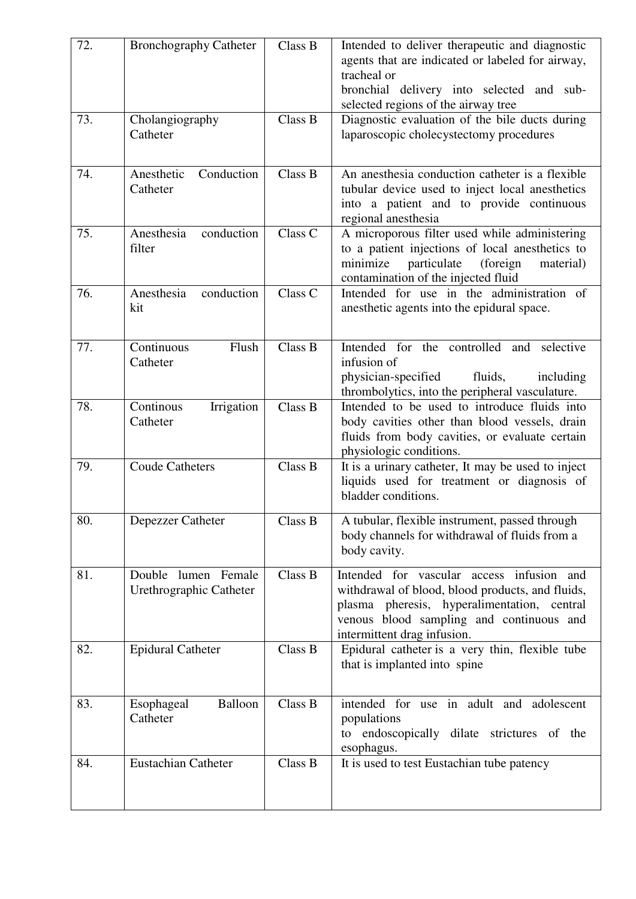| 72. | <b>Bronchography Catheter</b>                     | Class B            | Intended to deliver therapeutic and diagnostic<br>agents that are indicated or labeled for airway,<br>tracheal or<br>bronchial delivery into selected and sub-<br>selected regions of the airway tree                   |
|-----|---------------------------------------------------|--------------------|-------------------------------------------------------------------------------------------------------------------------------------------------------------------------------------------------------------------------|
| 73. | Cholangiography<br>Catheter                       | Class B            | Diagnostic evaluation of the bile ducts during<br>laparoscopic cholecystectomy procedures                                                                                                                               |
| 74. | Anesthetic<br>Conduction<br>Catheter              | Class B            | An anesthesia conduction catheter is a flexible<br>tubular device used to inject local anesthetics<br>into a patient and to provide continuous<br>regional anesthesia                                                   |
| 75. | Anesthesia<br>conduction<br>filter                | Class <sub>C</sub> | A microporous filter used while administering<br>to a patient injections of local anesthetics to<br>particulate<br>(foreign)<br>minimize<br>material)<br>contamination of the injected fluid                            |
| 76. | conduction<br>Anesthesia<br>kit                   | Class <sub>C</sub> | Intended for use in the administration of<br>anesthetic agents into the epidural space.                                                                                                                                 |
| 77. | Continuous<br>Flush<br>Catheter                   | Class B            | Intended for the controlled and selective<br>infusion of<br>physician-specified<br>fluids,<br>including<br>thrombolytics, into the peripheral vasculature.                                                              |
| 78. | Continous<br>Irrigation<br>Catheter               | Class B            | Intended to be used to introduce fluids into<br>body cavities other than blood vessels, drain<br>fluids from body cavities, or evaluate certain<br>physiologic conditions.                                              |
| 79. | <b>Coude Catheters</b>                            | Class B            | It is a urinary catheter, It may be used to inject<br>liquids used for treatment or diagnosis of<br>bladder conditions.                                                                                                 |
| 80. | Depezzer Catheter                                 | Class B            | A tubular, flexible instrument, passed through<br>body channels for withdrawal of fluids from a<br>body cavity.                                                                                                         |
| 81. | Double<br>lumen Female<br>Urethrographic Catheter | Class B            | Intended for vascular access infusion and<br>withdrawal of blood, blood products, and fluids,<br>plasma pheresis, hyperalimentation, central<br>venous blood sampling and continuous and<br>intermittent drag infusion. |
| 82. | <b>Epidural Catheter</b>                          | Class B            | Epidural catheter is a very thin, flexible tube<br>that is implanted into spine                                                                                                                                         |
| 83. | Balloon<br>Esophageal<br>Catheter                 | Class B            | intended for use in adult and adolescent<br>populations<br>to endoscopically dilate strictures of the<br>esophagus.                                                                                                     |
| 84. | <b>Eustachian Catheter</b>                        | Class B            | It is used to test Eustachian tube patency                                                                                                                                                                              |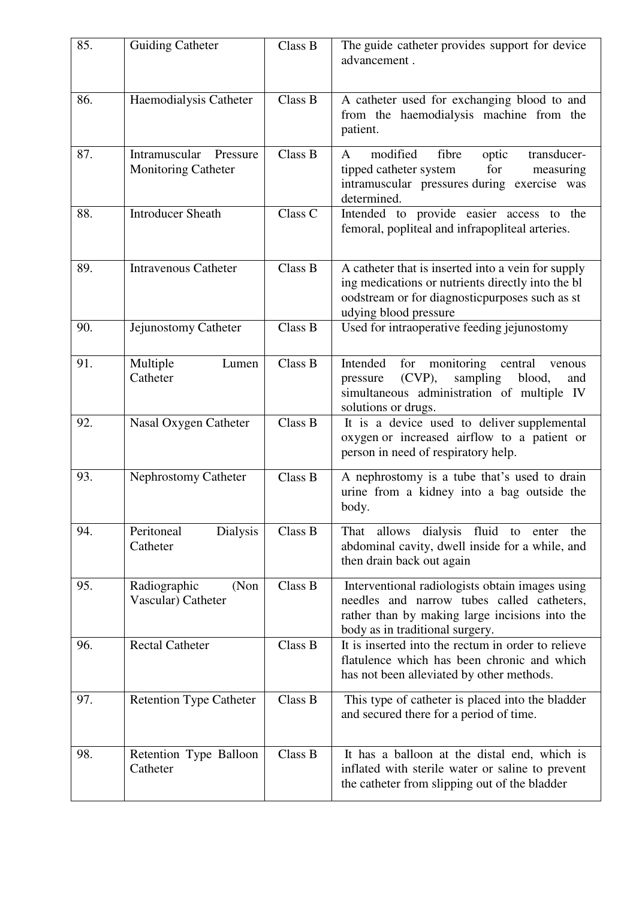| 85. | <b>Guiding Catheter</b>                                 | Class B | The guide catheter provides support for device<br>advancement.                                                                                                                     |
|-----|---------------------------------------------------------|---------|------------------------------------------------------------------------------------------------------------------------------------------------------------------------------------|
| 86. | Haemodialysis Catheter                                  | Class B | A catheter used for exchanging blood to and<br>from the haemodialysis machine from the<br>patient.                                                                                 |
| 87. | Intramuscular<br>Pressure<br><b>Monitoring Catheter</b> | Class B | modified<br>fibre<br>optic<br>transducer-<br>A<br>tipped catheter system<br>for<br>measuring<br>intramuscular pressures during exercise was<br>determined.                         |
| 88. | <b>Introducer Sheath</b>                                | Class C | Intended to provide easier access to the<br>femoral, popliteal and infrapopliteal arteries.                                                                                        |
| 89. | <b>Intravenous Catheter</b>                             | Class B | A catheter that is inserted into a vein for supply<br>ing medications or nutrients directly into the bl<br>oodstream or for diagnosticpurposes such as st<br>udying blood pressure |
| 90. | Jejunostomy Catheter                                    | Class B | Used for intraoperative feeding jejunostomy                                                                                                                                        |
| 91. | Multiple<br>Lumen<br>Catheter                           | Class B | monitoring<br>Intended<br>for<br>central<br>venous<br>$(CVP)$ ,<br>sampling<br>blood,<br>pressure<br>and<br>simultaneous administration of multiple IV<br>solutions or drugs.      |
| 92. | Nasal Oxygen Catheter                                   | Class B | It is a device used to deliver supplemental<br>oxygen or increased airflow to a patient or<br>person in need of respiratory help.                                                  |
| 93. | <b>Nephrostomy Catheter</b>                             | Class B | A nephrostomy is a tube that's used to drain<br>urine from a kidney into a bag outside the<br>body.                                                                                |
| 94. | Peritoneal<br>Dialysis<br>Catheter                      | Class B | dialysis<br>fluid<br>allows<br>That<br>to<br>enter<br>the<br>abdominal cavity, dwell inside for a while, and<br>then drain back out again                                          |
| 95. | Radiographic<br>(Non<br>Vascular) Catheter              | Class B | Interventional radiologists obtain images using<br>needles and narrow tubes called catheters,<br>rather than by making large incisions into the<br>body as in traditional surgery. |
| 96. | <b>Rectal Catheter</b>                                  | Class B | It is inserted into the rectum in order to relieve<br>flatulence which has been chronic and which<br>has not been alleviated by other methods.                                     |
| 97. | <b>Retention Type Catheter</b>                          | Class B | This type of catheter is placed into the bladder<br>and secured there for a period of time.                                                                                        |
| 98. | Retention Type Balloon<br>Catheter                      | Class B | It has a balloon at the distal end, which is<br>inflated with sterile water or saline to prevent<br>the catheter from slipping out of the bladder                                  |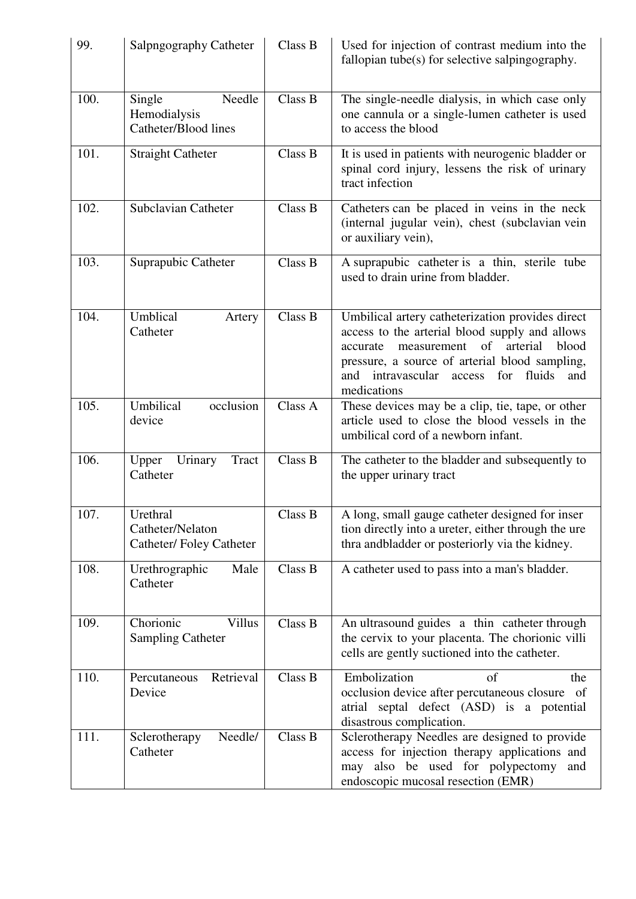| 99.  | Salpngography Catheter                                   | Class B | Used for injection of contrast medium into the<br>fallopian tube(s) for selective salping ography.                                                                                                                                                                                                                                                                         |
|------|----------------------------------------------------------|---------|----------------------------------------------------------------------------------------------------------------------------------------------------------------------------------------------------------------------------------------------------------------------------------------------------------------------------------------------------------------------------|
| 100. | Needle<br>Single<br>Hemodialysis<br>Catheter/Blood lines | Class B | The single-needle dialysis, in which case only<br>one cannula or a single-lumen catheter is used<br>to access the blood                                                                                                                                                                                                                                                    |
| 101. | <b>Straight Catheter</b>                                 | Class B | It is used in patients with neurogenic bladder or<br>spinal cord injury, lessens the risk of urinary<br>tract infection                                                                                                                                                                                                                                                    |
| 102. | <b>Subclavian Catheter</b>                               | Class B | Catheters can be placed in veins in the neck<br>(internal jugular vein), chest (subclavian vein<br>or auxiliary vein),                                                                                                                                                                                                                                                     |
| 103. | Suprapubic Catheter                                      | Class B | A suprapubic catheter is a thin, sterile tube<br>used to drain urine from bladder.                                                                                                                                                                                                                                                                                         |
| 104. | Umblical<br>Artery<br>Catheter                           | Class B | Umbilical artery catheterization provides direct<br>access to the arterial blood supply and allows<br>$% \left( \left( \mathcal{A},\mathcal{A}\right) \right) =\left( \mathcal{A},\mathcal{A}\right)$ of<br>measurement<br>arterial<br>blood<br>accurate<br>pressure, a source of arterial blood sampling,<br>intravascular access for fluids<br>and<br>and<br>medications |
| 105. | Umbilical<br>occlusion<br>device                         | Class A | These devices may be a clip, tie, tape, or other<br>article used to close the blood vessels in the<br>umbilical cord of a newborn infant.                                                                                                                                                                                                                                  |
| 106. | Urinary<br>Tract<br>Upper<br>Catheter                    | Class B | The catheter to the bladder and subsequently to<br>the upper urinary tract                                                                                                                                                                                                                                                                                                 |
| 107. | Urethral<br>Catheter/Nelaton<br>Catheter/Foley Catheter  | Class B | A long, small gauge catheter designed for inser<br>tion directly into a ureter, either through the ure<br>thra and bladder or posteriorly via the kidney.                                                                                                                                                                                                                  |
| 108. | Male<br>Urethrographic<br>Catheter                       | Class B | A catheter used to pass into a man's bladder.                                                                                                                                                                                                                                                                                                                              |
| 109. | Chorionic<br>Villus<br><b>Sampling Catheter</b>          | Class B | An ultrasound guides a thin catheter through<br>the cervix to your placenta. The chorionic villi<br>cells are gently suctioned into the catheter.                                                                                                                                                                                                                          |
| 110. | Retrieval<br>Percutaneous<br>Device                      | Class B | Embolization<br>of<br>the<br>occlusion device after percutaneous closure of<br>atrial septal defect (ASD) is a potential<br>disastrous complication.                                                                                                                                                                                                                       |
| 111. | Needle/<br>Sclerotherapy<br>Catheter                     | Class B | Sclerotherapy Needles are designed to provide<br>access for injection therapy applications and<br>may also be used for polypectomy<br>and<br>endoscopic mucosal resection (EMR)                                                                                                                                                                                            |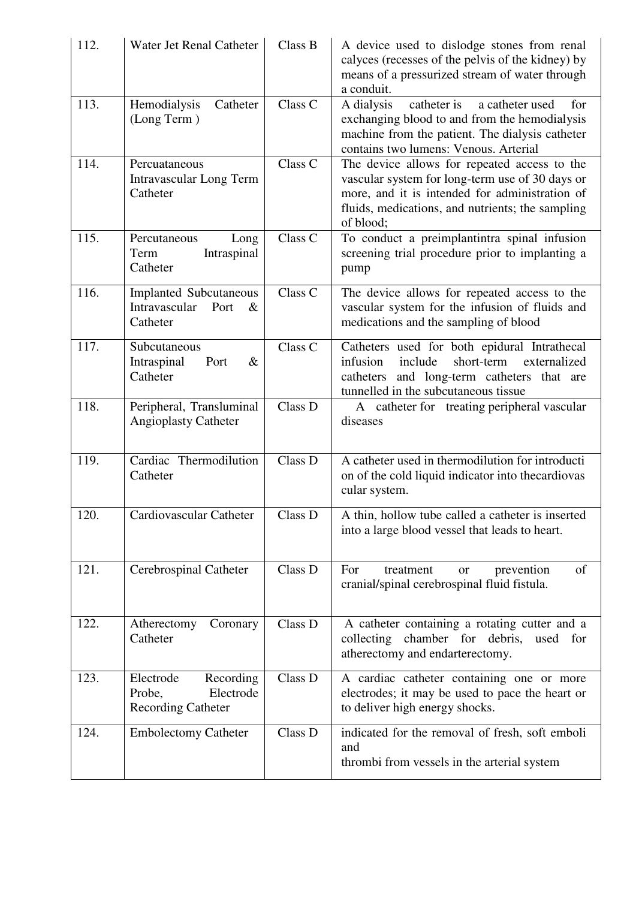| 112. | Water Jet Renal Catheter                                                   | Class B | A device used to dislodge stones from renal<br>calyces (recesses of the pelvis of the kidney) by<br>means of a pressurized stream of water through<br>a conduit.                                                   |
|------|----------------------------------------------------------------------------|---------|--------------------------------------------------------------------------------------------------------------------------------------------------------------------------------------------------------------------|
| 113. | Hemodialysis<br>Catheter<br>(Long Term)                                    | Class C | A dialysis<br>catheter is a catheter used<br>for<br>exchanging blood to and from the hemodialysis<br>machine from the patient. The dialysis catheter<br>contains two lumens: Venous. Arterial                      |
| 114. | Percuataneous<br><b>Intravascular Long Term</b><br>Catheter                | Class C | The device allows for repeated access to the<br>vascular system for long-term use of 30 days or<br>more, and it is intended for administration of<br>fluids, medications, and nutrients; the sampling<br>of blood; |
| 115. | Percutaneous<br>Long<br>Term<br>Intraspinal<br>Catheter                    | Class C | To conduct a preimplantintra spinal infusion<br>screening trial procedure prior to implanting a<br>pump                                                                                                            |
| 116. | <b>Implanted Subcutaneous</b><br>Intravascular<br>Port<br>&<br>Catheter    | Class C | The device allows for repeated access to the<br>vascular system for the infusion of fluids and<br>medications and the sampling of blood                                                                            |
| 117. | Subcutaneous<br>Intraspinal<br>$\&$<br>Port<br>Catheter                    | Class C | Catheters used for both epidural Intrathecal<br>short-term<br>externalized<br>infusion<br>include<br>catheters<br>and long-term catheters that are<br>tunnelled in the subcutaneous tissue                         |
| 118. | Peripheral, Transluminal<br><b>Angioplasty Catheter</b>                    | Class D | A catheter for treating peripheral vascular<br>diseases                                                                                                                                                            |
| 119. | Cardiac Thermodilution<br>Catheter                                         | Class D | A catheter used in thermodilution for introducti<br>on of the cold liquid indicator into the cardiovas<br>cular system.                                                                                            |
| 120. | Cardiovascular Catheter                                                    | Class D | A thin, hollow tube called a catheter is inserted<br>into a large blood vessel that leads to heart.                                                                                                                |
| 121. | Cerebrospinal Catheter                                                     | Class D | For<br>of<br>treatment<br>prevention<br><b>or</b><br>cranial/spinal cerebrospinal fluid fistula.                                                                                                                   |
| 122. | Atherectomy<br>Coronary<br>Catheter                                        | Class D | A catheter containing a rotating cutter and a<br>collecting chamber for debris,<br>used for<br>atherectomy and endarterectomy.                                                                                     |
| 123. | Electrode<br>Recording<br>Probe,<br>Electrode<br><b>Recording Catheter</b> | Class D | A cardiac catheter containing one or more<br>electrodes; it may be used to pace the heart or<br>to deliver high energy shocks.                                                                                     |
| 124. | <b>Embolectomy Catheter</b>                                                | Class D | indicated for the removal of fresh, soft emboli<br>and<br>thrombi from vessels in the arterial system                                                                                                              |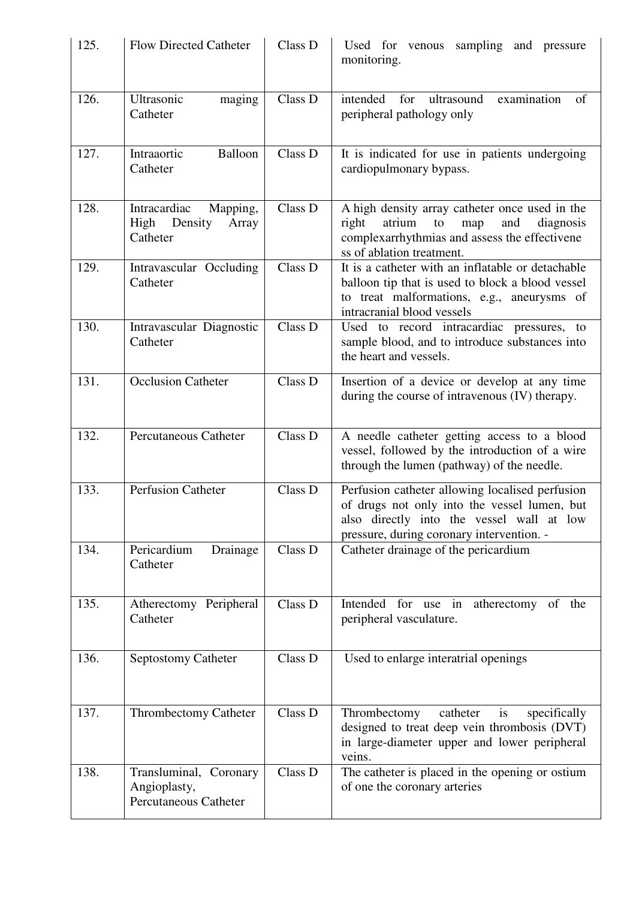| 125. | <b>Flow Directed Catheter</b>                                          | Class D | Used for venous sampling and pressure<br>monitoring.                                                                                                                                      |
|------|------------------------------------------------------------------------|---------|-------------------------------------------------------------------------------------------------------------------------------------------------------------------------------------------|
| 126. | Ultrasonic<br>maging<br>Catheter                                       | Class D | for<br>ultrasound<br>examination<br>intended<br>of<br>peripheral pathology only                                                                                                           |
| 127. | Intraaortic<br>Balloon<br>Catheter                                     | Class D | It is indicated for use in patients undergoing<br>cardiopulmonary bypass.                                                                                                                 |
| 128. | Intracardiac<br>Mapping,<br>High<br>Density<br>Array<br>Catheter       | Class D | A high density array catheter once used in the<br>atrium<br>right<br>to<br>map<br>and<br>diagnosis<br>complexarrhythmias and assess the effectivene<br>ss of ablation treatment.          |
| 129. | Intravascular Occluding<br>Catheter                                    | Class D | It is a catheter with an inflatable or detachable<br>balloon tip that is used to block a blood vessel<br>to treat malformations, e.g., aneurysms of<br>intracranial blood vessels         |
| 130. | Intravascular Diagnostic<br>Catheter                                   | Class D | Used to record intracardiac pressures, to<br>sample blood, and to introduce substances into<br>the heart and vessels.                                                                     |
| 131. | <b>Occlusion Catheter</b>                                              | Class D | Insertion of a device or develop at any time<br>during the course of intravenous (IV) therapy.                                                                                            |
| 132. | Percutaneous Catheter                                                  | Class D | A needle catheter getting access to a blood<br>vessel, followed by the introduction of a wire<br>through the lumen (pathway) of the needle.                                               |
| 133. | <b>Perfusion Catheter</b>                                              | Class D | Perfusion catheter allowing localised perfusion<br>of drugs not only into the vessel lumen, but<br>also directly into the vessel wall at low<br>pressure, during coronary intervention. - |
| 134. | Pericardium<br>Drainage<br>Catheter                                    | Class D | Catheter drainage of the pericardium                                                                                                                                                      |
| 135. | Atherectomy Peripheral<br>Catheter                                     | Class D | Intended for use in<br>atherectomy<br>of the<br>peripheral vasculature.                                                                                                                   |
| 136. | Septostomy Catheter                                                    | Class D | Used to enlarge interatrial openings                                                                                                                                                      |
| 137. | Thrombectomy Catheter                                                  | Class D | catheter<br>Thrombectomy<br>is<br>specifically<br>designed to treat deep vein thrombosis (DVT)<br>in large-diameter upper and lower peripheral<br>veins.                                  |
| 138. | Transluminal, Coronary<br>Angioplasty,<br><b>Percutaneous Catheter</b> | Class D | The catheter is placed in the opening or ostium<br>of one the coronary arteries                                                                                                           |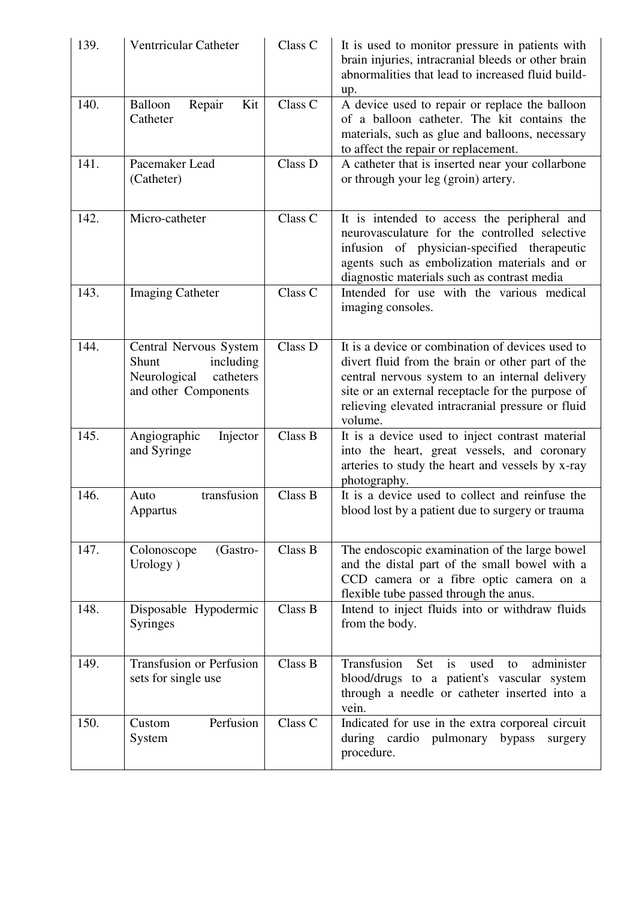| 139. | Ventrricular Catheter                                                                             | Class C | It is used to monitor pressure in patients with<br>brain injuries, intracranial bleeds or other brain<br>abnormalities that lead to increased fluid build-<br>up.                                                                                                           |
|------|---------------------------------------------------------------------------------------------------|---------|-----------------------------------------------------------------------------------------------------------------------------------------------------------------------------------------------------------------------------------------------------------------------------|
| 140. | Balloon<br>Repair<br>Kit<br>Catheter                                                              | Class C | A device used to repair or replace the balloon<br>of a balloon catheter. The kit contains the<br>materials, such as glue and balloons, necessary<br>to affect the repair or replacement.                                                                                    |
| 141. | Pacemaker Lead<br>(Catheter)                                                                      | Class D | A catheter that is inserted near your collarbone<br>or through your leg (groin) artery.                                                                                                                                                                                     |
| 142. | Micro-catheter                                                                                    | Class C | It is intended to access the peripheral and<br>neurovasculature for the controlled selective<br>infusion of physician-specified therapeutic<br>agents such as embolization materials and or<br>diagnostic materials such as contrast media                                  |
| 143. | <b>Imaging Catheter</b>                                                                           | Class C | Intended for use with the various medical<br>imaging consoles.                                                                                                                                                                                                              |
| 144. | Central Nervous System<br>Shunt<br>including<br>Neurological<br>catheters<br>and other Components | Class D | It is a device or combination of devices used to<br>divert fluid from the brain or other part of the<br>central nervous system to an internal delivery<br>site or an external receptacle for the purpose of<br>relieving elevated intracranial pressure or fluid<br>volume. |
| 145. | Angiographic<br>Injector<br>and Syringe                                                           | Class B | It is a device used to inject contrast material<br>into the heart, great vessels, and coronary<br>arteries to study the heart and vessels by x-ray<br>photography.                                                                                                          |
| 146. | transfusion<br>Auto<br>Appartus                                                                   | Class B | It is a device used to collect and reinfuse the<br>blood lost by a patient due to surgery or trauma                                                                                                                                                                         |
| 147. | Colonoscope<br>(Gastro-<br>Urology)                                                               | Class B | The endoscopic examination of the large bowel<br>and the distal part of the small bowel with a<br>CCD camera or a fibre optic camera on a<br>flexible tube passed through the anus.                                                                                         |
| 148. | Disposable Hypodermic<br><b>Syringes</b>                                                          | Class B | Intend to inject fluids into or withdraw fluids<br>from the body.                                                                                                                                                                                                           |
| 149. | <b>Transfusion or Perfusion</b><br>sets for single use                                            | Class B | Transfusion<br>is<br>Set<br>administer<br>used<br>to<br>blood/drugs to a patient's vascular system<br>through a needle or catheter inserted into a<br>vein.                                                                                                                 |
| 150. | Perfusion<br>Custom<br>System                                                                     | Class C | Indicated for use in the extra corporeal circuit<br>during cardio pulmonary bypass<br>surgery<br>procedure.                                                                                                                                                                 |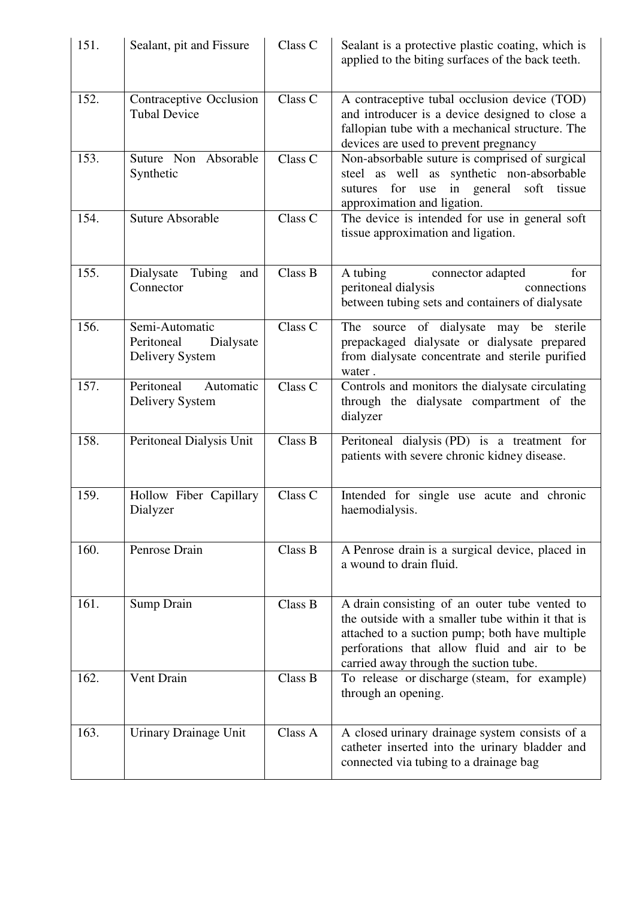| 151. | Sealant, pit and Fissure                                     | Class C | Sealant is a protective plastic coating, which is<br>applied to the biting surfaces of the back teeth.                                                                                                                                        |
|------|--------------------------------------------------------------|---------|-----------------------------------------------------------------------------------------------------------------------------------------------------------------------------------------------------------------------------------------------|
| 152. | Contraceptive Occlusion<br><b>Tubal Device</b>               | Class C | A contraceptive tubal occlusion device (TOD)<br>and introducer is a device designed to close a<br>fallopian tube with a mechanical structure. The<br>devices are used to prevent pregnancy                                                    |
| 153. | Suture Non Absorable<br>Synthetic                            | Class C | Non-absorbable suture is comprised of surgical<br>steel as well as synthetic non-absorbable<br>sutures for use in general soft tissue<br>approximation and ligation.                                                                          |
| 154. | <b>Suture Absorable</b>                                      | Class C | The device is intended for use in general soft<br>tissue approximation and ligation.                                                                                                                                                          |
| 155. | Tubing<br>Dialysate<br>and<br>Connector                      | Class B | A tubing<br>connector adapted<br>for<br>peritoneal dialysis<br>connections<br>between tubing sets and containers of dialysate                                                                                                                 |
| 156. | Semi-Automatic<br>Peritoneal<br>Dialysate<br>Delivery System | Class C | The source of dialysate may be sterile<br>prepackaged dialysate or dialysate prepared<br>from dialysate concentrate and sterile purified<br>water.                                                                                            |
| 157. | Peritoneal<br>Automatic<br>Delivery System                   | Class C | Controls and monitors the dialysate circulating<br>through the dialysate compartment of the<br>dialyzer                                                                                                                                       |
| 158. | Peritoneal Dialysis Unit                                     | Class B | Peritoneal dialysis (PD) is a treatment for<br>patients with severe chronic kidney disease.                                                                                                                                                   |
| 159. | Hollow Fiber Capillary<br>Dialyzer                           | Class C | Intended for single use acute and chronic<br>haemodialysis.                                                                                                                                                                                   |
| 160. | Penrose Drain                                                | Class B | A Penrose drain is a surgical device, placed in<br>a wound to drain fluid.                                                                                                                                                                    |
| 161. | Sump Drain                                                   | Class B | A drain consisting of an outer tube vented to<br>the outside with a smaller tube within it that is<br>attached to a suction pump; both have multiple<br>perforations that allow fluid and air to be<br>carried away through the suction tube. |
| 162. | Vent Drain                                                   | Class B | To release or discharge (steam, for example)<br>through an opening.                                                                                                                                                                           |
| 163. | Urinary Drainage Unit                                        | Class A | A closed urinary drainage system consists of a<br>catheter inserted into the urinary bladder and<br>connected via tubing to a drainage bag                                                                                                    |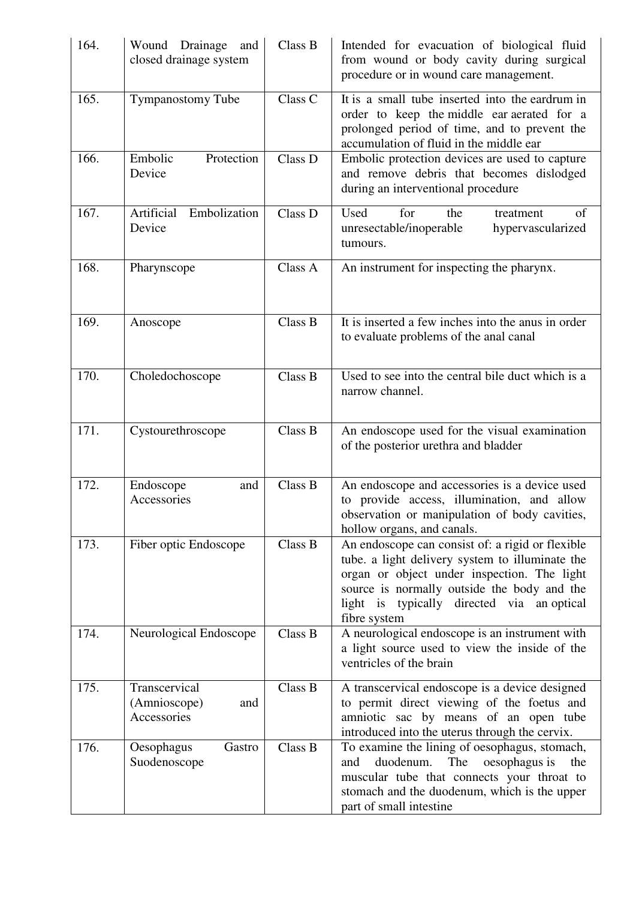| 164. | Wound Drainage and<br>closed drainage system        | Class B | Intended for evacuation of biological fluid<br>from wound or body cavity during surgical<br>procedure or in wound care management.                                                                                                                              |
|------|-----------------------------------------------------|---------|-----------------------------------------------------------------------------------------------------------------------------------------------------------------------------------------------------------------------------------------------------------------|
| 165. | <b>Tympanostomy Tube</b>                            | Class C | It is a small tube inserted into the eardrum in<br>order to keep the middle ear aerated for a<br>prolonged period of time, and to prevent the<br>accumulation of fluid in the middle ear                                                                        |
| 166. | Protection<br>Embolic<br>Device                     | Class D | Embolic protection devices are used to capture<br>and remove debris that becomes dislodged<br>during an interventional procedure                                                                                                                                |
| 167. | Artificial<br>Embolization<br>Device                | Class D | Used<br>for<br>the<br>treatment<br>of<br>unresectable/inoperable<br>hypervascularized<br>tumours.                                                                                                                                                               |
| 168. | Pharynscope                                         | Class A | An instrument for inspecting the pharynx.                                                                                                                                                                                                                       |
| 169. | Anoscope                                            | Class B | It is inserted a few inches into the anus in order<br>to evaluate problems of the anal canal                                                                                                                                                                    |
| 170. | Choledochoscope                                     | Class B | Used to see into the central bile duct which is a<br>narrow channel.                                                                                                                                                                                            |
| 171. | Cystourethroscope                                   | Class B | An endoscope used for the visual examination<br>of the posterior urethra and bladder                                                                                                                                                                            |
| 172. | Endoscope<br>and<br>Accessories                     | Class B | An endoscope and accessories is a device used<br>to provide access, illumination, and allow<br>observation or manipulation of body cavities,<br>hollow organs, and canals.                                                                                      |
| 173. | Fiber optic Endoscope                               | Class B | An endoscope can consist of: a rigid or flexible<br>tube. a light delivery system to illuminate the<br>organ or object under inspection. The light<br>source is normally outside the body and the<br>light is typically directed via an optical<br>fibre system |
| 174. | Neurological Endoscope                              | Class B | A neurological endoscope is an instrument with<br>a light source used to view the inside of the<br>ventricles of the brain                                                                                                                                      |
| 175. | Transcervical<br>(Amnioscope)<br>and<br>Accessories | Class B | A transcervical endoscope is a device designed<br>to permit direct viewing of the foetus and<br>amniotic sac by means of an open tube<br>introduced into the uterus through the cervix.                                                                         |
| 176. | Oesophagus<br>Gastro<br>Suodenoscope                | Class B | To examine the lining of oesophagus, stomach,<br>oesophagus is<br>duodenum.<br>and<br>The<br>the<br>muscular tube that connects your throat to<br>stomach and the duodenum, which is the upper<br>part of small intestine                                       |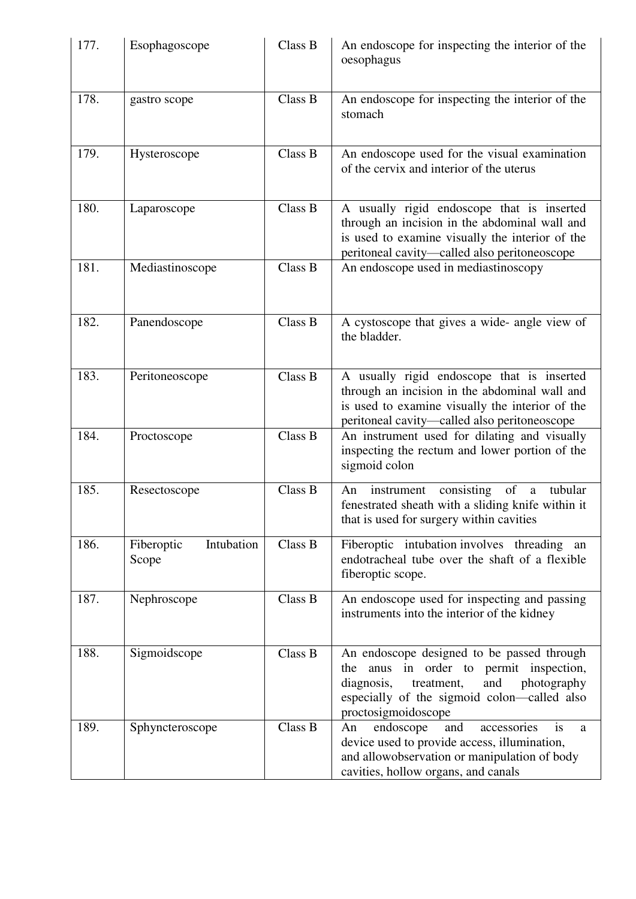| 177. | Esophagoscope                     | Class B | An endoscope for inspecting the interior of the<br>oesophagus                                                                                                                                                 |
|------|-----------------------------------|---------|---------------------------------------------------------------------------------------------------------------------------------------------------------------------------------------------------------------|
| 178. | gastro scope                      | Class B | An endoscope for inspecting the interior of the<br>stomach                                                                                                                                                    |
| 179. | Hysteroscope                      | Class B | An endoscope used for the visual examination<br>of the cervix and interior of the uterus                                                                                                                      |
| 180. | Laparoscope                       | Class B | A usually rigid endoscope that is inserted<br>through an incision in the abdominal wall and<br>is used to examine visually the interior of the<br>peritoneal cavity-called also peritoneoscope                |
| 181. | Mediastinoscope                   | Class B | An endoscope used in mediastinoscopy                                                                                                                                                                          |
| 182. | Panendoscope                      | Class B | A cystoscope that gives a wide- angle view of<br>the bladder.                                                                                                                                                 |
| 183. | Peritoneoscope                    | Class B | A usually rigid endoscope that is inserted<br>through an incision in the abdominal wall and<br>is used to examine visually the interior of the<br>peritoneal cavity-called also peritoneoscope                |
| 184. | Proctoscope                       | Class B | An instrument used for dilating and visually<br>inspecting the rectum and lower portion of the<br>sigmoid colon                                                                                               |
| 185. | Resectoscope                      | Class B | consisting of a<br>instrument<br>tubular<br>An<br>fenestrated sheath with a sliding knife within it<br>that is used for surgery within cavities                                                               |
| 186. | Intubation<br>Fiberoptic<br>Scope | Class B | Fiberoptic intubation involves threading<br>an<br>endotracheal tube over the shaft of a flexible<br>fiberoptic scope.                                                                                         |
| 187. | Nephroscope                       | Class B | An endoscope used for inspecting and passing<br>instruments into the interior of the kidney                                                                                                                   |
| 188. | Sigmoidscope                      | Class B | An endoscope designed to be passed through<br>the anus in order to permit inspection,<br>diagnosis,<br>and<br>treatment,<br>photography<br>especially of the sigmoid colon—called also<br>proctosigmoidoscope |
| 189. | Sphyncteroscope                   | Class B | endoscope<br>accessories<br>is<br>An<br>and<br>a<br>device used to provide access, illumination,<br>and allowobservation or manipulation of body<br>cavities, hollow organs, and canals                       |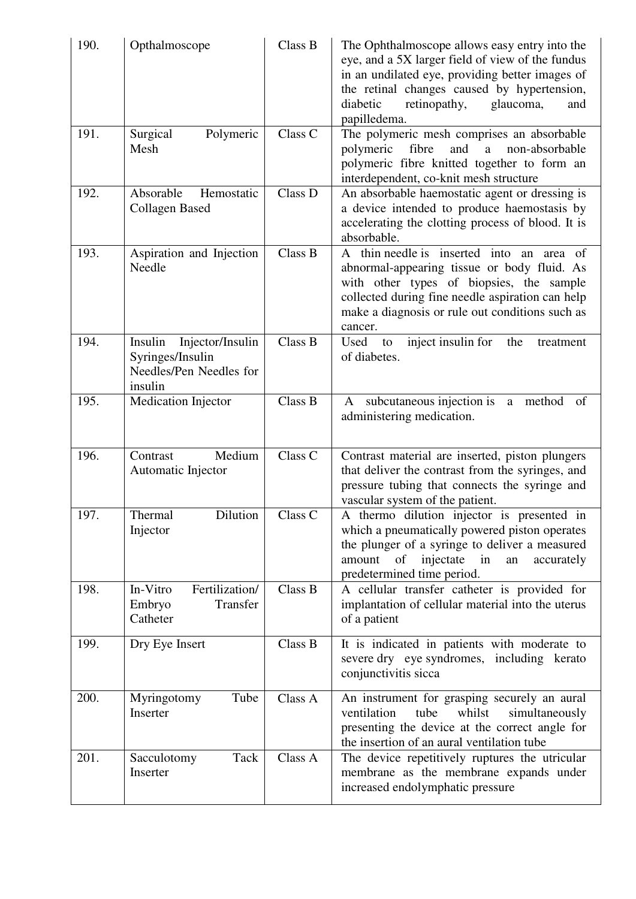| 190. | Opthalmoscope                                                                         | Class B | The Ophthalmoscope allows easy entry into the<br>eye, and a 5X larger field of view of the fundus<br>in an undilated eye, providing better images of<br>the retinal changes caused by hypertension,<br>diabetic<br>retinopathy,<br>glaucoma,<br>and<br>papilledema. |
|------|---------------------------------------------------------------------------------------|---------|---------------------------------------------------------------------------------------------------------------------------------------------------------------------------------------------------------------------------------------------------------------------|
| 191. | Polymeric<br>Surgical<br>Mesh                                                         | Class C | The polymeric mesh comprises an absorbable<br>polymeric<br>fibre<br>and<br>a<br>non-absorbable<br>polymeric fibre knitted together to form an<br>interdependent, co-knit mesh structure                                                                             |
| 192. | Absorable<br>Hemostatic<br><b>Collagen Based</b>                                      | Class D | An absorbable haemostatic agent or dressing is<br>a device intended to produce haemostasis by<br>accelerating the clotting process of blood. It is<br>absorbable.                                                                                                   |
| 193. | Aspiration and Injection<br>Needle                                                    | Class B | A thin needle is inserted into an area of<br>abnormal-appearing tissue or body fluid. As<br>with other types of biopsies, the sample<br>collected during fine needle aspiration can help<br>make a diagnosis or rule out conditions such as<br>cancer.              |
| 194. | Injector/Insulin<br>Insulin<br>Syringes/Insulin<br>Needles/Pen Needles for<br>insulin | Class B | Used to<br>inject insulin for the<br>treatment<br>of diabetes.                                                                                                                                                                                                      |
| 195. | Medication Injector                                                                   | Class B | subcutaneous injection is<br>a method<br>of<br>A<br>administering medication.                                                                                                                                                                                       |
| 196. | Medium<br>Contrast<br>Automatic Injector                                              | Class C | Contrast material are inserted, piston plungers<br>that deliver the contrast from the syringes, and<br>pressure tubing that connects the syringe and<br>vascular system of the patient.                                                                             |
| 197. | Dilution<br>Thermal<br>Injector                                                       | Class C | A thermo dilution injector is presented in<br>which a pneumatically powered piston operates<br>the plunger of a syringe to deliver a measured<br>amount<br>of<br>injectate in<br>accurately<br>an<br>predetermined time period.                                     |
| 198. | Fertilization/<br>In-Vitro<br>Transfer<br>Embryo<br>Catheter                          | Class B | A cellular transfer catheter is provided for<br>implantation of cellular material into the uterus<br>of a patient                                                                                                                                                   |
| 199. | Dry Eye Insert                                                                        | Class B | It is indicated in patients with moderate to<br>severe dry eye syndromes, including kerato<br>conjunctivitis sicca                                                                                                                                                  |
| 200. | Tube<br>Myringotomy<br>Inserter                                                       | Class A | An instrument for grasping securely an aural<br>ventilation<br>tube<br>whilst<br>simultaneously<br>presenting the device at the correct angle for<br>the insertion of an aural ventilation tube                                                                     |
| 201. | Tack<br>Sacculotomy<br>Inserter                                                       | Class A | The device repetitively ruptures the utricular<br>membrane as the membrane expands under<br>increased endolymphatic pressure                                                                                                                                        |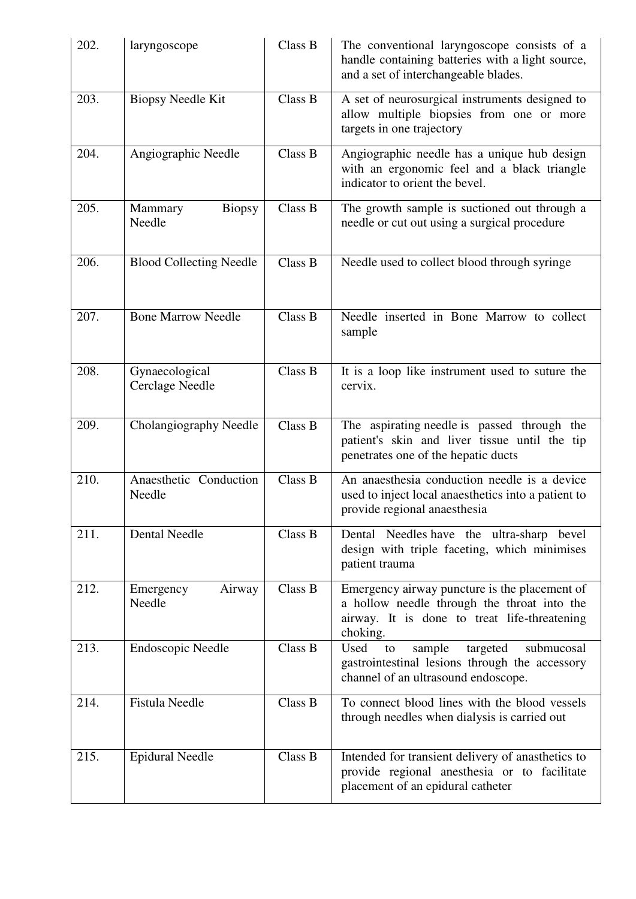| 202. | laryngoscope                             | Class B | The conventional laryngoscope consists of a<br>handle containing batteries with a light source,<br>and a set of interchangeable blades.                  |
|------|------------------------------------------|---------|----------------------------------------------------------------------------------------------------------------------------------------------------------|
| 203. | <b>Biopsy Needle Kit</b>                 | Class B | A set of neurosurgical instruments designed to<br>allow multiple biopsies from one or more<br>targets in one trajectory                                  |
| 204. | Angiographic Needle                      | Class B | Angiographic needle has a unique hub design<br>with an ergonomic feel and a black triangle<br>indicator to orient the bevel.                             |
| 205. | <b>Biopsy</b><br>Mammary<br>Needle       | Class B | The growth sample is suctioned out through a<br>needle or cut out using a surgical procedure                                                             |
| 206. | <b>Blood Collecting Needle</b>           | Class B | Needle used to collect blood through syringe                                                                                                             |
| 207. | <b>Bone Marrow Needle</b>                | Class B | Needle inserted in Bone Marrow to collect<br>sample                                                                                                      |
| 208. | Gynaecological<br><b>Cerclage Needle</b> | Class B | It is a loop like instrument used to suture the<br>cervix.                                                                                               |
| 209. | Cholangiography Needle                   | Class B | The aspirating needle is passed through the<br>patient's skin and liver tissue until the tip<br>penetrates one of the hepatic ducts                      |
| 210. | Anaesthetic Conduction<br>Needle         | Class B | An anaesthesia conduction needle is a device<br>used to inject local anaesthetics into a patient to<br>provide regional anaesthesia                      |
| 211. | <b>Dental Needle</b>                     | Class B | Dental Needles have the ultra-sharp bevel<br>design with triple faceting, which minimises<br>patient trauma                                              |
| 212. | Emergency<br>Airway<br>Needle            | Class B | Emergency airway puncture is the placement of<br>a hollow needle through the throat into the<br>airway. It is done to treat life-threatening<br>choking. |
| 213. | Endoscopic Needle                        | Class B | Used<br>sample<br>targeted<br>submucosal<br>to<br>gastrointestinal lesions through the accessory<br>channel of an ultrasound endoscope.                  |
| 214. | <b>Fistula Needle</b>                    | Class B | To connect blood lines with the blood vessels<br>through needles when dialysis is carried out                                                            |
| 215. | <b>Epidural Needle</b>                   | Class B | Intended for transient delivery of anasthetics to<br>provide regional anesthesia or to facilitate<br>placement of an epidural catheter                   |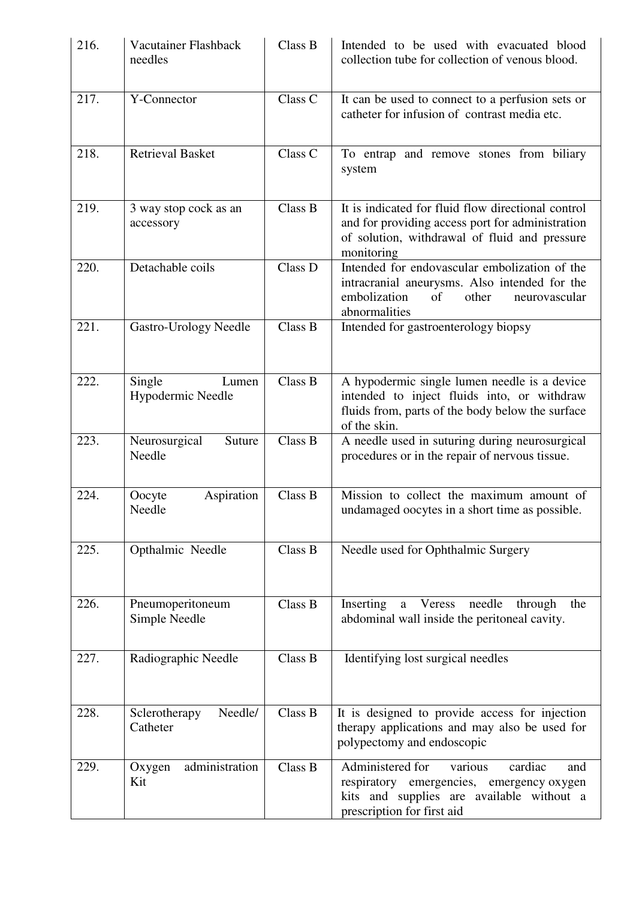| 216. | Vacutainer Flashback<br>needles      | Class B            | Intended to be used with evacuated blood<br>collection tube for collection of venous blood.                                                                           |
|------|--------------------------------------|--------------------|-----------------------------------------------------------------------------------------------------------------------------------------------------------------------|
| 217. | Y-Connector                          | Class C            | It can be used to connect to a perfusion sets or<br>catheter for infusion of contrast media etc.                                                                      |
| 218. | Retrieval Basket                     | Class <sub>C</sub> | To entrap and remove stones from biliary<br>system                                                                                                                    |
| 219. | 3 way stop cock as an<br>accessory   | Class B            | It is indicated for fluid flow directional control<br>and for providing access port for administration<br>of solution, withdrawal of fluid and pressure<br>monitoring |
| 220. | Detachable coils                     | Class D            | Intended for endovascular embolization of the<br>intracranial aneurysms. Also intended for the<br>embolization<br>other<br>of<br>neurovascular<br>abnormalities       |
| 221. | <b>Gastro-Urology Needle</b>         | Class B            | Intended for gastroenterology biopsy                                                                                                                                  |
| 222. | Single<br>Lumen<br>Hypodermic Needle | Class B            | A hypodermic single lumen needle is a device<br>intended to inject fluids into, or withdraw<br>fluids from, parts of the body below the surface<br>of the skin.       |
| 223. | Neurosurgical<br>Suture<br>Needle    | Class B            | A needle used in suturing during neurosurgical<br>procedures or in the repair of nervous tissue.                                                                      |
| 224. | Aspiration<br>Oocyte<br>Needle       | Class B            | Mission to collect the maximum amount of<br>undamaged oocytes in a short time as possible.                                                                            |
| 225. | Opthalmic Needle                     | Class B            | Needle used for Ophthalmic Surgery                                                                                                                                    |
| 226. | Pneumoperitoneum<br>Simple Needle    | Class B            | needle<br>Inserting<br>Veress<br>through<br>the<br>$\mathbf{a}$<br>abdominal wall inside the peritoneal cavity.                                                       |
| 227. | Radiographic Needle                  | Class B            | Identifying lost surgical needles                                                                                                                                     |
| 228. | Needle/<br>Sclerotherapy<br>Catheter | Class B            | It is designed to provide access for injection<br>therapy applications and may also be used for<br>polypectomy and endoscopic                                         |
| 229. | administration<br>Oxygen<br>Kit      | Class B            | Administered for<br>cardiac<br>various<br>and<br>respiratory emergencies, emergency oxygen<br>kits and supplies are available without a<br>prescription for first aid |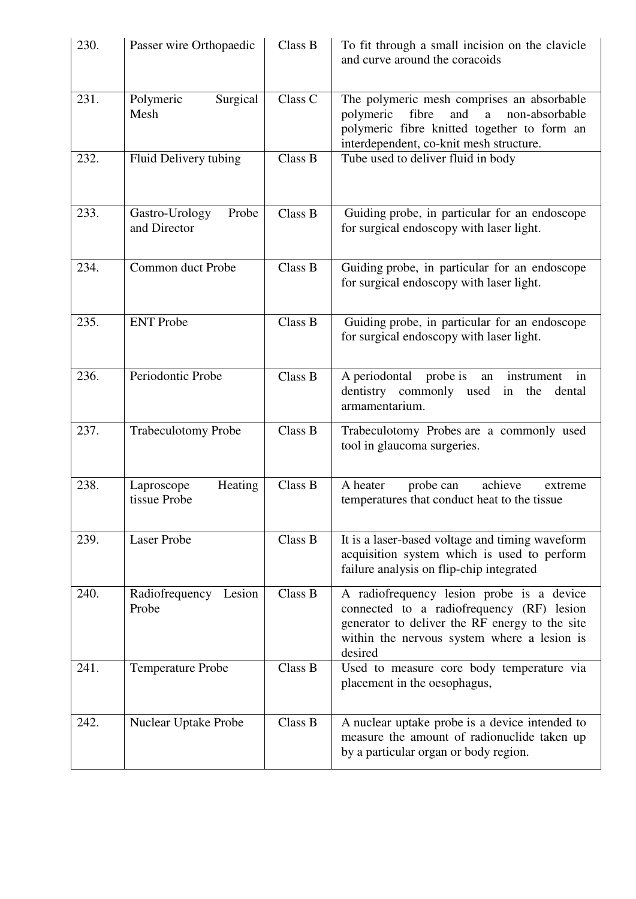| 230. | Passer wire Orthopaedic                 | Class B            | To fit through a small incision on the clavicle<br>and curve around the coracoids                                                                                                                  |
|------|-----------------------------------------|--------------------|----------------------------------------------------------------------------------------------------------------------------------------------------------------------------------------------------|
| 231. | Surgical<br>Polymeric<br>Mesh           | Class <sub>C</sub> | The polymeric mesh comprises an absorbable<br>fibre<br>polymeric<br>and<br>non-absorbable<br>a<br>polymeric fibre knitted together to form an<br>interdependent, co-knit mesh structure.           |
| 232. | Fluid Delivery tubing                   | Class B            | Tube used to deliver fluid in body                                                                                                                                                                 |
| 233. | Gastro-Urology<br>Probe<br>and Director | Class B            | Guiding probe, in particular for an endoscope<br>for surgical endoscopy with laser light.                                                                                                          |
| 234. | Common duct Probe                       | Class B            | Guiding probe, in particular for an endoscope<br>for surgical endoscopy with laser light.                                                                                                          |
| 235. | <b>ENT Probe</b>                        | Class B            | Guiding probe, in particular for an endoscope<br>for surgical endoscopy with laser light.                                                                                                          |
| 236. | Periodontic Probe                       | Class B            | A periodontal probe is<br>an<br>instrument<br>in<br>dentistry commonly used in the<br>dental<br>armamentarium.                                                                                     |
| 237. | <b>Trabeculotomy Probe</b>              | Class B            | Trabeculotomy Probes are a commonly used<br>tool in glaucoma surgeries.                                                                                                                            |
| 238. | Laproscope<br>Heating<br>tissue Probe   | Class B            | achieve<br>A heater<br>probe can<br>extreme<br>temperatures that conduct heat to the tissue                                                                                                        |
| 239. | <b>Laser Probe</b>                      | Class B            | It is a laser-based voltage and timing waveform<br>acquisition system which is used to perform<br>failure analysis on flip-chip integrated                                                         |
| 240. | Radiofrequency<br>Lesion<br>Probe       | Class B            | A radiofrequency lesion probe is a device<br>connected to a radiofrequency (RF) lesion<br>generator to deliver the RF energy to the site<br>within the nervous system where a lesion is<br>desired |
| 241. | <b>Temperature Probe</b>                | Class B            | Used to measure core body temperature via<br>placement in the oesophagus,                                                                                                                          |
| 242. | Nuclear Uptake Probe                    | Class B            | A nuclear uptake probe is a device intended to<br>measure the amount of radionuclide taken up<br>by a particular organ or body region.                                                             |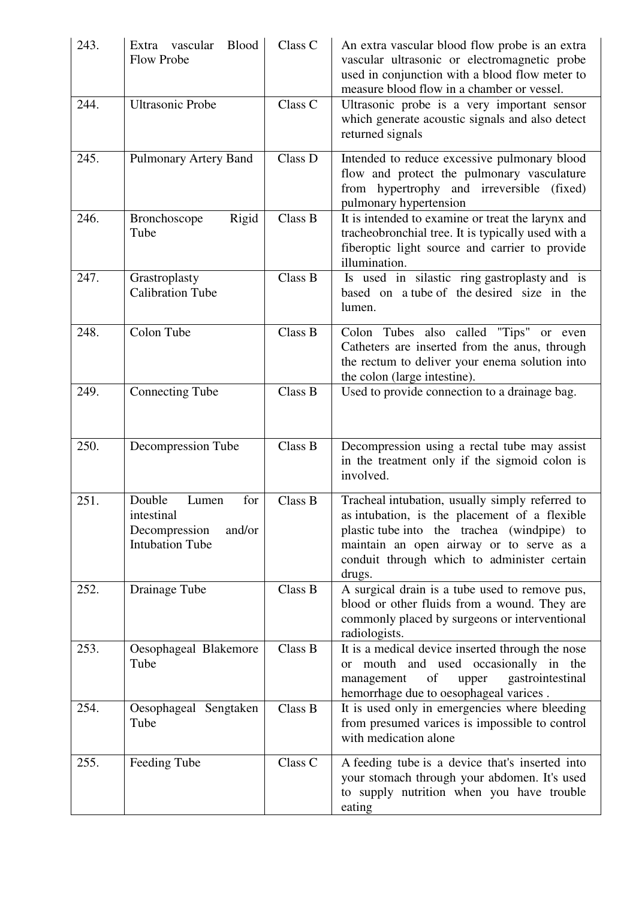| 243. | <b>Blood</b><br>Extra vascular<br><b>Flow Probe</b>                                       | Class C            | An extra vascular blood flow probe is an extra<br>vascular ultrasonic or electromagnetic probe<br>used in conjunction with a blood flow meter to<br>measure blood flow in a chamber or vessel.                                                       |
|------|-------------------------------------------------------------------------------------------|--------------------|------------------------------------------------------------------------------------------------------------------------------------------------------------------------------------------------------------------------------------------------------|
| 244. | <b>Ultrasonic Probe</b>                                                                   | Class <sub>C</sub> | Ultrasonic probe is a very important sensor<br>which generate acoustic signals and also detect<br>returned signals                                                                                                                                   |
| 245. | Pulmonary Artery Band                                                                     | Class D            | Intended to reduce excessive pulmonary blood<br>flow and protect the pulmonary vasculature<br>from hypertrophy and irreversible (fixed)<br>pulmonary hypertension                                                                                    |
| 246. | Rigid<br>Bronchoscope<br>Tube                                                             | Class B            | It is intended to examine or treat the larynx and<br>tracheobronchial tree. It is typically used with a<br>fiberoptic light source and carrier to provide<br>illumination.                                                                           |
| 247. | Grastroplasty<br><b>Calibration Tube</b>                                                  | Class B            | Is used in silastic ring gastroplasty and is<br>based on a tube of the desired size in the<br>lumen.                                                                                                                                                 |
| 248. | Colon Tube                                                                                | Class B            | Colon Tubes also called "Tips" or even<br>Catheters are inserted from the anus, through<br>the rectum to deliver your enema solution into<br>the colon (large intestine).                                                                            |
| 249. | <b>Connecting Tube</b>                                                                    | Class B            | Used to provide connection to a drainage bag.                                                                                                                                                                                                        |
| 250. | Decompression Tube                                                                        | Class B            | Decompression using a rectal tube may assist<br>in the treatment only if the sigmoid colon is<br>involved.                                                                                                                                           |
| 251. | Double<br>Lumen<br>for<br>intestinal<br>and/or<br>Decompression<br><b>Intubation Tube</b> | Class B            | Tracheal intubation, usually simply referred to<br>as intubation, is the placement of a flexible<br>plastic tube into the trachea (windpipe) to<br>maintain an open airway or to serve as a<br>conduit through which to administer certain<br>drugs. |
| 252. | Drainage Tube                                                                             | Class B            | A surgical drain is a tube used to remove pus,<br>blood or other fluids from a wound. They are<br>commonly placed by surgeons or interventional<br>radiologists.                                                                                     |
| 253. | Oesophageal Blakemore<br>Tube                                                             | Class B            | It is a medical device inserted through the nose<br>or mouth and used occasionally in the<br>upper<br>gastrointestinal<br>management<br>of<br>hemorrhage due to oesophageal varices.                                                                 |
| 254. | Oesophageal Sengtaken<br>Tube                                                             | Class B            | It is used only in emergencies where bleeding<br>from presumed varices is impossible to control<br>with medication alone                                                                                                                             |
| 255. | Feeding Tube                                                                              | Class C            | A feeding tube is a device that's inserted into<br>your stomach through your abdomen. It's used<br>to supply nutrition when you have trouble<br>eating                                                                                               |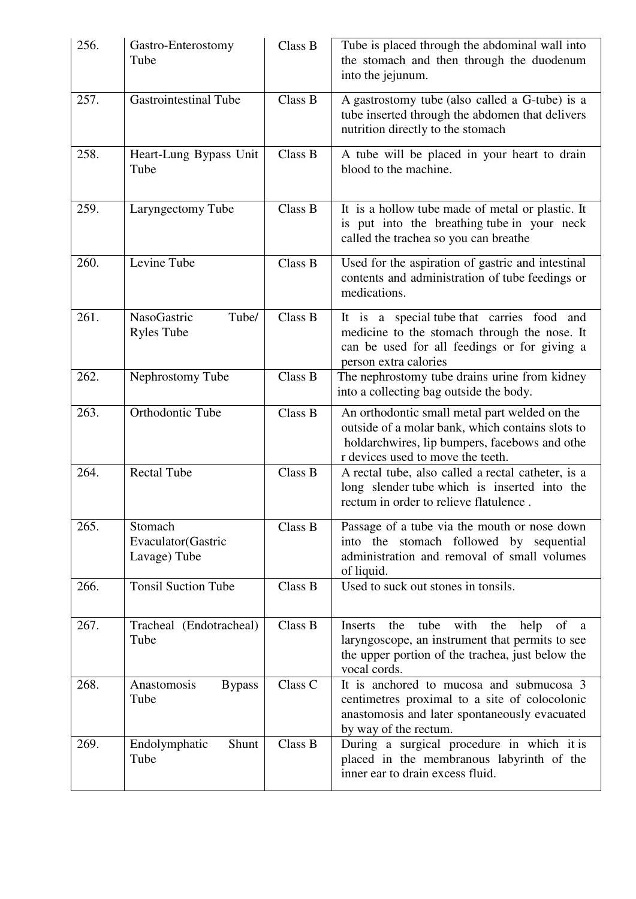| 256. | Gastro-Enterostomy<br>Tube                       | Class B | Tube is placed through the abdominal wall into<br>the stomach and then through the duodenum<br>into the jejunum.                                                                        |
|------|--------------------------------------------------|---------|-----------------------------------------------------------------------------------------------------------------------------------------------------------------------------------------|
| 257. | <b>Gastrointestinal Tube</b>                     | Class B | A gastrostomy tube (also called a G-tube) is a<br>tube inserted through the abdomen that delivers<br>nutrition directly to the stomach                                                  |
| 258. | Heart-Lung Bypass Unit<br>Tube                   | Class B | A tube will be placed in your heart to drain<br>blood to the machine.                                                                                                                   |
| 259. | Laryngectomy Tube                                | Class B | It is a hollow tube made of metal or plastic. It<br>is put into the breathing tube in your neck<br>called the trachea so you can breathe                                                |
| 260. | Levine Tube                                      | Class B | Used for the aspiration of gastric and intestinal<br>contents and administration of tube feedings or<br>medications.                                                                    |
| 261. | <b>NasoGastric</b><br>Tube/<br><b>Ryles Tube</b> | Class B | It is a special tube that carries food and<br>medicine to the stomach through the nose. It<br>can be used for all feedings or for giving a<br>person extra calories                     |
| 262. | Nephrostomy Tube                                 | Class B | The nephrostomy tube drains urine from kidney<br>into a collecting bag outside the body.                                                                                                |
| 263. | Orthodontic Tube                                 | Class B | An orthodontic small metal part welded on the<br>outside of a molar bank, which contains slots to<br>holdarchwires, lip bumpers, facebows and othe<br>r devices used to move the teeth. |
| 264. | <b>Rectal Tube</b>                               | Class B | A rectal tube, also called a rectal catheter, is a<br>long slender tube which is inserted into the<br>rectum in order to relieve flatulence.                                            |
| 265. | Stomach<br>Evaculator(Gastric<br>Lavage) Tube    | Class B | Passage of a tube via the mouth or nose down<br>into the stomach followed by sequential<br>administration and removal of small volumes<br>of liquid.                                    |
| 266. | <b>Tonsil Suction Tube</b>                       | Class B | Used to suck out stones in tonsils.                                                                                                                                                     |
| 267. | Tracheal (Endotracheal)<br>Tube                  | Class B | with<br>tube<br>Inserts<br>the<br>the<br>of<br>help<br>a<br>laryngoscope, an instrument that permits to see<br>the upper portion of the trachea, just below the<br>vocal cords.         |
| 268. | Anastomosis<br><b>Bypass</b><br>Tube             | Class C | It is anchored to mucosa and submucosa 3<br>centimetres proximal to a site of colocolonic<br>anastomosis and later spontaneously evacuated<br>by way of the rectum.                     |
| 269. | Endolymphatic<br>Shunt<br>Tube                   | Class B | During a surgical procedure in which it is<br>placed in the membranous labyrinth of the<br>inner ear to drain excess fluid.                                                             |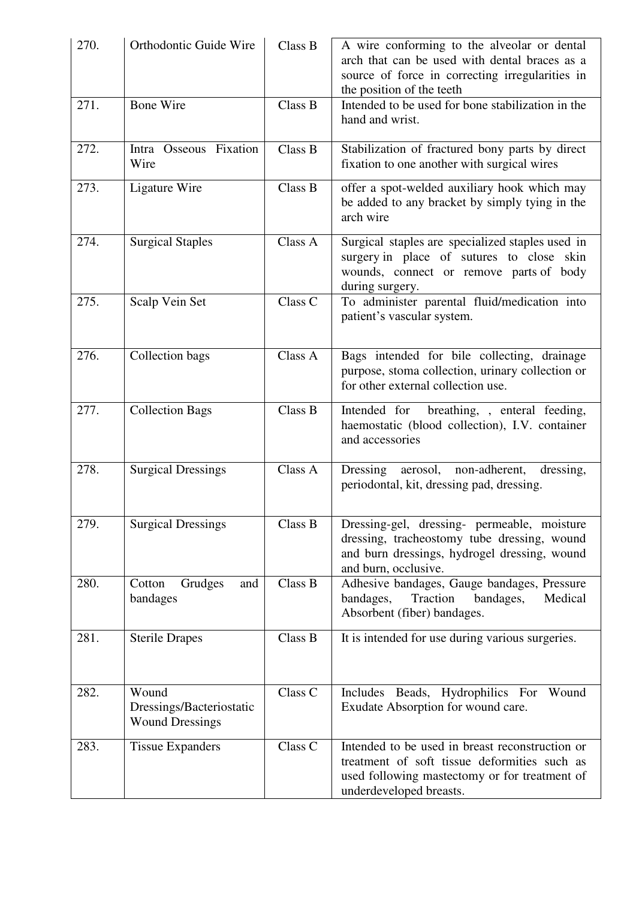| 270. | Orthodontic Guide Wire                                      | Class B | A wire conforming to the alveolar or dental<br>arch that can be used with dental braces as a<br>source of force in correcting irregularities in<br>the position of the teeth |
|------|-------------------------------------------------------------|---------|------------------------------------------------------------------------------------------------------------------------------------------------------------------------------|
| 271. | <b>Bone Wire</b>                                            | Class B | Intended to be used for bone stabilization in the<br>hand and wrist.                                                                                                         |
| 272. | Intra Osseous Fixation<br>Wire                              | Class B | Stabilization of fractured bony parts by direct<br>fixation to one another with surgical wires                                                                               |
| 273. | Ligature Wire                                               | Class B | offer a spot-welded auxiliary hook which may<br>be added to any bracket by simply tying in the<br>arch wire                                                                  |
| 274. | <b>Surgical Staples</b>                                     | Class A | Surgical staples are specialized staples used in<br>surgery in place of sutures to close skin<br>wounds, connect or remove parts of body<br>during surgery.                  |
| 275. | Scalp Vein Set                                              | Class C | To administer parental fluid/medication into<br>patient's vascular system.                                                                                                   |
| 276. | Collection bags                                             | Class A | Bags intended for bile collecting, drainage<br>purpose, stoma collection, urinary collection or<br>for other external collection use.                                        |
| 277. | <b>Collection Bags</b>                                      | Class B | breathing, , enteral feeding,<br>Intended for<br>haemostatic (blood collection), I.V. container<br>and accessories                                                           |
| 278. | <b>Surgical Dressings</b>                                   | Class A | Dressing<br>aerosol,<br>non-adherent,<br>dressing,<br>periodontal, kit, dressing pad, dressing.                                                                              |
| 279. | <b>Surgical Dressings</b>                                   | Class B | Dressing-gel, dressing- permeable, moisture<br>dressing, tracheostomy tube dressing, wound<br>and burn dressings, hydrogel dressing, wound<br>and burn, occlusive.           |
| 280. | Cotton<br>Grudges<br>and<br>bandages                        | Class B | Adhesive bandages, Gauge bandages, Pressure<br>Traction<br>bandages,<br>Medical<br>bandages,<br>Absorbent (fiber) bandages.                                                  |
| 281. | <b>Sterile Drapes</b>                                       | Class B | It is intended for use during various surgeries.                                                                                                                             |
| 282. | Wound<br>Dressings/Bacteriostatic<br><b>Wound Dressings</b> | Class C | Includes Beads, Hydrophilics For Wound<br>Exudate Absorption for wound care.                                                                                                 |
| 283. | <b>Tissue Expanders</b>                                     | Class C | Intended to be used in breast reconstruction or<br>treatment of soft tissue deformities such as<br>used following mastectomy or for treatment of<br>underdeveloped breasts.  |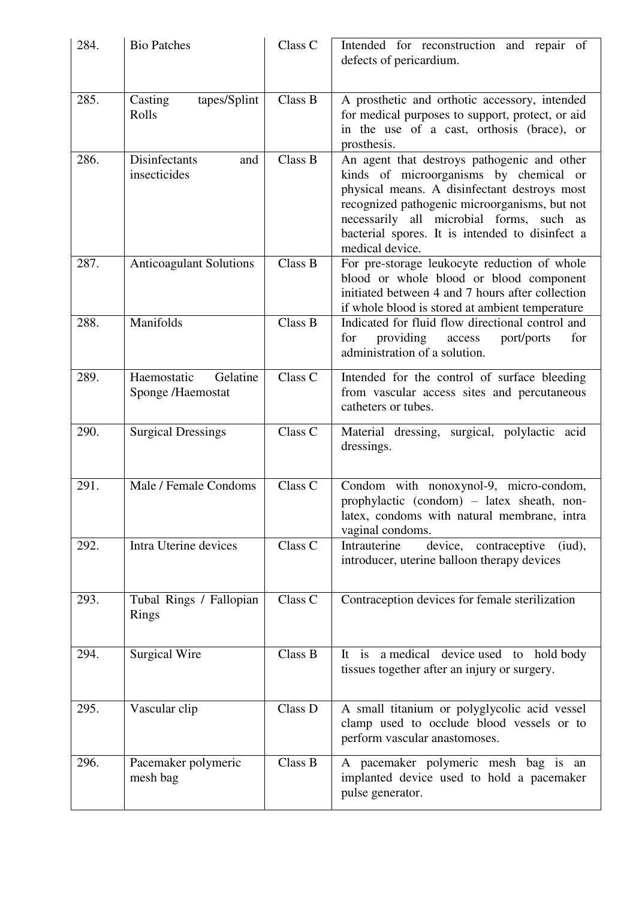| 284. | <b>Bio Patches</b>                           | Class C            | Intended for reconstruction and repair of<br>defects of pericardium.                                                                                                                                                                                                                                     |
|------|----------------------------------------------|--------------------|----------------------------------------------------------------------------------------------------------------------------------------------------------------------------------------------------------------------------------------------------------------------------------------------------------|
| 285. | Casting<br>tapes/Splint<br>Rolls             | Class B            | A prosthetic and orthotic accessory, intended<br>for medical purposes to support, protect, or aid<br>in the use of a cast, orthosis (brace), or<br>prosthesis.                                                                                                                                           |
| 286. | Disinfectants<br>and<br>insecticides         | Class B            | An agent that destroys pathogenic and other<br>kinds of microorganisms by chemical or<br>physical means. A disinfectant destroys most<br>recognized pathogenic microorganisms, but not<br>necessarily all microbial forms, such as<br>bacterial spores. It is intended to disinfect a<br>medical device. |
| 287. | <b>Anticoagulant Solutions</b>               | Class B            | For pre-storage leukocyte reduction of whole<br>blood or whole blood or blood component<br>initiated between 4 and 7 hours after collection<br>if whole blood is stored at ambient temperature                                                                                                           |
| 288. | Manifolds                                    | Class B            | Indicated for fluid flow directional control and<br>providing<br>port/ports<br>for<br>for<br>access<br>administration of a solution.                                                                                                                                                                     |
| 289. | Gelatine<br>Haemostatic<br>Sponge /Haemostat | Class <sub>C</sub> | Intended for the control of surface bleeding<br>from vascular access sites and percutaneous<br>catheters or tubes.                                                                                                                                                                                       |
| 290. | <b>Surgical Dressings</b>                    | Class C            | Material dressing, surgical, polylactic acid<br>dressings.                                                                                                                                                                                                                                               |
| 291. | Male / Female Condoms                        | Class C            | Condom with nonoxynol-9, micro-condom,<br>prophylactic (condom) – latex sheath, non-<br>latex, condoms with natural membrane, intra<br>vaginal condoms.                                                                                                                                                  |
| 292. | Intra Uterine devices                        | Class <sub>C</sub> | device,<br>contraceptive<br>Intrauterine<br>$(iud)$ ,<br>introducer, uterine balloon therapy devices                                                                                                                                                                                                     |
| 293. | Tubal Rings / Fallopian<br>Rings             | Class C            | Contraception devices for female sterilization                                                                                                                                                                                                                                                           |
| 294. | Surgical Wire                                | Class B            | It is a medical device used to hold body<br>tissues together after an injury or surgery.                                                                                                                                                                                                                 |
| 295. | Vascular clip                                | Class D            | A small titanium or polyglycolic acid vessel<br>clamp used to occlude blood vessels or to<br>perform vascular anastomoses.                                                                                                                                                                               |
| 296. | Pacemaker polymeric<br>mesh bag              | Class B            | A pacemaker polymeric mesh bag is an<br>implanted device used to hold a pacemaker<br>pulse generator.                                                                                                                                                                                                    |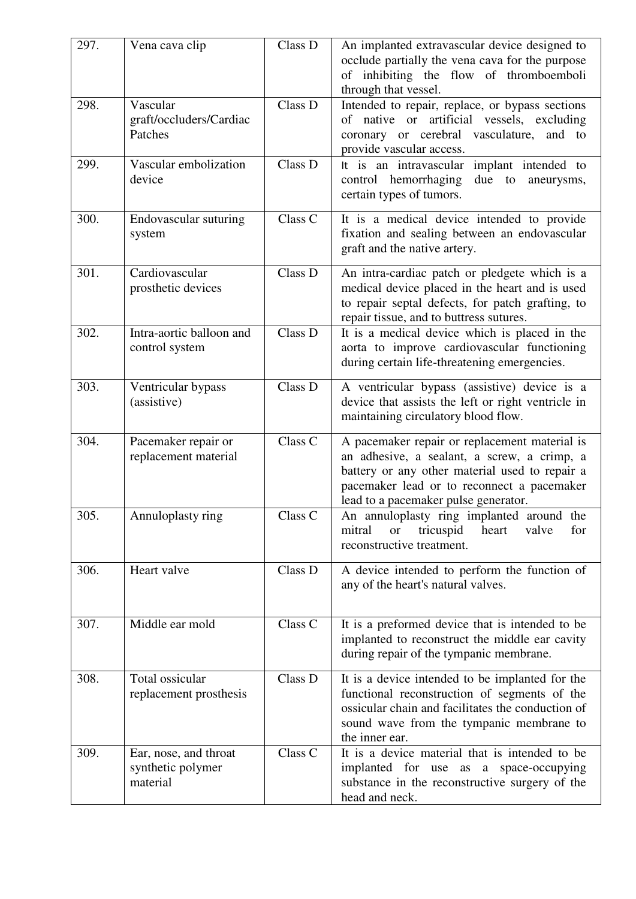| 297. | Vena cava clip                                         | Class D | An implanted extravascular device designed to<br>occlude partially the vena cava for the purpose<br>of inhibiting the flow of thromboemboli<br>through that vessel.                                                                  |
|------|--------------------------------------------------------|---------|--------------------------------------------------------------------------------------------------------------------------------------------------------------------------------------------------------------------------------------|
| 298. | Vascular<br>graft/occluders/Cardiac<br>Patches         | Class D | Intended to repair, replace, or bypass sections<br>of native or artificial vessels, excluding<br>coronary or cerebral vasculature,<br>and to<br>provide vascular access.                                                             |
| 299. | Vascular embolization<br>device                        | Class D | It is an intravascular implant intended to<br>control hemorrhaging<br>due to<br>aneurysms,<br>certain types of tumors.                                                                                                               |
| 300. | Endovascular suturing<br>system                        | Class C | It is a medical device intended to provide<br>fixation and sealing between an endovascular<br>graft and the native artery.                                                                                                           |
| 301. | Cardiovascular<br>prosthetic devices                   | Class D | An intra-cardiac patch or pledgete which is a<br>medical device placed in the heart and is used<br>to repair septal defects, for patch grafting, to<br>repair tissue, and to buttress sutures.                                       |
| 302. | Intra-aortic balloon and<br>control system             | Class D | It is a medical device which is placed in the<br>aorta to improve cardiovascular functioning<br>during certain life-threatening emergencies.                                                                                         |
| 303. | Ventricular bypass<br>(assistive)                      | Class D | A ventricular bypass (assistive) device is a<br>device that assists the left or right ventricle in<br>maintaining circulatory blood flow.                                                                                            |
| 304. | Pacemaker repair or<br>replacement material            | Class C | A pacemaker repair or replacement material is<br>an adhesive, a sealant, a screw, a crimp, a<br>battery or any other material used to repair a<br>pacemaker lead or to reconnect a pacemaker<br>lead to a pacemaker pulse generator. |
| 305. | Annuloplasty ring                                      | Class C | An annuloplasty ring implanted around the<br>mitral<br>tricuspid<br>heart<br>valve<br><b>or</b><br>for<br>reconstructive treatment.                                                                                                  |
| 306. | Heart valve                                            | Class D | A device intended to perform the function of<br>any of the heart's natural valves.                                                                                                                                                   |
| 307. | Middle ear mold                                        | Class C | It is a preformed device that is intended to be<br>implanted to reconstruct the middle ear cavity<br>during repair of the tympanic membrane.                                                                                         |
| 308. | Total ossicular<br>replacement prosthesis              | Class D | It is a device intended to be implanted for the<br>functional reconstruction of segments of the<br>ossicular chain and facilitates the conduction of<br>sound wave from the tympanic membrane to<br>the inner ear.                   |
| 309. | Ear, nose, and throat<br>synthetic polymer<br>material | Class C | It is a device material that is intended to be<br>implanted for use as a space-occupying<br>substance in the reconstructive surgery of the<br>head and neck.                                                                         |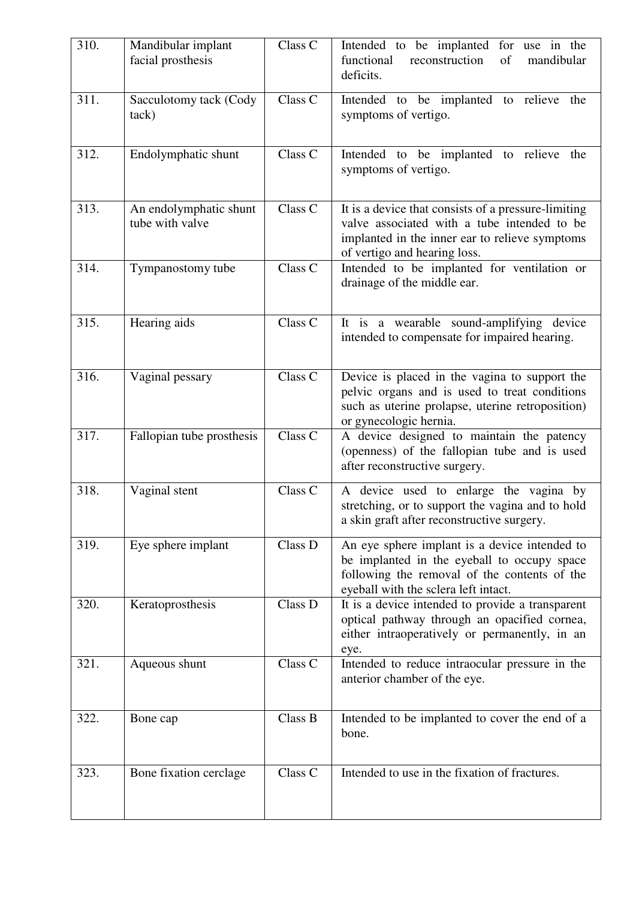| 310. | Mandibular implant<br>facial prosthesis   | Class C            | Intended to be implanted for use in the<br>functional<br>reconstruction<br>of<br>mandibular<br>deficits.                                                                             |
|------|-------------------------------------------|--------------------|--------------------------------------------------------------------------------------------------------------------------------------------------------------------------------------|
| 311. | Sacculotomy tack (Cody<br>tack)           | Class <sub>C</sub> | Intended to be implanted to relieve the<br>symptoms of vertigo.                                                                                                                      |
| 312. | Endolymphatic shunt                       | Class C            | Intended to be implanted to relieve the<br>symptoms of vertigo.                                                                                                                      |
| 313. | An endolymphatic shunt<br>tube with valve | Class <sub>C</sub> | It is a device that consists of a pressure-limiting<br>valve associated with a tube intended to be<br>implanted in the inner ear to relieve symptoms<br>of vertigo and hearing loss. |
| 314. | Tympanostomy tube                         | Class C            | Intended to be implanted for ventilation or<br>drainage of the middle ear.                                                                                                           |
| 315. | Hearing aids                              | Class C            | It is a wearable sound-amplifying device<br>intended to compensate for impaired hearing.                                                                                             |
| 316. | Vaginal pessary                           | Class C            | Device is placed in the vagina to support the<br>pelvic organs and is used to treat conditions<br>such as uterine prolapse, uterine retroposition)<br>or gynecologic hernia.         |
| 317. | Fallopian tube prosthesis                 | Class C            | A device designed to maintain the patency<br>(openness) of the fallopian tube and is used<br>after reconstructive surgery.                                                           |
| 318. | Vaginal stent                             | Class C            | A device used to enlarge the vagina by<br>stretching, or to support the vagina and to hold<br>a skin graft after reconstructive surgery.                                             |
| 319. | Eye sphere implant                        | Class D            | An eye sphere implant is a device intended to<br>be implanted in the eyeball to occupy space<br>following the removal of the contents of the<br>eyeball with the sclera left intact. |
| 320. | Keratoprosthesis                          | Class D            | It is a device intended to provide a transparent<br>optical pathway through an opacified cornea,<br>either intraoperatively or permanently, in an<br>eye.                            |
| 321. | Aqueous shunt                             | Class C            | Intended to reduce intraocular pressure in the<br>anterior chamber of the eye.                                                                                                       |
| 322. | Bone cap                                  | Class B            | Intended to be implanted to cover the end of a<br>bone.                                                                                                                              |
| 323. | Bone fixation cerclage                    | Class C            | Intended to use in the fixation of fractures.                                                                                                                                        |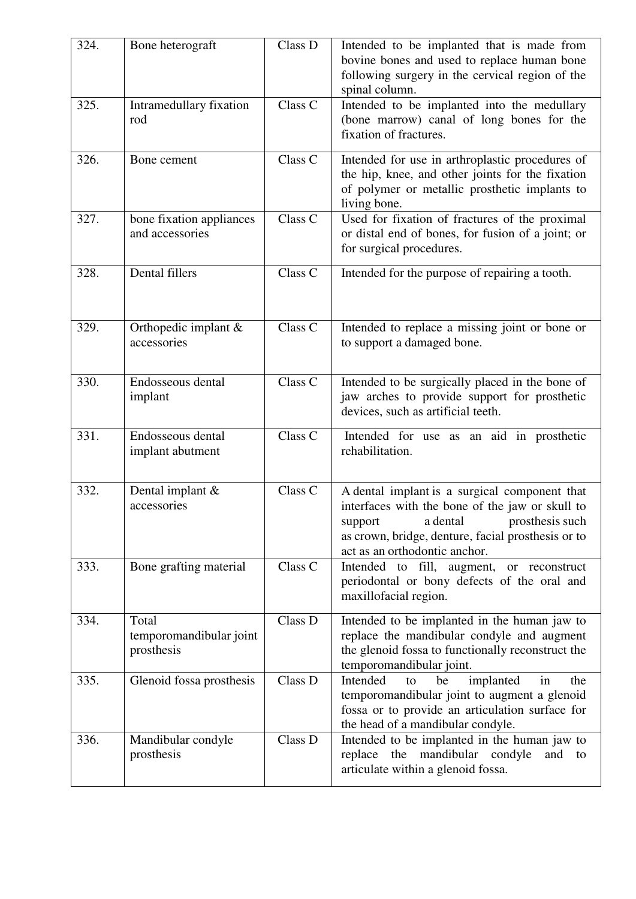| 324. | Bone heterograft                               | Class D            | Intended to be implanted that is made from<br>bovine bones and used to replace human bone<br>following surgery in the cervical region of the<br>spinal column.                                                                    |
|------|------------------------------------------------|--------------------|-----------------------------------------------------------------------------------------------------------------------------------------------------------------------------------------------------------------------------------|
| 325. | Intramedullary fixation<br>rod                 | Class <sub>C</sub> | Intended to be implanted into the medullary<br>(bone marrow) canal of long bones for the<br>fixation of fractures.                                                                                                                |
| 326. | Bone cement                                    | Class C            | Intended for use in arthroplastic procedures of<br>the hip, knee, and other joints for the fixation<br>of polymer or metallic prosthetic implants to<br>living bone.                                                              |
| 327. | bone fixation appliances<br>and accessories    | Class C            | Used for fixation of fractures of the proximal<br>or distal end of bones, for fusion of a joint; or<br>for surgical procedures.                                                                                                   |
| 328. | Dental fillers                                 | Class C            | Intended for the purpose of repairing a tooth.                                                                                                                                                                                    |
| 329. | Orthopedic implant $&$<br>accessories          | Class C            | Intended to replace a missing joint or bone or<br>to support a damaged bone.                                                                                                                                                      |
| 330. | Endosseous dental<br>implant                   | Class <sub>C</sub> | Intended to be surgically placed in the bone of<br>jaw arches to provide support for prosthetic<br>devices, such as artificial teeth.                                                                                             |
| 331. | Endosseous dental<br>implant abutment          | Class C            | Intended for use as an aid in prosthetic<br>rehabilitation.                                                                                                                                                                       |
| 332. | Dental implant &<br>accessories                | Class C            | A dental implant is a surgical component that<br>interfaces with the bone of the jaw or skull to<br>a dental<br>prosthesis such<br>support<br>as crown, bridge, denture, facial prosthesis or to<br>act as an orthodontic anchor. |
| 333. | Bone grafting material                         | Class C            | Intended to fill, augment, or reconstruct<br>periodontal or bony defects of the oral and<br>maxillofacial region.                                                                                                                 |
| 334. | Total<br>temporomandibular joint<br>prosthesis | Class D            | Intended to be implanted in the human jaw to<br>replace the mandibular condyle and augment<br>the glenoid fossa to functionally reconstruct the<br>temporomandibular joint.                                                       |
| 335. | Glenoid fossa prosthesis                       | Class D            | Intended<br>implanted<br>be<br>the<br>to<br>in<br>temporomandibular joint to augment a glenoid<br>fossa or to provide an articulation surface for<br>the head of a mandibular condyle.                                            |
| 336. | Mandibular condyle<br>prosthesis               | Class D            | Intended to be implanted in the human jaw to<br>replace the mandibular condyle<br>and<br>to<br>articulate within a glenoid fossa.                                                                                                 |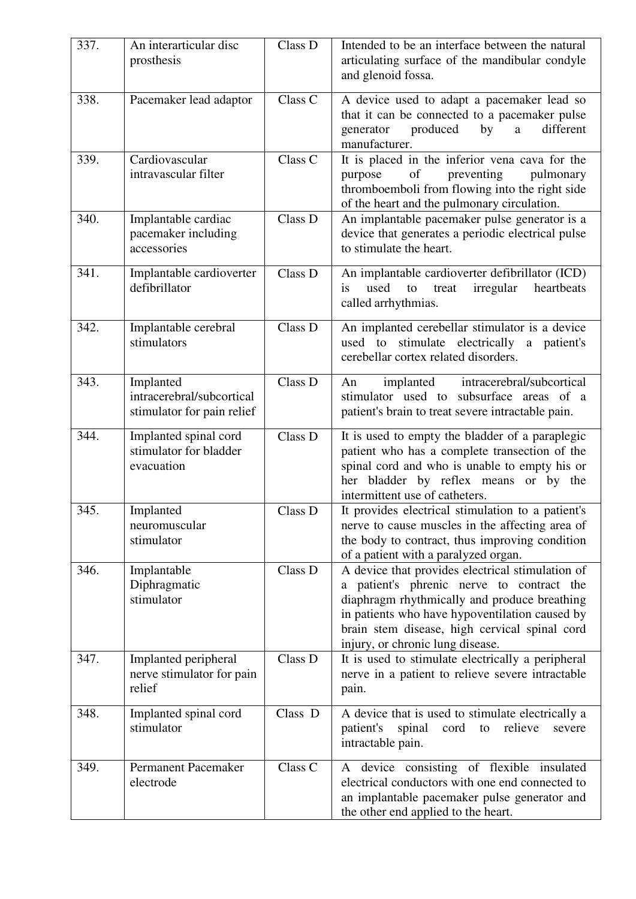| 337. | An interarticular disc<br>prosthesis                                 | Class D | Intended to be an interface between the natural<br>articulating surface of the mandibular condyle<br>and glenoid fossa.                                                                                                                                                              |
|------|----------------------------------------------------------------------|---------|--------------------------------------------------------------------------------------------------------------------------------------------------------------------------------------------------------------------------------------------------------------------------------------|
| 338. | Pacemaker lead adaptor                                               | Class C | A device used to adapt a pacemaker lead so<br>that it can be connected to a pacemaker pulse<br>produced<br>generator<br>by<br>different<br>a<br>manufacturer.                                                                                                                        |
| 339. | Cardiovascular<br>intravascular filter                               | Class C | It is placed in the inferior vena cava for the<br>of<br>preventing<br>pulmonary<br>purpose<br>thromboemboli from flowing into the right side<br>of the heart and the pulmonary circulation.                                                                                          |
| 340. | Implantable cardiac<br>pacemaker including<br>accessories            | Class D | An implantable pacemaker pulse generator is a<br>device that generates a periodic electrical pulse<br>to stimulate the heart.                                                                                                                                                        |
| 341. | Implantable cardioverter<br>defibrillator                            | Class D | An implantable cardioverter defibrillator (ICD)<br>used<br>to<br>treat<br>irregular<br>heartbeats<br>is<br>called arrhythmias.                                                                                                                                                       |
| 342. | Implantable cerebral<br>stimulators                                  | Class D | An implanted cerebellar stimulator is a device<br>used to stimulate electrically a patient's<br>cerebellar cortex related disorders.                                                                                                                                                 |
| 343. | Implanted<br>intracerebral/subcortical<br>stimulator for pain relief | Class D | implanted<br>intracerebral/subcortical<br>An<br>stimulator used to subsurface areas of a<br>patient's brain to treat severe intractable pain.                                                                                                                                        |
| 344. | Implanted spinal cord<br>stimulator for bladder<br>evacuation        | Class D | It is used to empty the bladder of a paraplegic<br>patient who has a complete transection of the<br>spinal cord and who is unable to empty his or<br>her bladder by reflex means or by the<br>intermittent use of catheters.                                                         |
| 345. | Implanted<br>neuromuscular<br>stimulator                             | Class D | It provides electrical stimulation to a patient's<br>nerve to cause muscles in the affecting area of<br>the body to contract, thus improving condition<br>of a patient with a paralyzed organ.                                                                                       |
| 346. | Implantable<br>Diphragmatic<br>stimulator                            | Class D | A device that provides electrical stimulation of<br>a patient's phrenic nerve to contract the<br>diaphragm rhythmically and produce breathing<br>in patients who have hypoventilation caused by<br>brain stem disease, high cervical spinal cord<br>injury, or chronic lung disease. |
| 347. | Implanted peripheral<br>nerve stimulator for pain<br>relief          | Class D | It is used to stimulate electrically a peripheral<br>nerve in a patient to relieve severe intractable<br>pain.                                                                                                                                                                       |
| 348. | Implanted spinal cord<br>stimulator                                  | Class D | A device that is used to stimulate electrically a<br>patient's spinal<br>cord to relieve<br>severe<br>intractable pain.                                                                                                                                                              |
| 349. | <b>Permanent Pacemaker</b><br>electrode                              | Class C | A device consisting of flexible insulated<br>electrical conductors with one end connected to<br>an implantable pacemaker pulse generator and<br>the other end applied to the heart.                                                                                                  |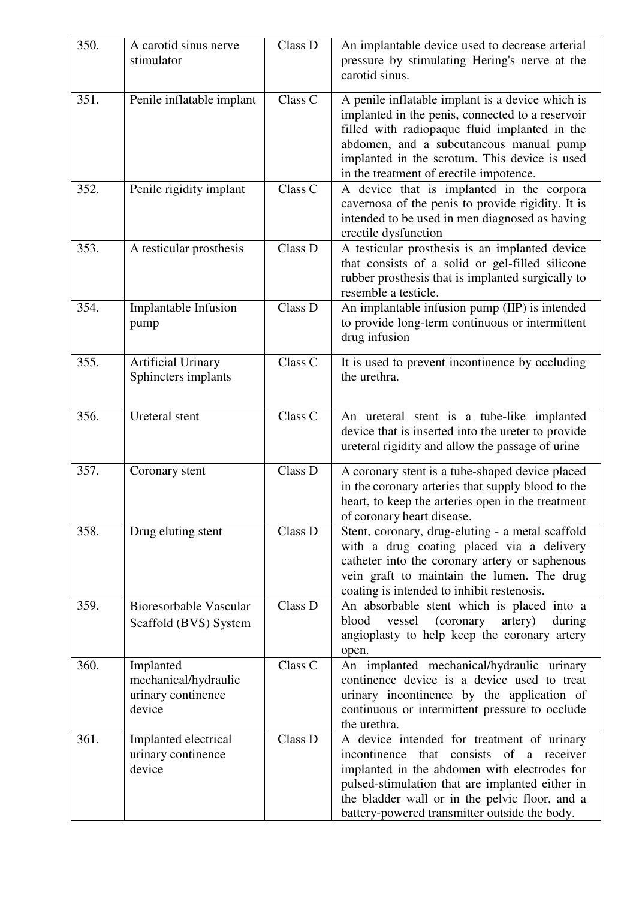| 350. | A carotid sinus nerve<br>stimulator                               | Class D | An implantable device used to decrease arterial<br>pressure by stimulating Hering's nerve at the<br>carotid sinus.                                                                                                                                                                           |
|------|-------------------------------------------------------------------|---------|----------------------------------------------------------------------------------------------------------------------------------------------------------------------------------------------------------------------------------------------------------------------------------------------|
| 351. | Penile inflatable implant                                         | Class C | A penile inflatable implant is a device which is<br>implanted in the penis, connected to a reservoir<br>filled with radiopaque fluid implanted in the<br>abdomen, and a subcutaneous manual pump<br>implanted in the scrotum. This device is used<br>in the treatment of erectile impotence. |
| 352. | Penile rigidity implant                                           | Class C | A device that is implanted in the corpora<br>cavernosa of the penis to provide rigidity. It is<br>intended to be used in men diagnosed as having<br>erectile dysfunction                                                                                                                     |
| 353. | A testicular prosthesis                                           | Class D | A testicular prosthesis is an implanted device<br>that consists of a solid or gel-filled silicone<br>rubber prosthesis that is implanted surgically to<br>resemble a testicle.                                                                                                               |
| 354. | Implantable Infusion<br>pump                                      | Class D | An implantable infusion pump (IIP) is intended<br>to provide long-term continuous or intermittent<br>drug infusion                                                                                                                                                                           |
| 355. | <b>Artificial Urinary</b><br>Sphincters implants                  | Class C | It is used to prevent incontinence by occluding<br>the urethra.                                                                                                                                                                                                                              |
| 356. | Ureteral stent                                                    | Class C | An ureteral stent is a tube-like implanted<br>device that is inserted into the ureter to provide<br>ureteral rigidity and allow the passage of urine                                                                                                                                         |
| 357. | Coronary stent                                                    | Class D | A coronary stent is a tube-shaped device placed<br>in the coronary arteries that supply blood to the<br>heart, to keep the arteries open in the treatment<br>of coronary heart disease.                                                                                                      |
| 358. | Drug eluting stent                                                | Class D | Stent, coronary, drug-eluting - a metal scaffold<br>with a drug coating placed via a delivery<br>catheter into the coronary artery or saphenous<br>vein graft to maintain the lumen. The drug<br>coating is intended to inhibit restenosis.                                                  |
| 359. | Bioresorbable Vascular<br>Scaffold (BVS) System                   | Class D | An absorbable stent which is placed into a<br>blood<br>vessel<br>(coronary<br>artery)<br>during<br>angioplasty to help keep the coronary artery<br>open.                                                                                                                                     |
| 360. | Implanted<br>mechanical/hydraulic<br>urinary continence<br>device | Class C | An implanted mechanical/hydraulic urinary<br>continence device is a device used to treat<br>urinary incontinence by the application of<br>continuous or intermittent pressure to occlude<br>the urethra.                                                                                     |
| 361. | Implanted electrical<br>urinary continence<br>device              | Class D | A device intended for treatment of urinary<br>incontinence that consists of a receiver<br>implanted in the abdomen with electrodes for<br>pulsed-stimulation that are implanted either in<br>the bladder wall or in the pelvic floor, and a<br>battery-powered transmitter outside the body. |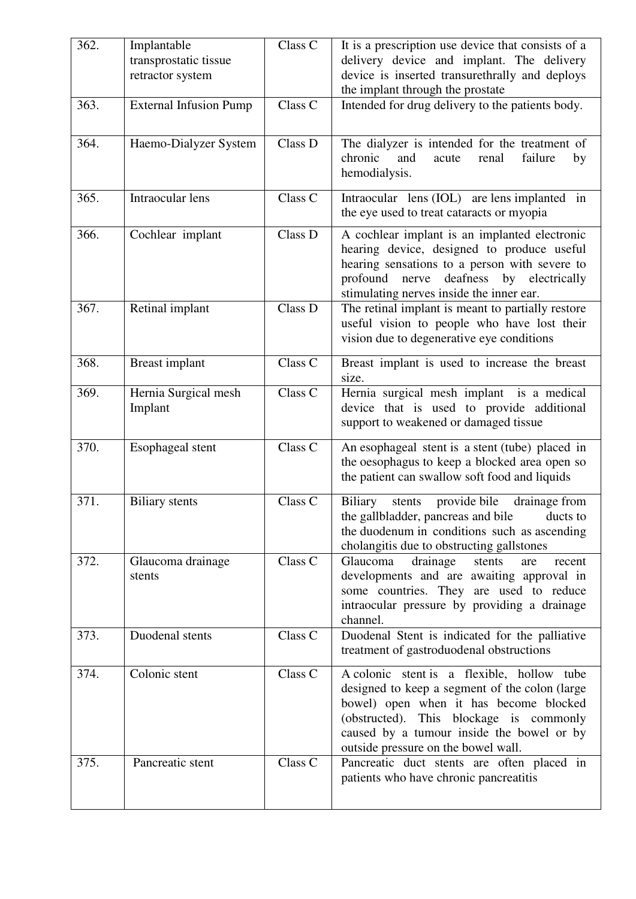| 362. | Implantable<br>transprostatic tissue<br>retractor system | Class C            | It is a prescription use device that consists of a<br>delivery device and implant. The delivery<br>device is inserted transurethrally and deploys<br>the implant through the prostate                                                                                 |
|------|----------------------------------------------------------|--------------------|-----------------------------------------------------------------------------------------------------------------------------------------------------------------------------------------------------------------------------------------------------------------------|
| 363. | <b>External Infusion Pump</b>                            | Class C            | Intended for drug delivery to the patients body.                                                                                                                                                                                                                      |
| 364. | Haemo-Dialyzer System                                    | Class D            | The dialyzer is intended for the treatment of<br>chronic<br>and<br>failure<br>acute<br>renal<br>by<br>hemodialysis.                                                                                                                                                   |
| 365. | Intraocular lens                                         | Class <sub>C</sub> | Intraocular lens (IOL) are lens implanted in<br>the eye used to treat cataracts or myopia                                                                                                                                                                             |
| 366. | Cochlear implant                                         | Class D            | A cochlear implant is an implanted electronic<br>hearing device, designed to produce useful<br>hearing sensations to a person with severe to<br>profound nerve deafness by electrically<br>stimulating nerves inside the inner ear.                                   |
| 367. | Retinal implant                                          | Class D            | The retinal implant is meant to partially restore<br>useful vision to people who have lost their<br>vision due to degenerative eye conditions                                                                                                                         |
| 368. | <b>Breast</b> implant                                    | Class C            | Breast implant is used to increase the breast<br>size.                                                                                                                                                                                                                |
| 369. | Hernia Surgical mesh<br>Implant                          | Class C            | Hernia surgical mesh implant is a medical<br>device that is used to provide additional<br>support to weakened or damaged tissue                                                                                                                                       |
| 370. | Esophageal stent                                         | Class C            | An esophageal stent is a stent (tube) placed in<br>the oesophagus to keep a blocked area open so<br>the patient can swallow soft food and liquids                                                                                                                     |
| 371. | <b>Biliary</b> stents                                    | Class C            | provide bile<br>drainage from<br>Biliary<br>stents<br>the gallbladder, pancreas and bile ducts to<br>the duodenum in conditions such as ascending<br>cholangitis due to obstructing gallstones                                                                        |
| 372. | Glaucoma drainage<br>stents                              | Class <sub>C</sub> | Glaucoma<br>drainage<br>stents<br>recent<br>are<br>developments and are awaiting approval in<br>some countries. They are used to reduce<br>intraocular pressure by providing a drainage<br>channel.                                                                   |
| 373. | Duodenal stents                                          | Class C            | Duodenal Stent is indicated for the palliative<br>treatment of gastroduodenal obstructions                                                                                                                                                                            |
| 374. | Colonic stent                                            | Class C            | A colonic stent is a flexible, hollow tube<br>designed to keep a segment of the colon (large<br>bowel) open when it has become blocked<br>(obstructed). This blockage is commonly<br>caused by a tumour inside the bowel or by<br>outside pressure on the bowel wall. |
| 375. | Pancreatic stent                                         | Class C            | Pancreatic duct stents are often placed in<br>patients who have chronic pancreatitis                                                                                                                                                                                  |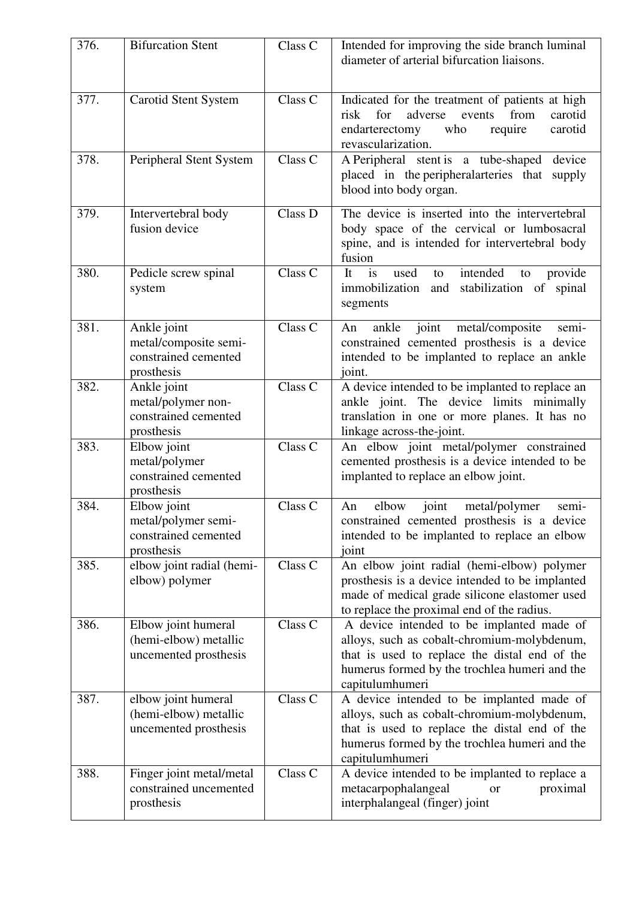| 376. | <b>Bifurcation Stent</b>                                                   | Class C            | Intended for improving the side branch luminal<br>diameter of arterial bifurcation liaisons.                                                                                                                  |
|------|----------------------------------------------------------------------------|--------------------|---------------------------------------------------------------------------------------------------------------------------------------------------------------------------------------------------------------|
| 377. | <b>Carotid Stent System</b>                                                | Class C            | Indicated for the treatment of patients at high<br>adverse<br>carotid<br>risk<br>for<br>from<br>events<br>carotid<br>endarterectomy<br>who<br>require<br>revascularization.                                   |
| 378. | Peripheral Stent System                                                    | Class C            | A Peripheral stent is a tube-shaped<br>device<br>placed in the peripheral arteries that<br>supply<br>blood into body organ.                                                                                   |
| 379. | Intervertebral body<br>fusion device                                       | Class D            | The device is inserted into the intervertebral<br>body space of the cervical or lumbosacral<br>spine, and is intended for intervertebral body<br>fusion                                                       |
| 380. | Pedicle screw spinal<br>system                                             | Class C            | is<br>intended<br>used<br><b>It</b><br>provide<br>to<br>to<br>stabilization of spinal<br>immobilization<br>and<br>segments                                                                                    |
| 381. | Ankle joint<br>metal/composite semi-<br>constrained cemented<br>prosthesis | Class C            | joint<br>ankle<br>metal/composite<br>An<br>semi-<br>constrained cemented prosthesis is a device<br>intended to be implanted to replace an ankle<br>joint.                                                     |
| 382. | Ankle joint<br>metal/polymer non-<br>constrained cemented<br>prosthesis    | Class <sub>C</sub> | A device intended to be implanted to replace an<br>ankle joint. The device limits minimally<br>translation in one or more planes. It has no<br>linkage across-the-joint.                                      |
| 383. | Elbow joint<br>metal/polymer<br>constrained cemented<br>prosthesis         | Class C            | An elbow joint metal/polymer constrained<br>cemented prosthesis is a device intended to be<br>implanted to replace an elbow joint.                                                                            |
| 384. | Elbow joint<br>metal/polymer semi-<br>constrained cemented<br>prosthesis   | Class C            | joint<br>elbow<br>metal/polymer<br>An<br>semi-<br>constrained cemented prosthesis is a device<br>intended to be implanted to replace an elbow<br>joint                                                        |
| 385. | elbow joint radial (hemi-<br>elbow) polymer                                | Class <sub>C</sub> | An elbow joint radial (hemi-elbow) polymer<br>prosthesis is a device intended to be implanted<br>made of medical grade silicone elastomer used<br>to replace the proximal end of the radius.                  |
| 386. | Elbow joint humeral<br>(hemi-elbow) metallic<br>uncemented prosthesis      | Class C            | A device intended to be implanted made of<br>alloys, such as cobalt-chromium-molybdenum,<br>that is used to replace the distal end of the<br>humerus formed by the trochlea humeri and the<br>capitulumhumeri |
| 387. | elbow joint humeral<br>(hemi-elbow) metallic<br>uncemented prosthesis      | Class C            | A device intended to be implanted made of<br>alloys, such as cobalt-chromium-molybdenum,<br>that is used to replace the distal end of the<br>humerus formed by the trochlea humeri and the<br>capitulumhumeri |
| 388. | Finger joint metal/metal<br>constrained uncemented<br>prosthesis           | Class C            | A device intended to be implanted to replace a<br>metacarpophalangeal<br>proximal<br>or<br>interphalangeal (finger) joint                                                                                     |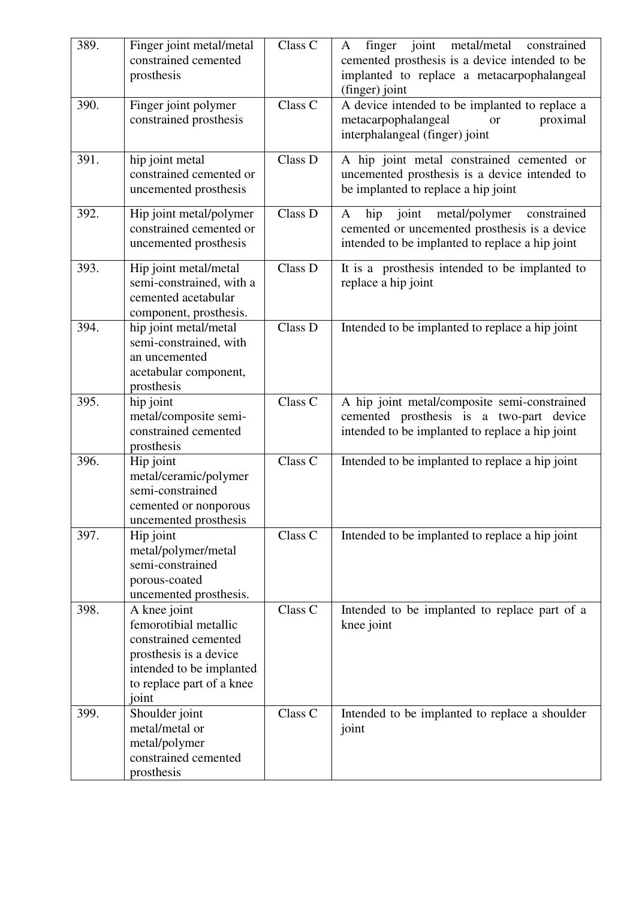| $\overline{389}$ . | Finger joint metal/metal<br>constrained cemented<br>prosthesis                                                                                            | Class <sub>C</sub> | finger joint metal/metal constrained<br>A<br>cemented prosthesis is a device intended to be<br>implanted to replace a metacarpophalangeal<br>(finger) joint |
|--------------------|-----------------------------------------------------------------------------------------------------------------------------------------------------------|--------------------|-------------------------------------------------------------------------------------------------------------------------------------------------------------|
| 390.               | Finger joint polymer<br>constrained prosthesis                                                                                                            | Class <sub>C</sub> | A device intended to be implanted to replace a<br>metacarpophalangeal<br>proximal<br><b>or</b><br>interphalangeal (finger) joint                            |
| 391.               | hip joint metal<br>constrained cemented or<br>uncemented prosthesis                                                                                       | Class D            | A hip joint metal constrained cemented or<br>uncemented prosthesis is a device intended to<br>be implanted to replace a hip joint                           |
| 392.               | Hip joint metal/polymer<br>constrained cemented or<br>uncemented prosthesis                                                                               | Class D            | joint<br>metal/polymer<br>hip<br>constrained<br>A<br>cemented or uncemented prosthesis is a device<br>intended to be implanted to replace a hip joint       |
| 393.               | Hip joint metal/metal<br>semi-constrained, with a<br>cemented acetabular<br>component, prosthesis.                                                        | Class D            | It is a prosthesis intended to be implanted to<br>replace a hip joint                                                                                       |
| 394.               | hip joint metal/metal<br>semi-constrained, with<br>an uncemented<br>acetabular component,<br>prosthesis                                                   | Class D            | Intended to be implanted to replace a hip joint                                                                                                             |
| 395.               | hip joint<br>metal/composite semi-<br>constrained cemented<br>prosthesis                                                                                  | Class C            | A hip joint metal/composite semi-constrained<br>cemented prosthesis is a two-part device<br>intended to be implanted to replace a hip joint                 |
| 396.               | Hip joint<br>metal/ceramic/polymer<br>semi-constrained<br>cemented or nonporous<br>uncemented prosthesis                                                  | Class C            | Intended to be implanted to replace a hip joint                                                                                                             |
| 397.               | Hip joint<br>metal/polymer/metal<br>semi-constrained<br>porous-coated<br>uncemented prosthesis.                                                           | Class C            | Intended to be implanted to replace a hip joint                                                                                                             |
| 398.               | A knee joint<br>femorotibial metallic<br>constrained cemented<br>prosthesis is a device<br>intended to be implanted<br>to replace part of a knee<br>joint | Class C            | Intended to be implanted to replace part of a<br>knee joint                                                                                                 |
| 399.               | Shoulder joint<br>metal/metal or<br>metal/polymer<br>constrained cemented<br>prosthesis                                                                   | Class C            | Intended to be implanted to replace a shoulder<br>joint                                                                                                     |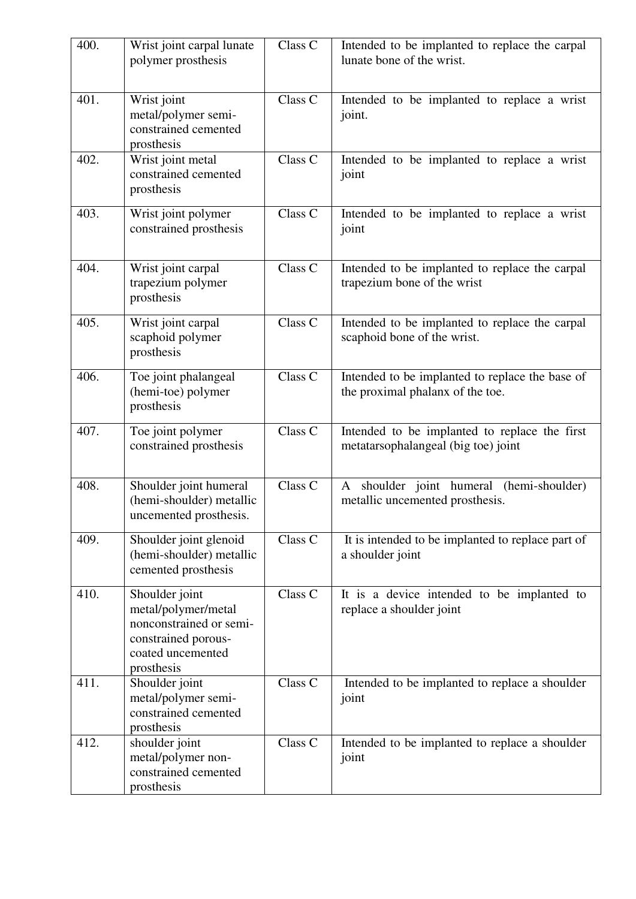| 400. | Wrist joint carpal lunate<br>polymer prosthesis                                                                            | Class C | Intended to be implanted to replace the carpal<br>lunate bone of the wrist.          |
|------|----------------------------------------------------------------------------------------------------------------------------|---------|--------------------------------------------------------------------------------------|
| 401. | Wrist joint<br>metal/polymer semi-<br>constrained cemented<br>prosthesis                                                   | Class C | Intended to be implanted to replace a wrist<br>joint.                                |
| 402. | Wrist joint metal<br>constrained cemented<br>prosthesis                                                                    | Class C | Intended to be implanted to replace a wrist<br>joint                                 |
| 403. | Wrist joint polymer<br>constrained prosthesis                                                                              | Class C | Intended to be implanted to replace a wrist<br>joint                                 |
| 404. | Wrist joint carpal<br>trapezium polymer<br>prosthesis                                                                      | Class C | Intended to be implanted to replace the carpal<br>trapezium bone of the wrist        |
| 405. | Wrist joint carpal<br>scaphoid polymer<br>prosthesis                                                                       | Class C | Intended to be implanted to replace the carpal<br>scaphoid bone of the wrist.        |
| 406. | Toe joint phalangeal<br>(hemi-toe) polymer<br>prosthesis                                                                   | Class C | Intended to be implanted to replace the base of<br>the proximal phalanx of the toe.  |
| 407. | Toe joint polymer<br>constrained prosthesis                                                                                | Class C | Intended to be implanted to replace the first<br>metatarsophalangeal (big toe) joint |
| 408. | Shoulder joint humeral<br>(hemi-shoulder) metallic<br>uncemented prosthesis.                                               | Class C | shoulder joint humeral<br>(hemi-shoulder)<br>A<br>metallic uncemented prosthesis.    |
| 409. | Shoulder joint glenoid<br>(hemi-shoulder) metallic<br>cemented prosthesis                                                  | Class C | It is intended to be implanted to replace part of<br>a shoulder joint                |
| 410. | Shoulder joint<br>metal/polymer/metal<br>nonconstrained or semi-<br>constrained porous-<br>coated uncemented<br>prosthesis | Class C | It is a device intended to be implanted to<br>replace a shoulder joint               |
| 411. | Shoulder joint<br>metal/polymer semi-<br>constrained cemented<br>prosthesis                                                | Class C | Intended to be implanted to replace a shoulder<br>joint                              |
| 412. | shoulder joint<br>metal/polymer non-<br>constrained cemented<br>prosthesis                                                 | Class C | Intended to be implanted to replace a shoulder<br>joint                              |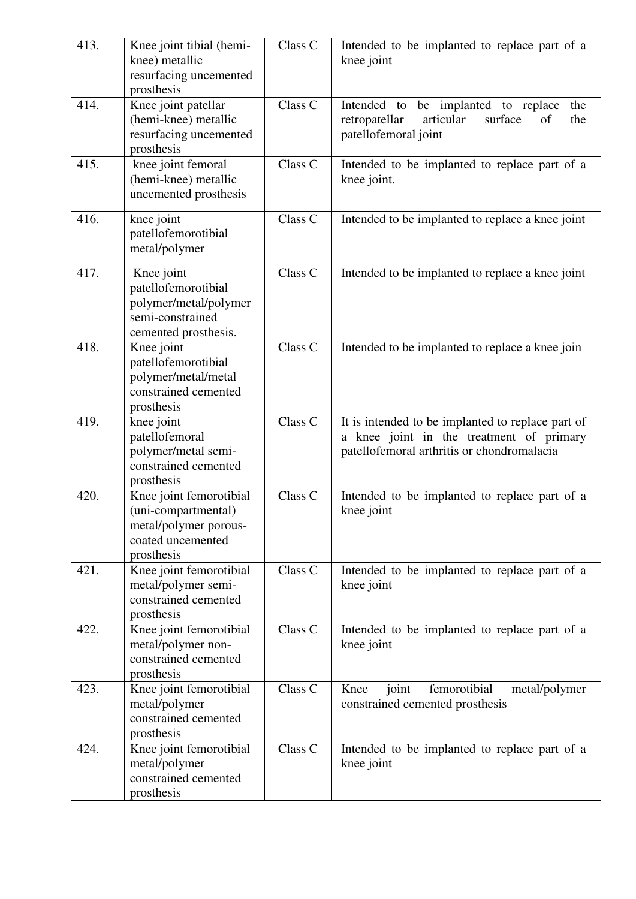| 413. | Knee joint tibial (hemi-<br>knee) metallic<br>resurfacing uncemented<br>prosthesis                         | Class C            | Intended to be implanted to replace part of a<br>knee joint                                                                                 |
|------|------------------------------------------------------------------------------------------------------------|--------------------|---------------------------------------------------------------------------------------------------------------------------------------------|
| 414. | Knee joint patellar<br>(hemi-knee) metallic<br>resurfacing uncemented<br>prosthesis                        | Class C            | Intended to be implanted to replace<br>the<br>articular<br>surface<br>retropatellar<br>of<br>the<br>patellofemoral joint                    |
| 415. | knee joint femoral<br>(hemi-knee) metallic<br>uncemented prosthesis                                        | Class C            | Intended to be implanted to replace part of a<br>knee joint.                                                                                |
| 416. | knee joint<br>patellofemorotibial<br>metal/polymer                                                         | Class C            | Intended to be implanted to replace a knee joint                                                                                            |
| 417. | Knee joint<br>patellofemorotibial<br>polymer/metal/polymer<br>semi-constrained<br>cemented prosthesis.     | Class C            | Intended to be implanted to replace a knee joint                                                                                            |
| 418. | Knee joint<br>patellofemorotibial<br>polymer/metal/metal<br>constrained cemented<br>prosthesis             | Class <sub>C</sub> | Intended to be implanted to replace a knee join                                                                                             |
| 419. | knee joint<br>patellofemoral<br>polymer/metal semi-<br>constrained cemented<br>prosthesis                  | Class C            | It is intended to be implanted to replace part of<br>a knee joint in the treatment of primary<br>patellofemoral arthritis or chondromalacia |
| 420. | Knee joint femorotibial<br>(uni-compartmental)<br>metal/polymer porous-<br>coated uncemented<br>prosthesis | Class C            | Intended to be implanted to replace part of a<br>knee joint                                                                                 |
| 421. | Knee joint femorotibial<br>metal/polymer semi-<br>constrained cemented<br>prosthesis                       | Class C            | Intended to be implanted to replace part of a<br>knee joint                                                                                 |
| 422. | Knee joint femorotibial<br>metal/polymer non-<br>constrained cemented<br>prosthesis                        | Class C            | Intended to be implanted to replace part of a<br>knee joint                                                                                 |
| 423. | Knee joint femorotibial<br>metal/polymer<br>constrained cemented<br>prosthesis                             | Class C            | femorotibial<br>joint<br>Knee<br>metal/polymer<br>constrained cemented prosthesis                                                           |
| 424. | Knee joint femorotibial<br>metal/polymer<br>constrained cemented<br>prosthesis                             | Class C            | Intended to be implanted to replace part of a<br>knee joint                                                                                 |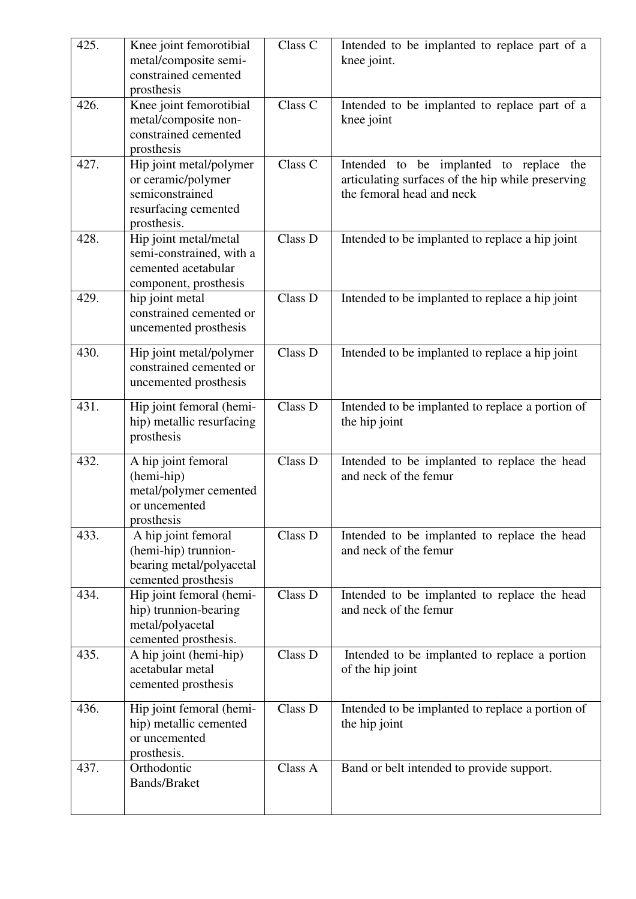| 425. | Knee joint femorotibial<br>metal/composite semi-<br>constrained cemented<br>prosthesis                  | Class C              | Intended to be implanted to replace part of a<br>knee joint.                                                                    |
|------|---------------------------------------------------------------------------------------------------------|----------------------|---------------------------------------------------------------------------------------------------------------------------------|
| 426. | Knee joint femorotibial<br>metal/composite non-<br>constrained cemented<br>prosthesis                   | Class C              | Intended to be implanted to replace part of a<br>knee joint                                                                     |
| 427. | Hip joint metal/polymer<br>or ceramic/polymer<br>semiconstrained<br>resurfacing cemented<br>prosthesis. | Class C              | be implanted to replace<br>Intended to<br>the<br>articulating surfaces of the hip while preserving<br>the femoral head and neck |
| 428. | Hip joint metal/metal<br>semi-constrained, with a<br>cemented acetabular<br>component, prosthesis       | Class D              | Intended to be implanted to replace a hip joint                                                                                 |
| 429. | hip joint metal<br>constrained cemented or<br>uncemented prosthesis                                     | Class D              | Intended to be implanted to replace a hip joint                                                                                 |
| 430. | Hip joint metal/polymer<br>constrained cemented or<br>uncemented prosthesis                             | $Class \overline{D}$ | Intended to be implanted to replace a hip joint                                                                                 |
| 431. | Hip joint femoral (hemi-<br>hip) metallic resurfacing<br>prosthesis                                     | Class D              | Intended to be implanted to replace a portion of<br>the hip joint                                                               |
| 432. | A hip joint femoral<br>(hemi-hip)<br>metal/polymer cemented<br>or uncemented<br>prosthesis              | Class D              | Intended to be implanted to replace the head<br>and neck of the femur                                                           |
| 433. | A hip joint femoral<br>(hemi-hip) trunnion-<br>bearing metal/polyacetal<br>cemented prosthesis          | Class D              | Intended to be implanted to replace the head<br>and neck of the femur                                                           |
| 434. | Hip joint femoral (hemi-<br>hip) trunnion-bearing<br>metal/polyacetal<br>cemented prosthesis.           | Class D              | Intended to be implanted to replace the head<br>and neck of the femur                                                           |
| 435. | A hip joint (hemi-hip)<br>acetabular metal<br>cemented prosthesis                                       | Class D              | Intended to be implanted to replace a portion<br>of the hip joint                                                               |
| 436. | Hip joint femoral (hemi-<br>hip) metallic cemented<br>or uncemented<br>prosthesis.                      | Class D              | Intended to be implanted to replace a portion of<br>the hip joint                                                               |
| 437. | Orthodontic<br><b>Bands/Braket</b>                                                                      | Class A              | Band or belt intended to provide support.                                                                                       |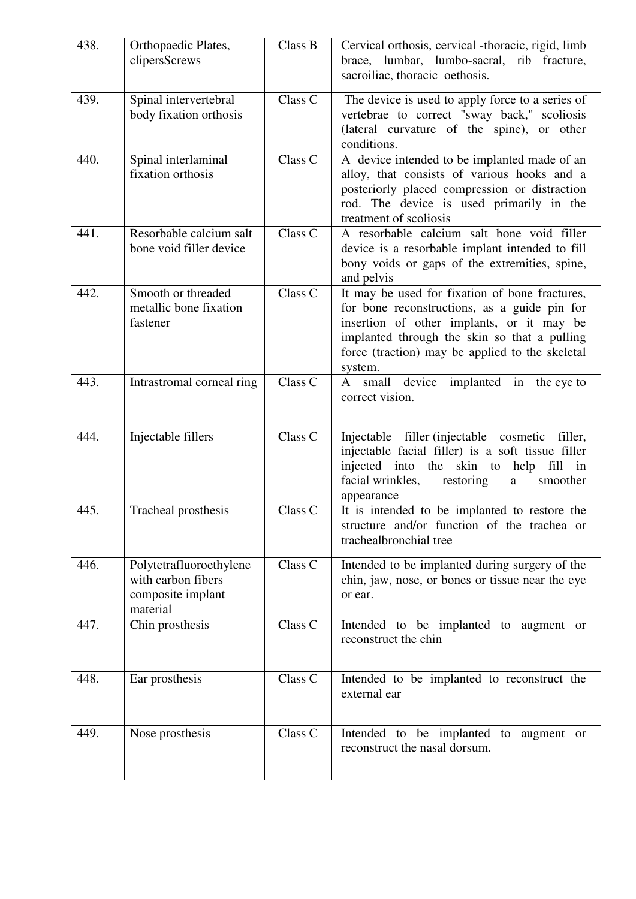| 438. | Orthopaedic Plates,<br>clipersScrews                                           | Class B            | Cervical orthosis, cervical -thoracic, rigid, limb<br>brace, lumbar, lumbo-sacral, rib fracture,<br>sacroiliac, thoracic oethosis.                                                                                                                        |
|------|--------------------------------------------------------------------------------|--------------------|-----------------------------------------------------------------------------------------------------------------------------------------------------------------------------------------------------------------------------------------------------------|
| 439. | Spinal intervertebral<br>body fixation orthosis                                | Class C            | The device is used to apply force to a series of<br>vertebrae to correct "sway back," scoliosis<br>(lateral curvature of the spine), or other<br>conditions.                                                                                              |
| 440. | Spinal interlaminal<br>fixation orthosis                                       | Class C            | A device intended to be implanted made of an<br>alloy, that consists of various hooks and a<br>posteriorly placed compression or distraction<br>rod. The device is used primarily in the<br>treatment of scoliosis                                        |
| 441. | Resorbable calcium salt<br>bone void filler device                             | Class C            | A resorbable calcium salt bone void filler<br>device is a resorbable implant intended to fill<br>bony voids or gaps of the extremities, spine,<br>and pelvis                                                                                              |
| 442. | Smooth or threaded<br>metallic bone fixation<br>fastener                       | Class <sub>C</sub> | It may be used for fixation of bone fractures,<br>for bone reconstructions, as a guide pin for<br>insertion of other implants, or it may be<br>implanted through the skin so that a pulling<br>force (traction) may be applied to the skeletal<br>system. |
| 443. | Intrastromal corneal ring                                                      | Class C            | implanted in the eye to<br>small device<br>correct vision.                                                                                                                                                                                                |
| 444. | Injectable fillers                                                             | Class C            | Injectable filler (injectable cosmetic filler,<br>injectable facial filler) is a soft tissue filler<br>injected into the skin to<br>help<br>fill<br>in<br>facial wrinkles,<br>restoring<br>smoother<br>a<br>appearance                                    |
| 445. | Tracheal prosthesis                                                            | Class C            | It is intended to be implanted to restore the<br>structure and/or function of the trachea or<br>trachealbronchial tree                                                                                                                                    |
| 446. | Polytetrafluoroethylene<br>with carbon fibers<br>composite implant<br>material | Class C            | Intended to be implanted during surgery of the<br>chin, jaw, nose, or bones or tissue near the eye<br>or ear.                                                                                                                                             |
| 447. | Chin prosthesis                                                                | Class C            | Intended to be implanted to augment or<br>reconstruct the chin                                                                                                                                                                                            |
| 448. | Ear prosthesis                                                                 | Class C            | Intended to be implanted to reconstruct the<br>external ear                                                                                                                                                                                               |
| 449. | Nose prosthesis                                                                | Class C            | Intended to be implanted to augment or<br>reconstruct the nasal dorsum.                                                                                                                                                                                   |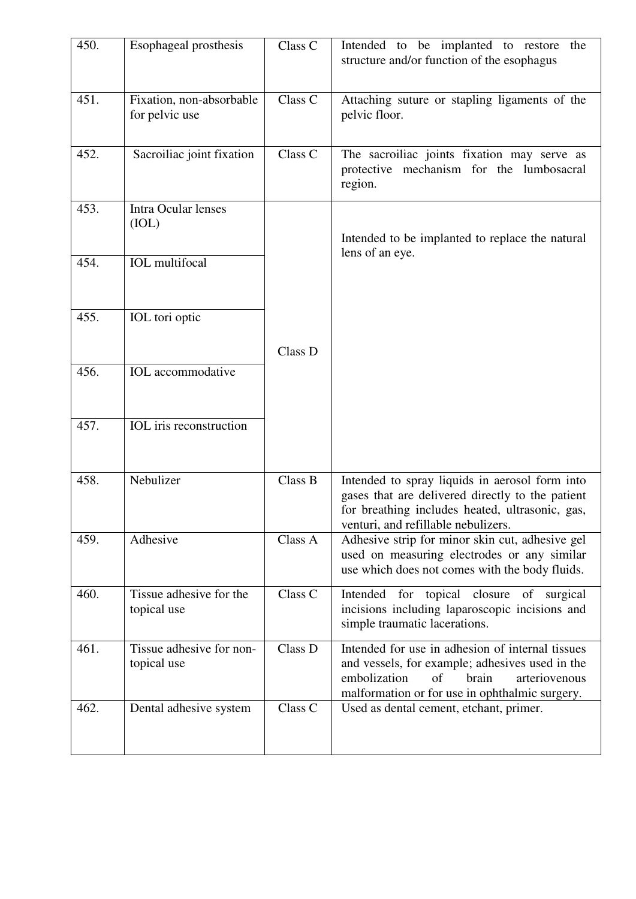| 450. | Esophageal prosthesis                      | Class C            | Intended to be implanted to restore<br>the<br>structure and/or function of the esophagus                                                                                                              |
|------|--------------------------------------------|--------------------|-------------------------------------------------------------------------------------------------------------------------------------------------------------------------------------------------------|
| 451. | Fixation, non-absorbable<br>for pelvic use | Class <sub>C</sub> | Attaching suture or stapling ligaments of the<br>pelvic floor.                                                                                                                                        |
| 452. | Sacroiliac joint fixation                  | Class C            | The sacroiliac joints fixation may serve as<br>protective mechanism for the lumbosacral<br>region.                                                                                                    |
| 453. | Intra Ocular lenses<br>(IOL)               |                    | Intended to be implanted to replace the natural<br>lens of an eye.                                                                                                                                    |
| 454. | <b>IOL</b> multifocal                      |                    |                                                                                                                                                                                                       |
| 455. | IOL tori optic                             | Class D            |                                                                                                                                                                                                       |
| 456. | <b>IOL</b> accommodative                   |                    |                                                                                                                                                                                                       |
| 457. | <b>IOL</b> iris reconstruction             |                    |                                                                                                                                                                                                       |
| 458. | Nebulizer                                  | Class B            | Intended to spray liquids in aerosol form into<br>gases that are delivered directly to the patient<br>for breathing includes heated, ultrasonic, gas,<br>venturi, and refillable nebulizers.          |
| 459. | Adhesive                                   | Class A            | Adhesive strip for minor skin cut, adhesive gel<br>used on measuring electrodes or any similar<br>use which does not comes with the body fluids.                                                      |
| 460. | Tissue adhesive for the<br>topical use     | Class C            | Intended for topical closure of surgical<br>incisions including laparoscopic incisions and<br>simple traumatic lacerations.                                                                           |
| 461. | Tissue adhesive for non-<br>topical use    | Class D            | Intended for use in adhesion of internal tissues<br>and vessels, for example; adhesives used in the<br>embolization<br>of<br>brain<br>arteriovenous<br>malformation or for use in ophthalmic surgery. |
| 462. | Dental adhesive system                     | Class C            | Used as dental cement, etchant, primer.                                                                                                                                                               |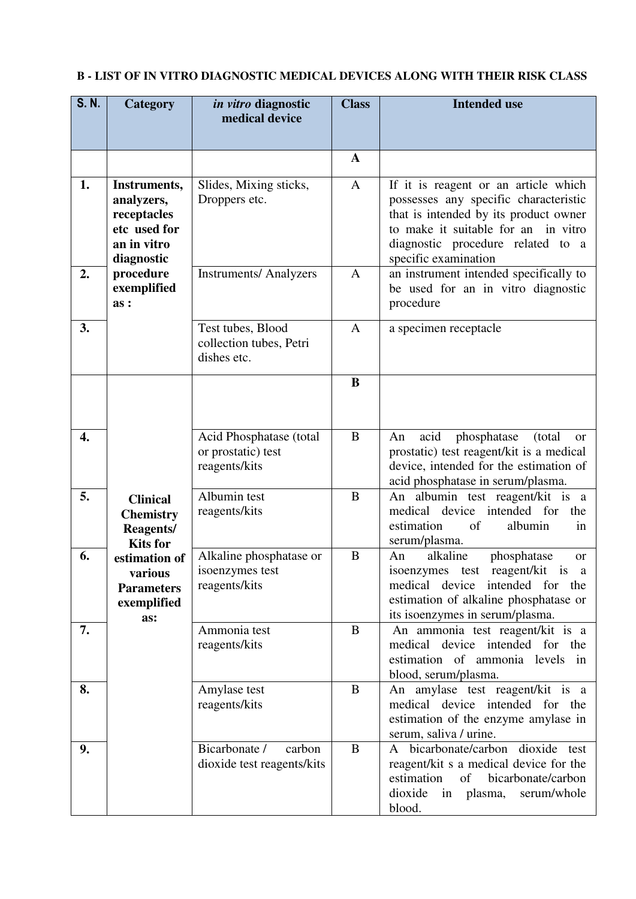| <b>S. N.</b> | <b>Category</b>                                                                        | in vitro diagnostic<br>medical device                          | <b>Class</b> | <b>Intended use</b>                                                                                                                                                                                                        |
|--------------|----------------------------------------------------------------------------------------|----------------------------------------------------------------|--------------|----------------------------------------------------------------------------------------------------------------------------------------------------------------------------------------------------------------------------|
|              |                                                                                        |                                                                |              |                                                                                                                                                                                                                            |
|              |                                                                                        |                                                                | $\mathbf{A}$ |                                                                                                                                                                                                                            |
| 1.           | Instruments,<br>analyzers,<br>receptacles<br>etc used for<br>an in vitro<br>diagnostic | Slides, Mixing sticks,<br>Droppers etc.                        | $\mathbf{A}$ | If it is reagent or an article which<br>possesses any specific characteristic<br>that is intended by its product owner<br>to make it suitable for an in vitro<br>diagnostic procedure related to a<br>specific examination |
| 2.           | procedure<br>exemplified<br>as:                                                        | <b>Instruments/Analyzers</b>                                   | A            | an instrument intended specifically to<br>be used for an in vitro diagnostic<br>procedure                                                                                                                                  |
| 3.           |                                                                                        | Test tubes, Blood<br>collection tubes, Petri<br>dishes etc.    | A            | a specimen receptacle                                                                                                                                                                                                      |
|              |                                                                                        |                                                                | B            |                                                                                                                                                                                                                            |
| 4.           |                                                                                        | Acid Phosphatase (total<br>or prostatic) test<br>reagents/kits | $\bf{B}$     | acid<br>phosphatase<br>An<br>(total<br>or<br>prostatic) test reagent/kit is a medical<br>device, intended for the estimation of<br>acid phosphatase in serum/plasma.                                                       |
| 5.           | <b>Clinical</b><br><b>Chemistry</b><br>Reagents/<br><b>Kits for</b>                    | Albumin test<br>reagents/kits                                  | B            | An albumin test reagent/kit is a<br>medical device intended for the<br>estimation<br>of<br>albumin<br>in<br>serum/plasma.                                                                                                  |
| 6.           | estimation of<br>various<br><b>Parameters</b><br>exemplified<br>as:                    | Alkaline phosphatase or<br>isoenzymes test<br>reagents/kits    | B            | alkaline<br>phosphatase<br>An<br>or<br>isoenzymes test reagent/kit is a<br>medical device intended for the<br>estimation of alkaline phosphatase or<br>its isoenzymes in serum/plasma.                                     |
| 7.           |                                                                                        | Ammonia test<br>reagents/kits                                  | $\mathbf{B}$ | An ammonia test reagent/kit is a<br>medical device intended for the<br>estimation of ammonia levels in<br>blood, serum/plasma.                                                                                             |
| 8.           |                                                                                        | Amylase test<br>reagents/kits                                  | $\bf{B}$     | An amylase test reagent/kit is a<br>medical device intended for the<br>estimation of the enzyme amylase in<br>serum, saliva / urine.                                                                                       |
| 9.           |                                                                                        | Bicarbonate /<br>carbon<br>dioxide test reagents/kits          | $\mathbf{B}$ | A bicarbonate/carbon dioxide test<br>reagent/kit s a medical device for the<br>estimation<br>bicarbonate/carbon<br>of<br>dioxide<br>in plasma, serum/whole<br>blood.                                                       |

## **B - LIST OF IN VITRO DIAGNOSTIC MEDICAL DEVICES ALONG WITH THEIR RISK CLASS**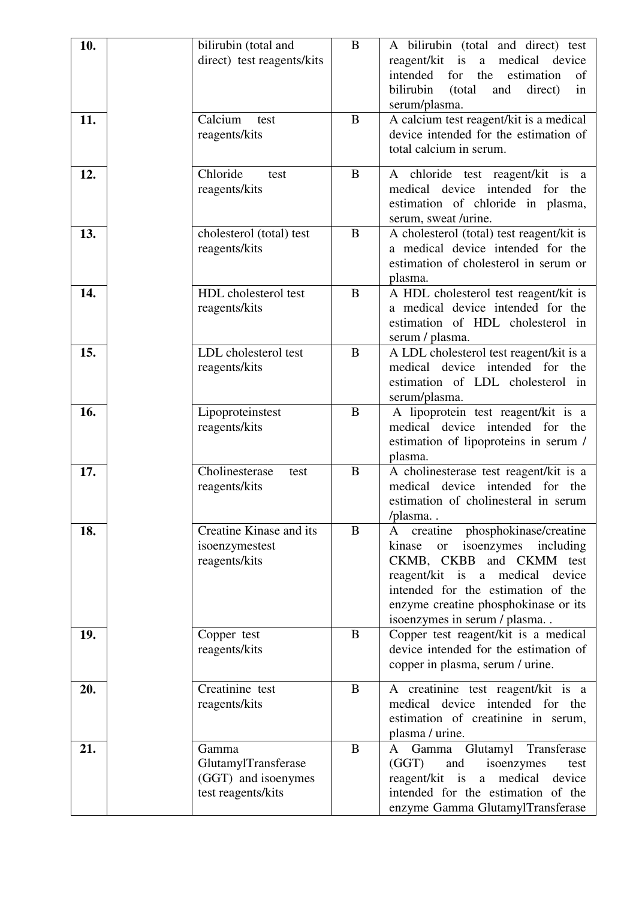| 10. | bilirubin (total and<br>direct) test reagents/kits                        | B        | A bilirubin (total and direct) test<br>reagent/kit is a medical device<br>intended for the<br>estimation<br>of<br>bilirubin<br>direct)<br>in<br>(total)<br>and<br>serum/plasma.                                                                                      |
|-----|---------------------------------------------------------------------------|----------|----------------------------------------------------------------------------------------------------------------------------------------------------------------------------------------------------------------------------------------------------------------------|
| 11. | Calcium<br>test<br>reagents/kits                                          | B        | A calcium test reagent/kit is a medical<br>device intended for the estimation of<br>total calcium in serum.                                                                                                                                                          |
| 12. | Chloride<br>test<br>reagents/kits                                         | B        | A chloride test reagent/kit is a<br>medical device intended for the<br>estimation of chloride in plasma,<br>serum, sweat /urine.                                                                                                                                     |
| 13. | cholesterol (total) test<br>reagents/kits                                 | B        | A cholesterol (total) test reagent/kit is<br>a medical device intended for the<br>estimation of cholesterol in serum or<br>plasma.                                                                                                                                   |
| 14. | HDL cholesterol test<br>reagents/kits                                     | B        | A HDL cholesterol test reagent/kit is<br>a medical device intended for the<br>estimation of HDL cholesterol in<br>serum / plasma.                                                                                                                                    |
| 15. | LDL cholesterol test<br>reagents/kits                                     | $\bf{B}$ | A LDL cholesterol test reagent/kit is a<br>medical device intended for the<br>estimation of LDL cholesterol in<br>serum/plasma.                                                                                                                                      |
| 16. | Lipoproteinstest<br>reagents/kits                                         | B        | A lipoprotein test reagent/kit is a<br>medical device intended for the<br>estimation of lipoproteins in serum /<br>plasma.                                                                                                                                           |
| 17. | Cholinesterase<br>test<br>reagents/kits                                   | B        | A cholinesterase test reagent/kit is a<br>medical device intended for the<br>estimation of cholinesteral in serum<br>/plasma                                                                                                                                         |
| 18. | Creatine Kinase and its<br>isoenzymestest<br>reagents/kits                | B        | creatine phosphokinase/creatine<br>A<br>isoenzymes including<br>kinase<br><sub>or</sub><br>CKMB, CKBB and CKMM test<br>reagent/kit is a medical device<br>intended for the estimation of the<br>enzyme creatine phosphokinase or its<br>isoenzymes in serum / plasma |
| 19. | Copper test<br>reagents/kits                                              | B        | Copper test reagent/kit is a medical<br>device intended for the estimation of<br>copper in plasma, serum / urine.                                                                                                                                                    |
| 20. | Creatinine test<br>reagents/kits                                          | B        | A creatinine test reagent/kit is a<br>medical device intended for the<br>estimation of creatinine in serum,<br>plasma / urine.                                                                                                                                       |
| 21. | Gamma<br>GlutamylTransferase<br>(GGT) and isoenymes<br>test reagents/kits | B        | Gamma Glutamyl Transferase<br>A<br>and<br>(GGT)<br>isoenzymes<br>test<br>reagent/kit is a medical device<br>intended for the estimation of the<br>enzyme Gamma GlutamylTransferase                                                                                   |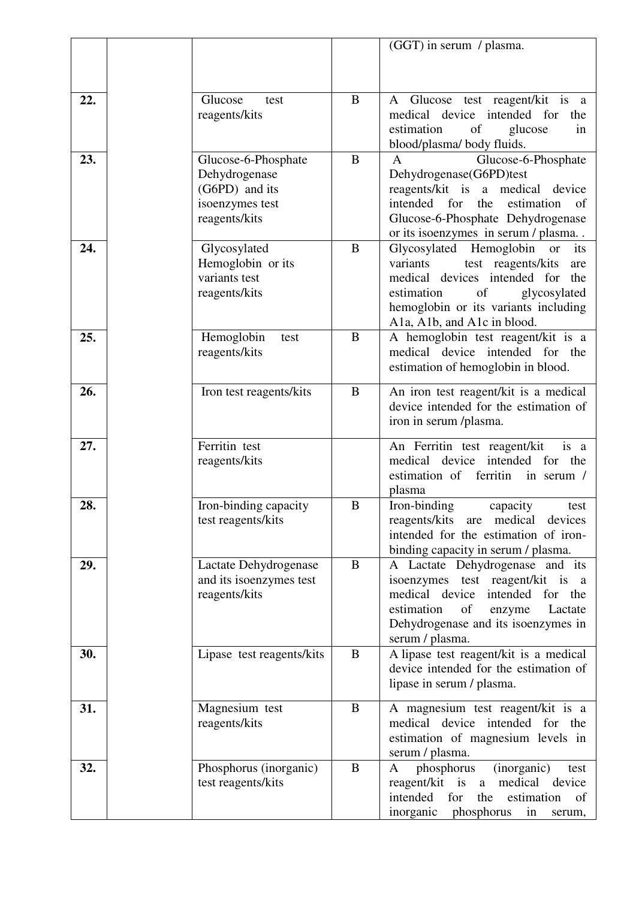|     |                                             |   | (GGT) in serum / plasma.                                                            |
|-----|---------------------------------------------|---|-------------------------------------------------------------------------------------|
|     |                                             |   |                                                                                     |
|     |                                             |   |                                                                                     |
| 22. | Glucose<br>test                             | B | A Glucose test reagent/kit is a                                                     |
|     | reagents/kits                               |   | medical device intended for<br>the                                                  |
|     |                                             |   | estimation<br>of<br>glucose<br>in<br>blood/plasma/ body fluids.                     |
| 23. | Glucose-6-Phosphate                         | B | Glucose-6-Phosphate<br>$\mathsf{A}$                                                 |
|     | Dehydrogenase                               |   | Dehydrogenase(G6PD)test                                                             |
|     | (G6PD) and its                              |   | reagents/kit is a medical device                                                    |
|     | isoenzymes test                             |   | intended for<br>the<br>estimation<br>of                                             |
|     | reagents/kits                               |   | Glucose-6-Phosphate Dehydrogenase                                                   |
|     |                                             |   | or its isoenzymes in serum / plasma                                                 |
| 24. | Glycosylated<br>Hemoglobin or its           | B | Glycosylated Hemoglobin or<br>its<br>variants<br>are                                |
|     | variants test                               |   | test reagents/kits<br>medical devices intended for<br>the                           |
|     | reagents/kits                               |   | estimation<br>of<br>glycosylated                                                    |
|     |                                             |   | hemoglobin or its variants including                                                |
|     |                                             |   | A <sub>1</sub> a, A <sub>1</sub> b, and A <sub>1c</sub> in blood.                   |
| 25. | Hemoglobin<br>test                          | B | A hemoglobin test reagent/kit is a                                                  |
|     | reagents/kits                               |   | medical device intended for the                                                     |
|     |                                             |   | estimation of hemoglobin in blood.                                                  |
| 26. | Iron test reagents/kits                     | B | An iron test reagent/kit is a medical                                               |
|     |                                             |   | device intended for the estimation of                                               |
|     |                                             |   | iron in serum /plasma.                                                              |
| 27. | Ferritin test                               |   | An Ferritin test reagent/kit is a                                                   |
|     | reagents/kits                               |   | medical device intended for the                                                     |
|     |                                             |   | estimation of ferritin in serum /                                                   |
|     |                                             | B | plasma<br>Iron-binding                                                              |
| 28. | Iron-binding capacity<br>test reagents/kits |   | capacity<br>test<br>reagents/kits are medical devices                               |
|     |                                             |   | intended for the estimation of iron-                                                |
|     |                                             |   | binding capacity in serum / plasma.                                                 |
| 29. | Lactate Dehydrogenase                       | B | A Lactate Dehydrogenase and its                                                     |
|     | and its isoenzymes test                     |   | isoenzymes test reagent/kit is a                                                    |
|     | reagents/kits                               |   | medical device intended for the                                                     |
|     |                                             |   | estimation<br>of<br>Lactate<br>enzyme<br>Dehydrogenase and its isoenzymes in        |
|     |                                             |   | serum / plasma.                                                                     |
| 30. | Lipase test reagents/kits                   | B | A lipase test reagent/kit is a medical                                              |
|     |                                             |   | device intended for the estimation of                                               |
|     |                                             |   | lipase in serum / plasma.                                                           |
| 31. | Magnesium test                              | B | A magnesium test reagent/kit is a                                                   |
|     | reagents/kits                               |   | medical device intended for the                                                     |
|     |                                             |   | estimation of magnesium levels in                                                   |
|     |                                             |   | serum / plasma.                                                                     |
| 32. | Phosphorus (inorganic)                      | B | (inorganic)<br>phosphorus<br>A<br>test                                              |
|     | test reagents/kits                          |   | medical device<br>reagent/kit is<br>a<br>intended<br>for<br>the<br>estimation<br>of |
|     |                                             |   | inorganic<br>phosphorus<br>in<br>serum,                                             |
|     |                                             |   |                                                                                     |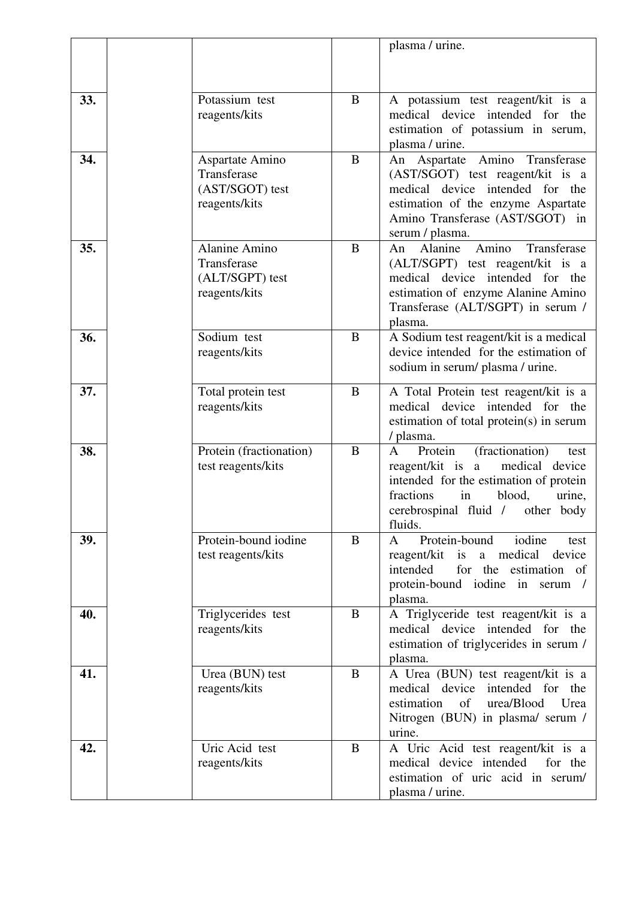|     |                                                                         |          | plasma / urine.                                                                                                                                                                                                       |
|-----|-------------------------------------------------------------------------|----------|-----------------------------------------------------------------------------------------------------------------------------------------------------------------------------------------------------------------------|
|     |                                                                         |          |                                                                                                                                                                                                                       |
|     |                                                                         |          |                                                                                                                                                                                                                       |
| 33. | Potassium test<br>reagents/kits                                         | B        | A potassium test reagent/kit is a<br>medical device intended for the<br>estimation of potassium in serum,<br>plasma / urine.                                                                                          |
| 34. | Aspartate Amino<br>Transferase<br>(AST/SGOT) test<br>reagents/kits      | B        | An Aspartate Amino Transferase<br>(AST/SGOT) test reagent/kit is a<br>medical device intended for the<br>estimation of the enzyme Aspartate<br>Amino Transferase (AST/SGOT) in<br>serum / plasma.                     |
| 35. | <b>Alanine Amino</b><br>Transferase<br>(ALT/SGPT) test<br>reagents/kits | B        | Amino<br>Alanine<br>Transferase<br>An<br>(ALT/SGPT) test reagent/kit is a<br>medical device intended for the<br>estimation of enzyme Alanine Amino<br>Transferase (ALT/SGPT) in serum /<br>plasma.                    |
| 36. | Sodium test<br>reagents/kits                                            | B        | A Sodium test reagent/kit is a medical<br>device intended for the estimation of<br>sodium in serum/ plasma / urine.                                                                                                   |
| 37. | Total protein test<br>reagents/kits                                     | $\bf{B}$ | A Total Protein test reagent/kit is a<br>medical device intended for the<br>estimation of total protein(s) in serum<br>/ plasma.                                                                                      |
| 38. | Protein (fractionation)<br>test reagents/kits                           | B        | Protein<br>(fractionation)<br>$\mathsf{A}$<br>test<br>reagent/kit is a medical device<br>intended for the estimation of protein<br>fractions<br>blood,<br>in<br>urine,<br>cerebrospinal fluid / other body<br>fluids. |
| 39. | Protein-bound iodine<br>test reagents/kits                              | B        | Protein-bound<br>iodine<br>A<br>test<br>reagent/kit is a medical device<br>for the estimation of<br>intended<br>protein-bound iodine in serum /<br>plasma.                                                            |
| 40. | Triglycerides test<br>reagents/kits                                     | B        | A Triglyceride test reagent/kit is a<br>medical device intended for the<br>estimation of triglycerides in serum /<br>plasma.                                                                                          |
| 41. | Urea (BUN) test<br>reagents/kits                                        | B        | A Urea (BUN) test reagent/kit is a<br>medical device intended for the<br>estimation of urea/Blood<br>Urea<br>Nitrogen (BUN) in plasma/ serum /<br>urine.                                                              |
| 42. | Uric Acid test<br>reagents/kits                                         | B        | A Uric Acid test reagent/kit is a<br>medical device intended<br>for the<br>estimation of uric acid in serum/<br>plasma / urine.                                                                                       |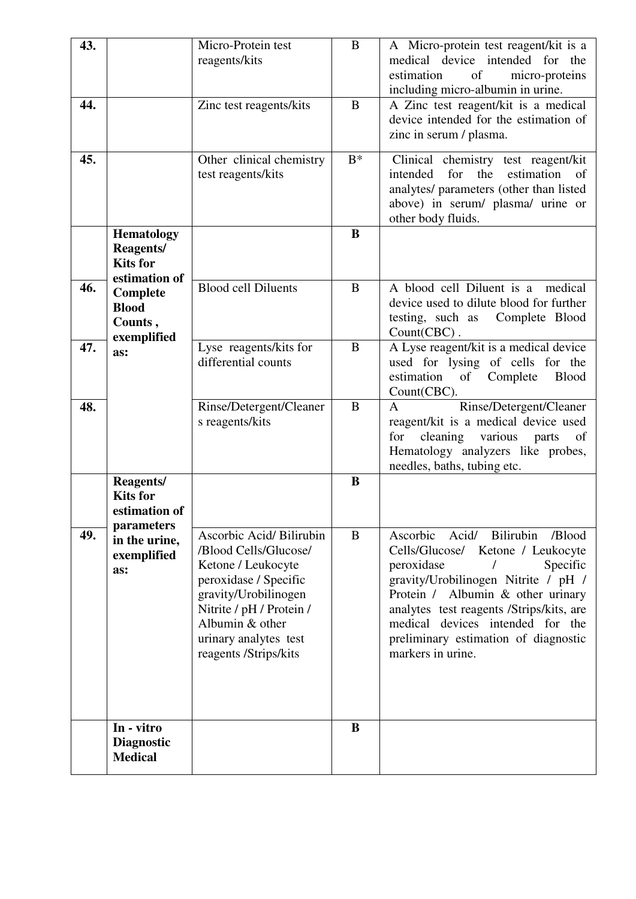| 43. |                                                                    | Micro-Protein test<br>reagents/kits                                                                                                                                                                                       | $\bf{B}$ | A Micro-protein test reagent/kit is a<br>medical device intended for the<br>of<br>estimation<br>micro-proteins<br>including micro-albumin in urine.                                                                                                                                                                     |
|-----|--------------------------------------------------------------------|---------------------------------------------------------------------------------------------------------------------------------------------------------------------------------------------------------------------------|----------|-------------------------------------------------------------------------------------------------------------------------------------------------------------------------------------------------------------------------------------------------------------------------------------------------------------------------|
| 44. |                                                                    | Zinc test reagents/kits                                                                                                                                                                                                   | B        | A Zinc test reagent/kit is a medical<br>device intended for the estimation of<br>zinc in serum / plasma.                                                                                                                                                                                                                |
| 45. |                                                                    | Other clinical chemistry<br>test reagents/kits                                                                                                                                                                            | $B^*$    | Clinical chemistry test reagent/kit<br>the<br>intended<br>estimation<br>for<br>- of<br>analytes/ parameters (other than listed<br>above) in serum/ plasma/ urine or<br>other body fluids.                                                                                                                               |
|     | <b>Hematology</b><br>Reagents/<br><b>Kits for</b><br>estimation of |                                                                                                                                                                                                                           | $\bf{B}$ |                                                                                                                                                                                                                                                                                                                         |
| 46. | Complete<br><b>Blood</b><br>Counts,<br>exemplified                 | <b>Blood cell Diluents</b>                                                                                                                                                                                                | $\bf{B}$ | A blood cell Diluent is a medical<br>device used to dilute blood for further<br>testing, such as Complete Blood<br>Count(CBC).                                                                                                                                                                                          |
| 47. | as:                                                                | Lyse reagents/kits for<br>differential counts                                                                                                                                                                             | $\bf{B}$ | A Lyse reagent/kit is a medical device<br>used for lysing of cells for the<br>estimation<br>of Complete<br><b>Blood</b><br>Count(CBC).                                                                                                                                                                                  |
| 48. |                                                                    | Rinse/Detergent/Cleaner<br>s reagents/kits                                                                                                                                                                                | B        | Rinse/Detergent/Cleaner<br>A<br>reagent/kit is a medical device used<br>for<br>cleaning<br>various<br>parts<br>of<br>Hematology analyzers like probes,<br>needles, baths, tubing etc.                                                                                                                                   |
|     | Reagents/<br><b>Kits for</b><br>estimation of<br>parameters        |                                                                                                                                                                                                                           | $\bf{B}$ |                                                                                                                                                                                                                                                                                                                         |
| 49. | in the urine,<br>exemplified<br>as:                                | Ascorbic Acid/ Bilirubin<br>/Blood Cells/Glucose/<br>Ketone / Leukocyte<br>peroxidase / Specific<br>gravity/Urobilinogen<br>Nitrite / pH / Protein /<br>Albumin & other<br>urinary analytes test<br>reagents /Strips/kits | $\bf{B}$ | Ascorbic Acid/ Bilirubin /Blood<br>Cells/Glucose/ Ketone / Leukocyte<br>Specific<br>peroxidase<br>gravity/Urobilinogen Nitrite / pH /<br>Protein / Albumin & other urinary<br>analytes test reagents /Strips/kits, are<br>medical devices intended for the<br>preliminary estimation of diagnostic<br>markers in urine. |
|     | In - vitro<br><b>Diagnostic</b><br><b>Medical</b>                  |                                                                                                                                                                                                                           | B        |                                                                                                                                                                                                                                                                                                                         |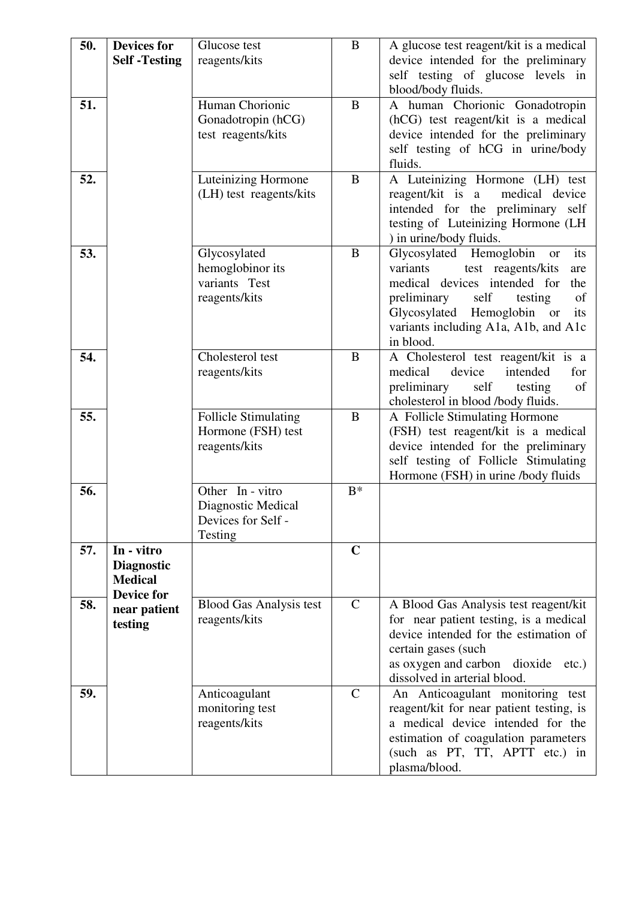| 50. | <b>Devices for</b><br><b>Self-Testing</b>                              | Glucose test<br>reagents/kits                                           | B             | A glucose test reagent/kit is a medical<br>device intended for the preliminary<br>self testing of glucose levels in<br>blood/body fluids.                                                                                                              |
|-----|------------------------------------------------------------------------|-------------------------------------------------------------------------|---------------|--------------------------------------------------------------------------------------------------------------------------------------------------------------------------------------------------------------------------------------------------------|
| 51. |                                                                        | Human Chorionic<br>Gonadotropin (hCG)<br>test reagents/kits             | B             | A human Chorionic Gonadotropin<br>(hCG) test reagent/kit is a medical<br>device intended for the preliminary<br>self testing of hCG in urine/body<br>fluids.                                                                                           |
| 52. |                                                                        | Luteinizing Hormone<br>(LH) test reagents/kits                          | B             | A Luteinizing Hormone (LH) test<br>reagent/kit is a<br>medical device<br>intended for the preliminary self<br>testing of Luteinizing Hormone (LH<br>) in urine/body fluids.                                                                            |
| 53. |                                                                        | Glycosylated<br>hemoglobinor its<br>variants Test<br>reagents/kits      | B             | Glycosylated Hemoglobin<br>its<br>or<br>variants<br>test reagents/kits<br>are<br>medical devices intended for<br>the<br>preliminary<br>self<br>of<br>testing<br>Glycosylated Hemoglobin or<br>its<br>variants including A1a, A1b, and A1c<br>in blood. |
| 54. |                                                                        | Cholesterol test<br>reagents/kits                                       | B             | A Cholesterol test reagent/kit is a<br>intended<br>medical<br>for<br>device<br>preliminary self<br>testing<br>of<br>cholesterol in blood /body fluids.                                                                                                 |
| 55. |                                                                        | <b>Follicle Stimulating</b><br>Hormone (FSH) test<br>reagents/kits      | B             | A Follicle Stimulating Hormone<br>(FSH) test reagent/kit is a medical<br>device intended for the preliminary<br>self testing of Follicle Stimulating<br>Hormone (FSH) in urine /body fluids                                                            |
| 56. |                                                                        | Other In - vitro<br>Diagnostic Medical<br>Devices for Self -<br>Testing | $B^*$         |                                                                                                                                                                                                                                                        |
| 57. | In - vitro<br><b>Diagnostic</b><br><b>Medical</b><br><b>Device for</b> |                                                                         | $\mathbf C$   |                                                                                                                                                                                                                                                        |
| 58. | near patient<br>testing                                                | <b>Blood Gas Analysis test</b><br>reagents/kits                         | $\mathcal{C}$ | A Blood Gas Analysis test reagent/kit<br>for near patient testing, is a medical<br>device intended for the estimation of<br>certain gases (such<br>as oxygen and carbon dioxide<br>$etc.$ )<br>dissolved in arterial blood.                            |
| 59. |                                                                        | Anticoagulant<br>monitoring test<br>reagents/kits                       | $\mathsf{C}$  | An Anticoagulant monitoring test<br>reagent/kit for near patient testing, is<br>a medical device intended for the<br>estimation of coagulation parameters<br>(such as PT, TT, APTT etc.) in<br>plasma/blood.                                           |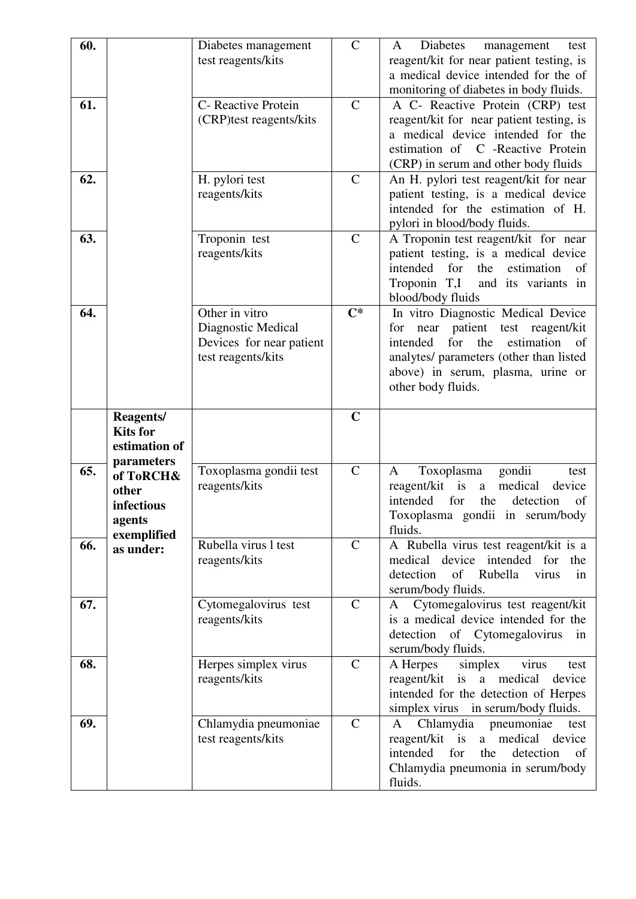| 60. |                 | Diabetes management      | $\mathcal{C}$  | Diabetes<br>management<br>A<br>test                                     |
|-----|-----------------|--------------------------|----------------|-------------------------------------------------------------------------|
|     |                 | test reagents/kits       |                | reagent/kit for near patient testing, is                                |
|     |                 |                          |                | a medical device intended for the of                                    |
|     |                 |                          |                | monitoring of diabetes in body fluids.                                  |
| 61. |                 | C- Reactive Protein      | $\mathsf{C}$   | A C- Reactive Protein (CRP) test                                        |
|     |                 | (CRP)test reagents/kits  |                | reagent/kit for near patient testing, is                                |
|     |                 |                          |                | a medical device intended for the                                       |
|     |                 |                          |                | estimation of C -Reactive Protein                                       |
|     |                 |                          |                | (CRP) in serum and other body fluids                                    |
| 62. |                 | H. pylori test           | $\mathbf C$    | An H. pylori test reagent/kit for near                                  |
|     |                 | reagents/kits            |                | patient testing, is a medical device                                    |
|     |                 |                          |                | intended for the estimation of H.                                       |
|     |                 |                          |                | pylori in blood/body fluids.                                            |
| 63. |                 | Troponin test            | $\mathbf C$    | A Troponin test reagent/kit for near                                    |
|     |                 | reagents/kits            |                | patient testing, is a medical device                                    |
|     |                 |                          |                | intended<br>for<br>estimation<br>the<br>of                              |
|     |                 |                          |                | Troponin T,I<br>and its variants in                                     |
|     |                 |                          |                | blood/body fluids                                                       |
| 64. |                 | Other in vitro           | $\mathbf{C}^*$ | In vitro Diagnostic Medical Device                                      |
|     |                 | Diagnostic Medical       |                | near patient test reagent/kit<br>for                                    |
|     |                 | Devices for near patient |                | the estimation of<br>intended<br>for                                    |
|     |                 | test reagents/kits       |                | analytes/ parameters (other than listed                                 |
|     |                 |                          |                | above) in serum, plasma, urine or                                       |
|     |                 |                          |                | other body fluids.                                                      |
|     | Reagents/       |                          | $\mathbf C$    |                                                                         |
|     | <b>Kits for</b> |                          |                |                                                                         |
|     | estimation of   |                          |                |                                                                         |
|     | parameters      |                          |                |                                                                         |
|     |                 | Toxoplasma gondii test   | $\mathsf{C}$   | Toxoplasma<br>gondii<br>A<br>test                                       |
| 65. | of ToRCH&       |                          |                |                                                                         |
|     | other           | reagents/kits            |                | reagent/kit is a<br>medical<br>device                                   |
|     | infectious      |                          |                | for<br>intended<br>detection<br>the<br>of                               |
|     | agents          |                          |                | Toxoplasma gondii in serum/body                                         |
|     | exemplified     |                          |                | fluids.                                                                 |
| 66. | as under:       | Rubella virus 1 test     | $\mathsf{C}$   | A Rubella virus test reagent/kit is a                                   |
|     |                 | reagents/kits            |                | medical device intended for the                                         |
|     |                 |                          |                | detection<br>of Rubella<br>virus<br>in                                  |
|     |                 |                          |                | serum/body fluids.                                                      |
| 67. |                 | Cytomegalovirus test     | $\mathbf C$    | Cytomegalovirus test reagent/kit<br>A                                   |
|     |                 | reagents/kits            |                | is a medical device intended for the                                    |
|     |                 |                          |                | detection of Cytomegalovirus in                                         |
|     |                 |                          |                | serum/body fluids.                                                      |
| 68. |                 | Herpes simplex virus     | $\mathsf{C}$   | virus<br>A Herpes simplex<br>test                                       |
|     |                 | reagents/kits            |                | reagent/kit is a medical device<br>intended for the detection of Herpes |
|     |                 |                          |                | simplex virus in serum/body fluids.                                     |
| 69. |                 | Chlamydia pneumoniae     | $\mathsf{C}$   | Chlamydia pneumoniae<br>A<br>test                                       |
|     |                 | test reagents/kits       |                | reagent/kit is a medical device                                         |
|     |                 |                          |                | intended<br>for<br>detection<br>the<br><sub>of</sub>                    |
|     |                 |                          |                | Chlamydia pneumonia in serum/body                                       |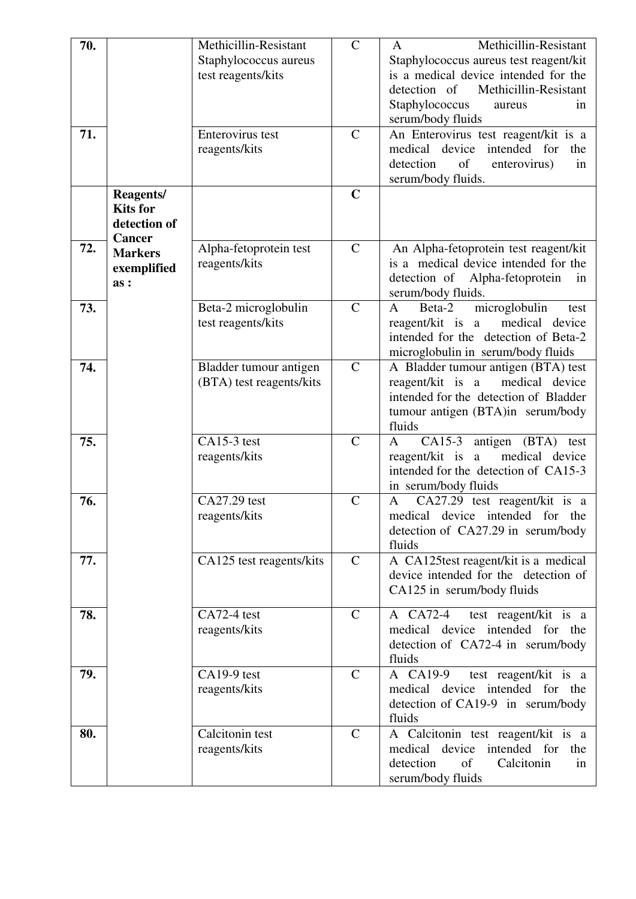| 70.<br>71. |                                                                      | Methicillin-Resistant<br>Staphylococcus aureus<br>test reagents/kits<br>Enterovirus test | $\mathbf C$<br>$\mathsf{C}$ | Methicillin-Resistant<br>A<br>Staphylococcus aureus test reagent/kit<br>is a medical device intended for the<br>Methicillin-Resistant<br>detection of<br>Staphylococcus<br>aureus<br>in<br>serum/body fluids<br>An Enterovirus test reagent/kit is a |
|------------|----------------------------------------------------------------------|------------------------------------------------------------------------------------------|-----------------------------|------------------------------------------------------------------------------------------------------------------------------------------------------------------------------------------------------------------------------------------------------|
|            |                                                                      | reagents/kits                                                                            |                             | medical device intended for<br>the<br>detection<br>of<br>enterovirus)<br>in<br>serum/body fluids.                                                                                                                                                    |
|            | <b>Reagents/</b><br><b>Kits for</b><br>detection of<br><b>Cancer</b> |                                                                                          | $\mathbf C$                 |                                                                                                                                                                                                                                                      |
| 72.        | <b>Markers</b><br>exemplified<br>as:                                 | Alpha-fetoprotein test<br>reagents/kits                                                  | $\mathbf C$                 | An Alpha-fetoprotein test reagent/kit<br>is a medical device intended for the<br>detection of Alpha-fetoprotein<br>in<br>serum/body fluids.                                                                                                          |
| 73.        |                                                                      | Beta-2 microglobulin<br>test reagents/kits                                               | $\mathsf{C}$                | microglobulin<br>Beta-2<br>A<br>test<br>reagent/kit is a<br>medical device<br>intended for the detection of Beta-2<br>microglobulin in serum/body fluids                                                                                             |
| 74.        |                                                                      | Bladder tumour antigen<br>(BTA) test reagents/kits                                       | $\mathbf C$                 | A Bladder tumour antigen (BTA) test<br>reagent/kit is a<br>medical device<br>intended for the detection of Bladder<br>tumour antigen (BTA)in serum/body<br>fluids                                                                                    |
| 75.        |                                                                      | CA15-3 test<br>reagents/kits                                                             | $\mathbf C$                 | $CA15-3$<br>antigen (BTA) test<br>A<br>reagent/kit is a<br>medical device<br>intended for the detection of CA15-3<br>in serum/body fluids                                                                                                            |
| 76.        |                                                                      | CA27.29 test<br>reagents/kits                                                            | $\mathbf C$                 | CA27.29 test reagent/kit is a<br>A<br>medical device intended for the<br>detection of CA27.29 in serum/body<br>fluids                                                                                                                                |
| 77.        |                                                                      | CA125 test reagents/kits                                                                 | $\mathsf{C}$                | A CA125test reagent/kit is a medical<br>device intended for the detection of<br>CA125 in serum/body fluids                                                                                                                                           |
| 78.        |                                                                      | CA72-4 test<br>reagents/kits                                                             | $\mathsf{C}$                | A CA72-4<br>test reagent/kit is a<br>medical device intended for the<br>detection of CA72-4 in serum/body<br>fluids                                                                                                                                  |
| 79.        |                                                                      | CA19-9 test<br>reagents/kits                                                             | $\mathbf C$                 | test reagent/kit is a<br>A CA19-9<br>medical device intended for the<br>detection of CA19-9 in serum/body<br>fluids                                                                                                                                  |
| 80.        |                                                                      | Calcitonin test<br>reagents/kits                                                         | $\mathsf{C}$                | A Calcitonin test reagent/kit is a<br>medical device<br>intended for the<br>detection<br>of<br>Calcitonin<br>in<br>serum/body fluids                                                                                                                 |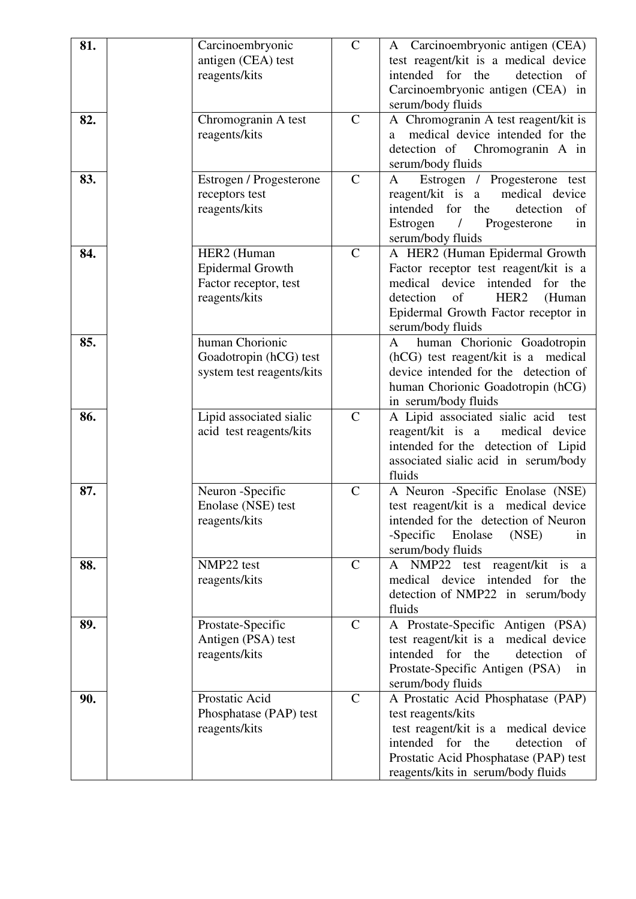| 81. | Carcinoembryonic<br>antigen (CEA) test<br>reagents/kits                          | $\mathsf{C}$ | A Carcinoembryonic antigen (CEA)<br>test reagent/kit is a medical device<br>intended for the<br>detection of<br>Carcinoembryonic antigen (CEA) in<br>serum/body fluids                                              |
|-----|----------------------------------------------------------------------------------|--------------|---------------------------------------------------------------------------------------------------------------------------------------------------------------------------------------------------------------------|
| 82. | Chromogranin A test<br>reagents/kits                                             | $\mathsf{C}$ | A Chromogranin A test reagent/kit is<br>medical device intended for the<br>a<br>detection of Chromogranin A in<br>serum/body fluids                                                                                 |
| 83. | Estrogen / Progesterone<br>receptors test<br>reagents/kits                       | $\mathsf{C}$ | Estrogen / Progesterone test<br>A<br>reagent/kit is a<br>medical device<br>intended for the<br>detection of<br>in<br>Estrogen<br>$\sqrt{2}$<br>Progesterone<br>serum/body fluids                                    |
| 84. | HER2 (Human<br><b>Epidermal Growth</b><br>Factor receptor, test<br>reagents/kits | $\mathsf{C}$ | A HER2 (Human Epidermal Growth<br>Factor receptor test reagent/kit is a<br>medical device intended<br>for the<br>detection<br>HER2<br>of<br>(Human<br>Epidermal Growth Factor receptor in<br>serum/body fluids      |
| 85. | human Chorionic<br>Goadotropin (hCG) test<br>system test reagents/kits           |              | human Chorionic Goadotropin<br>$\mathbf{A}$<br>(hCG) test reagent/kit is a medical<br>device intended for the detection of<br>human Chorionic Goadotropin (hCG)<br>in serum/body fluids                             |
| 86. | Lipid associated sialic<br>acid test reagents/kits                               | $\mathsf{C}$ | A Lipid associated sialic acid<br>test<br>reagent/kit is a<br>medical device<br>intended for the detection of Lipid<br>associated sialic acid in serum/body<br>fluids                                               |
| 87. | Neuron -Specific<br>Enolase (NSE) test<br>reagents/kits                          | $\mathsf{C}$ | A Neuron -Specific Enolase (NSE)<br>test reagent/kit is a medical device<br>intended for the detection of Neuron<br>-Specific Enolase<br>(NSE)<br>in<br>serum/body fluids                                           |
| 88. | NMP22 test<br>reagents/kits                                                      | $\mathsf{C}$ | NMP22 test reagent/kit is a<br>$\mathsf{A}$<br>medical device intended for the<br>detection of NMP22 in serum/body<br>fluids                                                                                        |
| 89. | Prostate-Specific<br>Antigen (PSA) test<br>reagents/kits                         | $\mathbf C$  | A Prostate-Specific Antigen (PSA)<br>test reagent/kit is a medical device<br>intended for the<br>detection<br>of<br>Prostate-Specific Antigen (PSA)<br>in<br>serum/body fluids                                      |
| 90. | Prostatic Acid<br>Phosphatase (PAP) test<br>reagents/kits                        | $\mathsf{C}$ | A Prostatic Acid Phosphatase (PAP)<br>test reagents/kits<br>test reagent/kit is a medical device<br>intended for the<br>detection of<br>Prostatic Acid Phosphatase (PAP) test<br>reagents/kits in serum/body fluids |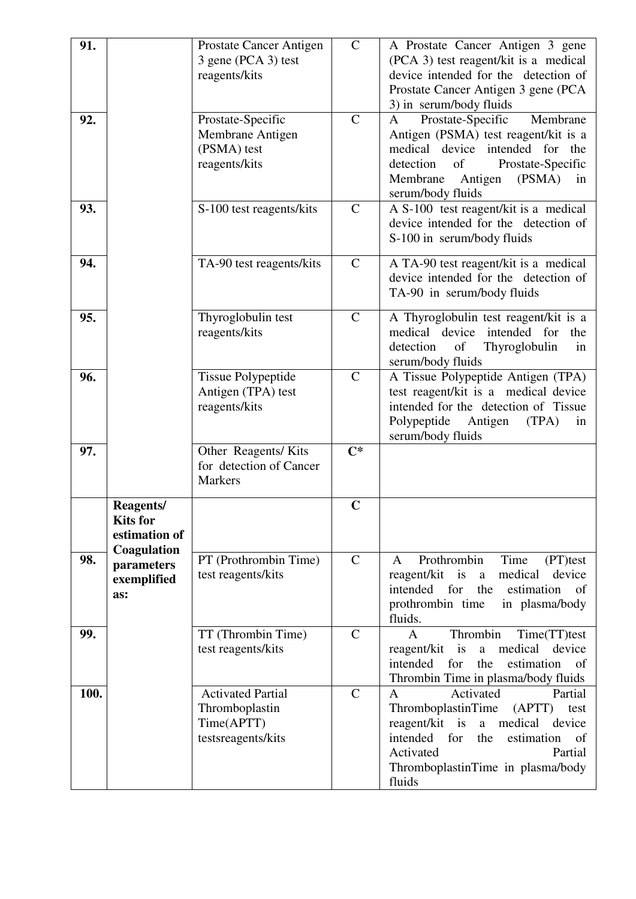| 91.  |                                                              | Prostate Cancer Antigen<br>3 gene (PCA 3) test<br>reagents/kits                | $\mathbf C$    | A Prostate Cancer Antigen 3 gene<br>(PCA 3) test reagent/kit is a medical<br>device intended for the detection of<br>Prostate Cancer Antigen 3 gene (PCA<br>3) in serum/body fluids                                          |
|------|--------------------------------------------------------------|--------------------------------------------------------------------------------|----------------|------------------------------------------------------------------------------------------------------------------------------------------------------------------------------------------------------------------------------|
| 92.  |                                                              | Prostate-Specific<br>Membrane Antigen<br>(PSMA) test<br>reagents/kits          | $\mathsf{C}$   | Membrane<br>Prostate-Specific<br>A<br>Antigen (PSMA) test reagent/kit is a<br>medical device intended for the<br>detection<br>of<br>Prostate-Specific<br>Membrane<br>(PSMA)<br>Antigen<br>in<br>serum/body fluids            |
| 93.  |                                                              | S-100 test reagents/kits                                                       | $\mathsf{C}$   | A S-100 test reagent/kit is a medical<br>device intended for the detection of<br>S-100 in serum/body fluids                                                                                                                  |
| 94.  |                                                              | TA-90 test reagents/kits                                                       | $\mathbf C$    | A TA-90 test reagent/kit is a medical<br>device intended for the detection of<br>TA-90 in serum/body fluids                                                                                                                  |
| 95.  |                                                              | Thyroglobulin test<br>reagents/kits                                            | $\mathbf C$    | A Thyroglobulin test reagent/kit is a<br>medical device intended for<br>the<br>detection<br>of<br>Thyroglobulin<br>in<br>serum/body fluids                                                                                   |
| 96.  |                                                              | <b>Tissue Polypeptide</b><br>Antigen (TPA) test<br>reagents/kits               | $\mathsf{C}$   | A Tissue Polypeptide Antigen (TPA)<br>test reagent/kit is a medical device<br>intended for the detection of Tissue<br>Polypeptide<br>Antigen<br>(TPA)<br>in<br>serum/body fluids                                             |
| 97.  |                                                              | Other Reagents/Kits<br>for detection of Cancer<br><b>Markers</b>               | $\mathbf{C}^*$ |                                                                                                                                                                                                                              |
|      | Reagents/<br><b>Kits for</b><br>estimation of<br>Coagulation |                                                                                | $\mathbf C$    |                                                                                                                                                                                                                              |
| 98.  | parameters<br>exemplified<br>as:                             | PT (Prothrombin Time)<br>test reagents/kits                                    | $\mathsf{C}$   | Prothrombin<br>Time<br>$(PT)$ test<br>A<br>reagent/kit is<br>medical<br>device<br>a<br>intended for<br>the<br>estimation<br>- of<br>prothrombin time<br>in plasma/body<br>fluids.                                            |
| 99.  |                                                              | TT (Thrombin Time)<br>test reagents/kits                                       | $\mathsf{C}$   | Thrombin<br>Time(TT)test<br>$\overline{A}$<br>reagent/kit is<br>medical device<br>a<br>intended<br>for<br>estimation of<br>the<br>Thrombin Time in plasma/body fluids                                                        |
| 100. |                                                              | <b>Activated Partial</b><br>Thromboplastin<br>Time(APTT)<br>testsreagents/kits | $\mathsf{C}$   | Activated<br>Partial<br>A<br>ThromboplastinTime<br>(APTT)<br>test<br>reagent/kit is<br>a medical device<br>intended<br>for<br>the<br>estimation<br>of<br>Activated<br>Partial<br>ThromboplastinTime in plasma/body<br>fluids |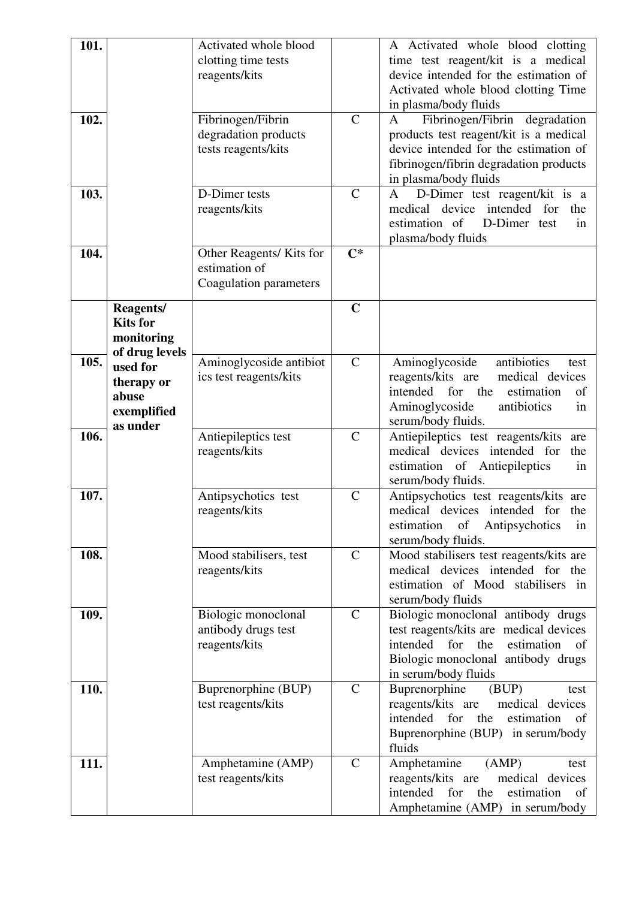| 101. |                                                              | Activated whole blood<br>clotting time tests<br>reagents/kits       |               | A Activated whole blood clotting<br>time test reagent/kit is a medical<br>device intended for the estimation of<br>Activated whole blood clotting Time<br>in plasma/body fluids          |
|------|--------------------------------------------------------------|---------------------------------------------------------------------|---------------|------------------------------------------------------------------------------------------------------------------------------------------------------------------------------------------|
| 102. |                                                              | Fibrinogen/Fibrin<br>degradation products<br>tests reagents/kits    | $\mathcal{C}$ | Fibrinogen/Fibrin degradation<br>A<br>products test reagent/kit is a medical<br>device intended for the estimation of<br>fibrinogen/fibrin degradation products<br>in plasma/body fluids |
| 103. |                                                              | D-Dimer tests<br>reagents/kits                                      | $\mathsf{C}$  | D-Dimer test reagent/kit is a<br>$\mathbf{A}$<br>medical device intended for<br>the<br>D-Dimer test<br>estimation of<br>in<br>plasma/body fluids                                         |
| 104. |                                                              | Other Reagents/ Kits for<br>estimation of<br>Coagulation parameters | $C^*$         |                                                                                                                                                                                          |
|      | Reagents/<br><b>Kits for</b><br>monitoring<br>of drug levels |                                                                     | $\mathbf C$   |                                                                                                                                                                                          |
| 105. | used for<br>therapy or<br>abuse<br>exemplified<br>as under   | Aminoglycoside antibiot<br>ics test reagents/kits                   | $\mathbf C$   | antibiotics<br>Aminoglycoside<br>test<br>reagents/kits are<br>medical devices<br>intended<br>for the<br>estimation<br>of<br>Aminoglycoside<br>antibiotics<br>in<br>serum/body fluids.    |
| 106. |                                                              | Antiepileptics test<br>reagents/kits                                | $\mathbf C$   | Antiepileptics test reagents/kits<br>are<br>medical devices intended for<br>the<br>estimation of Antiepileptics<br>in<br>serum/body fluids.                                              |
| 107. |                                                              | Antipsychotics test<br>reagents/kits                                | $\mathbf C$   | Antipsychotics test reagents/kits are<br>medical devices intended for the<br>estimation<br>Antipsychotics<br>of<br>in<br>serum/body fluids.                                              |
| 108. |                                                              | Mood stabilisers, test<br>reagents/kits                             | $\mathbf C$   | Mood stabilisers test reagents/kits are<br>medical devices intended for the<br>estimation of Mood stabilisers in<br>serum/body fluids                                                    |
| 109. |                                                              | Biologic monoclonal<br>antibody drugs test<br>reagents/kits         | $\mathsf{C}$  | Biologic monoclonal antibody drugs<br>test reagents/kits are medical devices<br>intended<br>for the<br>estimation<br>of<br>Biologic monoclonal antibody drugs<br>in serum/body fluids    |
| 110. |                                                              | Buprenorphine (BUP)<br>test reagents/kits                           | $\mathsf{C}$  | (BUP)<br>Buprenorphine<br>test<br>reagents/kits are<br>medical devices<br>intended for the<br>estimation<br>- of<br>Buprenorphine (BUP) in serum/body<br>fluids                          |
| 111. |                                                              | Amphetamine (AMP)<br>test reagents/kits                             | $\mathsf{C}$  | Amphetamine<br>(AMP)<br>test<br>reagents/kits are<br>medical devices<br>intended for<br>the<br>estimation<br>of<br>Amphetamine (AMP) in serum/body                                       |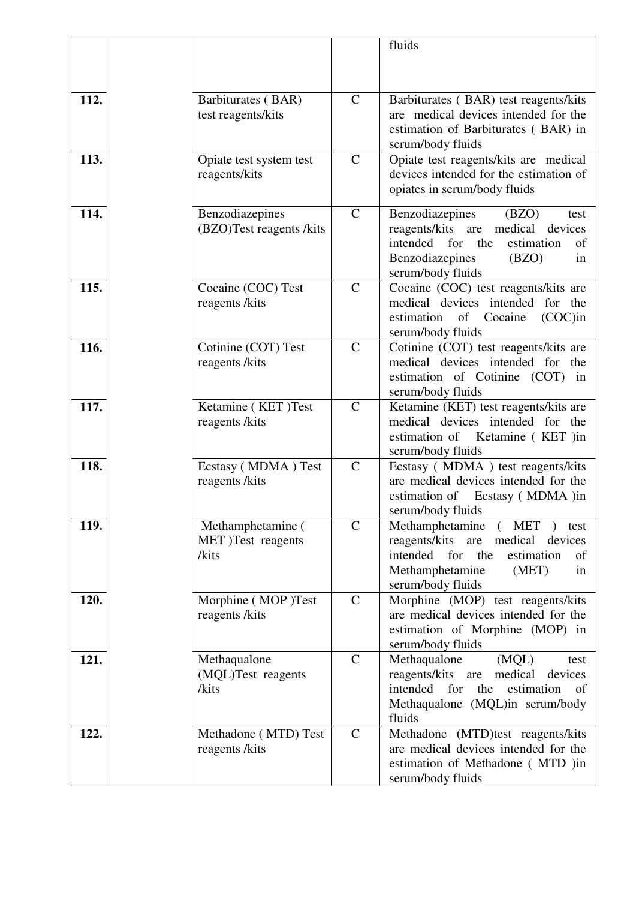|      |                                                 |                | fluids                                                                                                                                                                         |
|------|-------------------------------------------------|----------------|--------------------------------------------------------------------------------------------------------------------------------------------------------------------------------|
|      |                                                 |                |                                                                                                                                                                                |
| 112. | Barbiturates (BAR)<br>test reagents/kits        | $\mathcal{C}$  | Barbiturates (BAR) test reagents/kits<br>are medical devices intended for the<br>estimation of Barbiturates (BAR) in<br>serum/body fluids                                      |
| 113. | Opiate test system test<br>reagents/kits        | $\mathsf{C}$   | Opiate test reagents/kits are medical<br>devices intended for the estimation of<br>opiates in serum/body fluids                                                                |
| 114. | Benzodiazepines<br>(BZO) Test reagents /kits    | $\mathsf{C}$   | Benzodiazepines<br>(BZO)<br>test<br>reagents/kits are medical devices<br>intended for<br>estimation<br>the<br>of<br>Benzodiazepines<br>(BZO)<br>in<br>serum/body fluids        |
| 115. | Cocaine (COC) Test<br>reagents /kits            | $\mathsf{C}$   | Cocaine (COC) test reagents/kits are<br>medical devices intended for the<br>estimation<br>of Cocaine<br>$(COC)$ in<br>serum/body fluids                                        |
| 116. | Cotinine (COT) Test<br>reagents /kits           | $\mathbf C$    | Cotinine (COT) test reagents/kits are<br>medical devices intended for the<br>estimation of Cotinine (COT) in<br>serum/body fluids                                              |
| 117. | Ketamine (KET)Test<br>reagents /kits            | $\mathsf{C}$   | Ketamine (KET) test reagents/kits are<br>medical devices intended for the<br>estimation of Ketamine (KET)in<br>serum/body fluids                                               |
| 118. | Ecstasy (MDMA) Test<br>reagents /kits           | $\mathcal{C}$  | Ecstasy (MDMA) test reagents/kits<br>are medical devices intended for the<br>estimation of Ecstasy (MDMA) in<br>serum/body fluids                                              |
| 119. | Methamphetamine (<br>MET)Test reagents<br>/kits | $\mathbf C$    | Methamphetamine (<br><b>MET</b><br>test<br>reagents/kits are medical devices<br>intended for<br>the<br>estimation<br>of<br>Methamphetamine<br>(MET)<br>in<br>serum/body fluids |
| 120. | Morphine (MOP)Test<br>reagents /kits            | $\mathsf{C}$   | Morphine (MOP) test reagents/kits<br>are medical devices intended for the<br>estimation of Morphine (MOP) in<br>serum/body fluids                                              |
| 121. | Methaqualone<br>(MQL)Test reagents<br>/kits     | $\overline{C}$ | Methaqualone<br>(MQL)<br>test<br>reagents/kits are<br>medical<br>devices<br>intended for<br>the estimation of<br>Methaqualone (MQL)in serum/body<br>fluids                     |
| 122. | Methadone (MTD) Test<br>reagents /kits          | $\mathcal{C}$  | Methadone (MTD)test reagents/kits<br>are medical devices intended for the<br>estimation of Methadone (MTD )in<br>serum/body fluids                                             |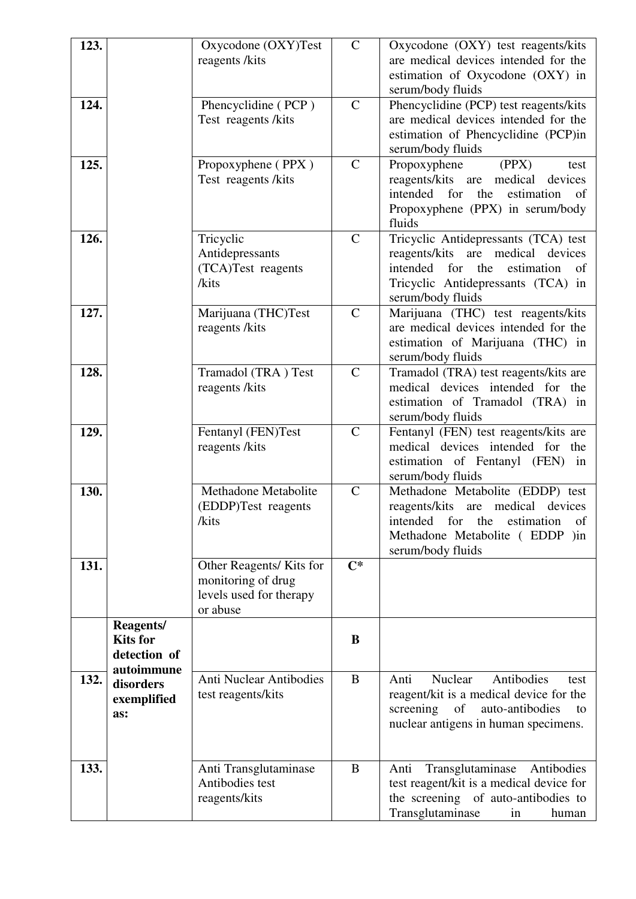| 123. |                                                            | Oxycodone (OXY)Test<br>reagents /kits                                                 | $\mathbf C$    | Oxycodone (OXY) test reagents/kits<br>are medical devices intended for the<br>estimation of Oxycodone (OXY) in<br>serum/body fluids                                                |
|------|------------------------------------------------------------|---------------------------------------------------------------------------------------|----------------|------------------------------------------------------------------------------------------------------------------------------------------------------------------------------------|
| 124. |                                                            | Phencyclidine (PCP)<br>Test reagents /kits                                            | $\mathsf{C}$   | Phencyclidine (PCP) test reagents/kits<br>are medical devices intended for the<br>estimation of Phencyclidine (PCP)in<br>serum/body fluids                                         |
| 125. |                                                            | Propoxyphene (PPX)<br>Test reagents /kits                                             | $\mathsf{C}$   | Propoxyphene<br>(PPX)<br>test<br>reagents/kits are<br>medical<br>devices<br>intended for<br>the<br>estimation<br>of<br>Propoxyphene (PPX) in serum/body<br>fluids                  |
| 126. |                                                            | Tricyclic<br>Antidepressants<br>(TCA)Test reagents<br>/kits                           | $\mathsf{C}$   | Tricyclic Antidepressants (TCA) test<br>reagents/kits are medical devices<br>intended<br>for<br>the<br>estimation<br>of<br>Tricyclic Antidepressants (TCA) in<br>serum/body fluids |
| 127. |                                                            | Marijuana (THC)Test<br>reagents /kits                                                 | $\mathbf C$    | Marijuana (THC) test reagents/kits<br>are medical devices intended for the<br>estimation of Marijuana (THC) in<br>serum/body fluids                                                |
| 128. |                                                            | Tramadol (TRA) Test<br>reagents /kits                                                 | $\mathbf C$    | Tramadol (TRA) test reagents/kits are<br>medical devices intended for the<br>estimation of Tramadol (TRA) in<br>serum/body fluids                                                  |
| 129. |                                                            | Fentanyl (FEN)Test<br>reagents /kits                                                  | $\mathsf{C}$   | Fentanyl (FEN) test reagents/kits are<br>medical devices intended for the<br>estimation of Fentanyl (FEN) in<br>serum/body fluids                                                  |
| 130. |                                                            | Methadone Metabolite<br>(EDDP)Test reagents<br>/kits                                  | $\mathbf C$    | Methadone Metabolite (EDDP) test<br>reagents/kits are<br>medical<br>devices<br>intended<br>the<br>for<br>estimation<br>of<br>Methadone Metabolite (EDDP) in<br>serum/body fluids   |
| 131. |                                                            | Other Reagents/ Kits for<br>monitoring of drug<br>levels used for therapy<br>or abuse | $\mathbf{C}^*$ |                                                                                                                                                                                    |
|      | Reagents/<br><b>Kits for</b><br>detection of<br>autoimmune |                                                                                       | B              |                                                                                                                                                                                    |
| 132. | disorders<br>exemplified<br>as:                            | <b>Anti Nuclear Antibodies</b><br>test reagents/kits                                  | B              | Antibodies<br>Nuclear<br>Anti<br>test<br>reagent/kit is a medical device for the<br>screening<br>of<br>auto-antibodies<br>to<br>nuclear antigens in human specimens.               |
| 133. |                                                            | Anti Transglutaminase<br>Antibodies test<br>reagents/kits                             | B              | Antibodies<br>Transglutaminase<br>Anti<br>test reagent/kit is a medical device for<br>the screening of auto-antibodies to<br>Transglutaminase<br>in<br>human                       |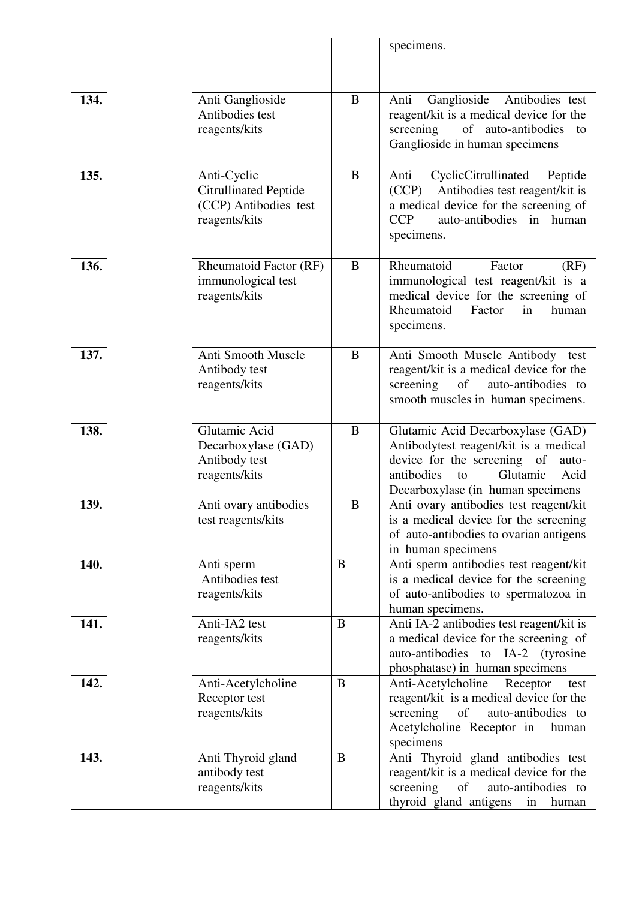|      |                                                                                       |          | specimens.                                                                                                                                                                                      |
|------|---------------------------------------------------------------------------------------|----------|-------------------------------------------------------------------------------------------------------------------------------------------------------------------------------------------------|
| 134. | Anti Ganglioside<br>Antibodies test<br>reagents/kits                                  | B        | Ganglioside<br>Antibodies test<br>Anti<br>reagent/kit is a medical device for the<br>screening<br>of auto-antibodies to<br>Ganglioside in human specimens                                       |
| 135. | Anti-Cyclic<br><b>Citrullinated Peptide</b><br>(CCP) Antibodies test<br>reagents/kits | B        | CyclicCitrullinated<br>Anti<br>Peptide<br>Antibodies test reagent/kit is<br>(CCP)<br>a medical device for the screening of<br><b>CCP</b><br>auto-antibodies in<br>human<br>specimens.           |
| 136. | <b>Rheumatoid Factor (RF)</b><br>immunological test<br>reagents/kits                  | B        | Rheumatoid<br>Factor<br>(RF)<br>immunological test reagent/kit is a<br>medical device for the screening of<br>Rheumatoid<br>Factor<br>human<br>in<br>specimens.                                 |
| 137. | Anti Smooth Muscle<br>Antibody test<br>reagents/kits                                  | B        | Anti Smooth Muscle Antibody test<br>reagent/kit is a medical device for the<br>screening<br>of<br>auto-antibodies to<br>smooth muscles in human specimens.                                      |
| 138. | Glutamic Acid<br>Decarboxylase (GAD)<br>Antibody test<br>reagents/kits                | B        | Glutamic Acid Decarboxylase (GAD)<br>Antibodytest reagent/kit is a medical<br>device for the screening of<br>auto-<br>antibodies<br>Glutamic<br>Acid<br>to<br>Decarboxylase (in human specimens |
| 139. | Anti ovary antibodies<br>test reagents/kits                                           | B        | Anti ovary antibodies test reagent/kit<br>is a medical device for the screening<br>of auto-antibodies to ovarian antigens<br>in human specimens                                                 |
| 140. | Anti sperm<br>Antibodies test<br>reagents/kits                                        | B        | Anti sperm antibodies test reagent/kit<br>is a medical device for the screening<br>of auto-antibodies to spermatozoa in<br>human specimens.                                                     |
| 141. | Anti-IA2 test<br>reagents/kits                                                        | B        | Anti IA-2 antibodies test reagent/kit is<br>a medical device for the screening of<br>auto-antibodies to IA-2 (tyrosine<br>phosphatase) in human specimens                                       |
| 142. | Anti-Acetylcholine<br>Receptor test<br>reagents/kits                                  | B        | Anti-Acetylcholine Receptor<br>test<br>reagent/kit is a medical device for the<br>screening<br>of<br>auto-antibodies to<br>Acetylcholine Receptor in<br>human<br>specimens                      |
| 143. | Anti Thyroid gland<br>antibody test<br>reagents/kits                                  | $\bf{B}$ | Anti Thyroid gland antibodies test<br>reagent/kit is a medical device for the<br>screening<br>of<br>auto-antibodies to<br>thyroid gland antigens in<br>human                                    |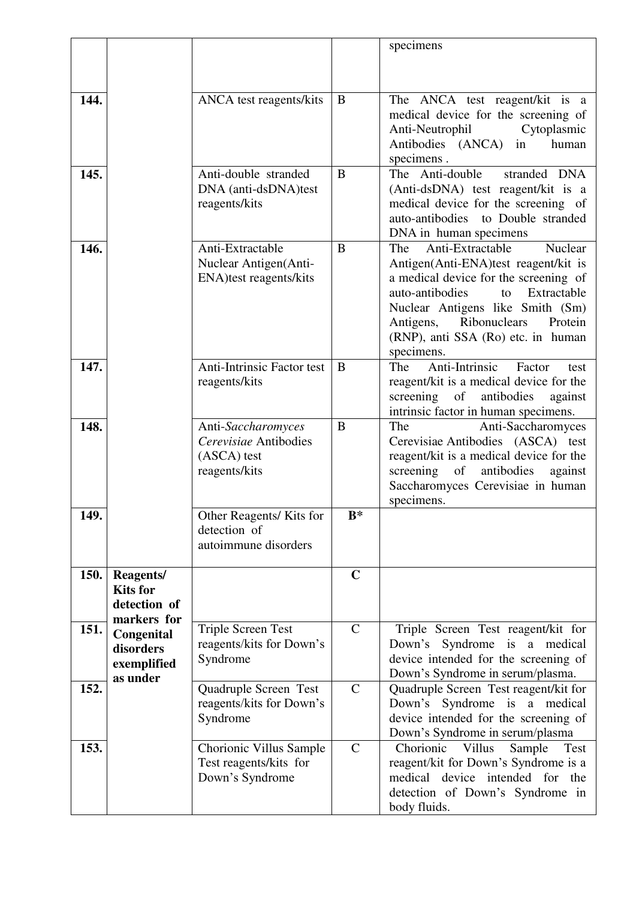|      |                           |                                   |              | specimens                                                                |
|------|---------------------------|-----------------------------------|--------------|--------------------------------------------------------------------------|
|      |                           |                                   |              |                                                                          |
|      |                           |                                   |              |                                                                          |
| 144. |                           | ANCA test reagents/kits           | B            | The ANCA test reagent/kit is a                                           |
|      |                           |                                   |              | medical device for the screening of                                      |
|      |                           |                                   |              | Cytoplasmic<br>Anti-Neutrophil                                           |
|      |                           |                                   |              | Antibodies (ANCA) in<br>human                                            |
|      |                           |                                   |              | specimens.                                                               |
| 145. |                           | Anti-double stranded              | $\bf{B}$     | The Anti-double<br>stranded DNA                                          |
|      |                           | DNA (anti-dsDNA)test              |              | (Anti-dsDNA) test reagent/kit is a                                       |
|      |                           | reagents/kits                     |              | medical device for the screening of                                      |
|      |                           |                                   |              | auto-antibodies to Double stranded                                       |
|      |                           |                                   |              | DNA in human specimens                                                   |
| 146. |                           | Anti-Extractable                  | B            | Anti-Extractable<br>Nuclear<br>The                                       |
|      |                           | Nuclear Antigen(Anti-             |              | Antigen(Anti-ENA)test reagent/kit is                                     |
|      |                           | ENA) test reagents/kits           |              | a medical device for the screening of                                    |
|      |                           |                                   |              | auto-antibodies<br>Extractable<br>to                                     |
|      |                           |                                   |              | Nuclear Antigens like Smith (Sm)                                         |
|      |                           |                                   |              | Ribonuclears<br>Antigens,<br>Protein                                     |
|      |                           |                                   |              | (RNP), anti SSA (Ro) etc. in human                                       |
|      |                           |                                   |              | specimens.                                                               |
| 147. |                           | <b>Anti-Intrinsic Factor test</b> | B            | Anti-Intrinsic<br>The<br>Factor<br>test                                  |
|      |                           | reagents/kits                     |              | reagent/kit is a medical device for the                                  |
|      |                           |                                   |              | screening of<br>antibodies<br>against                                    |
|      |                           |                                   |              | intrinsic factor in human specimens.                                     |
| 148. |                           | Anti-Saccharomyces                | B            | The<br>Anti-Saccharomyces                                                |
|      |                           | Cerevisiae Antibodies             |              | Cerevisiae Antibodies (ASCA) test                                        |
|      |                           | (ASCA) test<br>reagents/kits      |              | reagent/kit is a medical device for the<br>of<br>antibodies<br>screening |
|      |                           |                                   |              | against<br>Saccharomyces Cerevisiae in human                             |
|      |                           |                                   |              | specimens.                                                               |
| 149  |                           | Other Reagents/ Kits for          | $B^*$        |                                                                          |
|      |                           | detection of                      |              |                                                                          |
|      |                           | autoimmune disorders              |              |                                                                          |
|      |                           |                                   |              |                                                                          |
| 150. | Reagents/                 |                                   | $\mathbf C$  |                                                                          |
|      | <b>Kits for</b>           |                                   |              |                                                                          |
|      | detection of              |                                   |              |                                                                          |
| 151. | markers for<br>Congenital | <b>Triple Screen Test</b>         | $\mathbf C$  | Triple Screen Test reagent/kit for                                       |
|      | disorders                 | reagents/kits for Down's          |              | Down's Syndrome is a medical                                             |
|      | exemplified               | Syndrome                          |              | device intended for the screening of                                     |
|      | as under                  |                                   |              | Down's Syndrome in serum/plasma.                                         |
| 152. |                           | Quadruple Screen Test             | $\mathsf{C}$ | Quadruple Screen Test reagent/kit for                                    |
|      |                           | reagents/kits for Down's          |              | Down's Syndrome is a medical                                             |
|      |                           | Syndrome                          |              | device intended for the screening of                                     |
|      |                           |                                   |              | Down's Syndrome in serum/plasma                                          |
| 153. |                           | Chorionic Villus Sample           | $\mathsf{C}$ | Chorionic<br>Villus<br>Sample<br>Test                                    |
|      |                           | Test reagents/kits for            |              | reagent/kit for Down's Syndrome is a                                     |
|      |                           | Down's Syndrome                   |              | medical device intended for the                                          |
|      |                           |                                   |              | detection of Down's Syndrome in                                          |
|      |                           |                                   |              | body fluids.                                                             |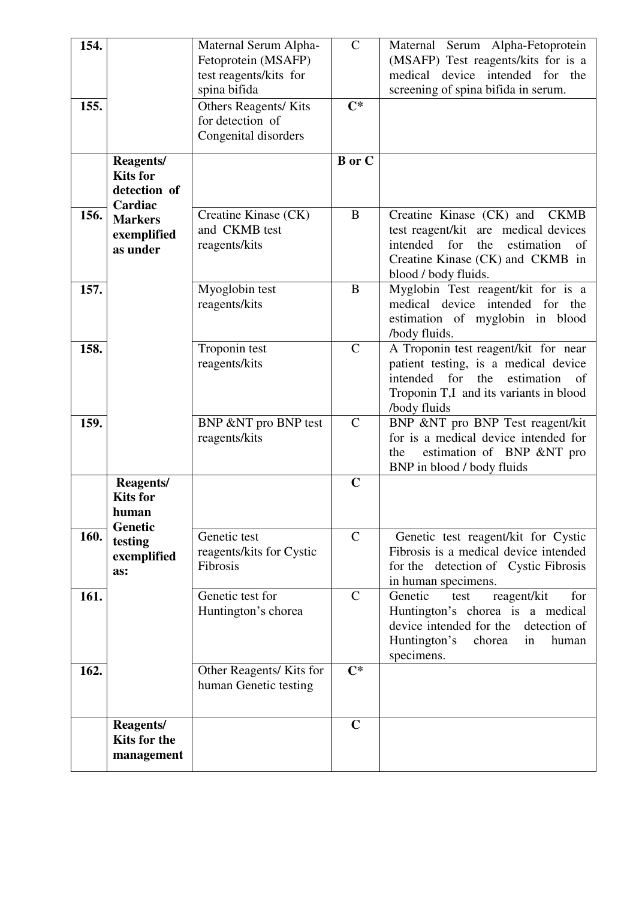| 154. |                                                         | Maternal Serum Alpha-<br>Fetoprotein (MSAFP)                            | $\mathbf C$    | Maternal Serum Alpha-Fetoprotein<br>(MSAFP) Test reagents/kits for is a                                                                                                                         |
|------|---------------------------------------------------------|-------------------------------------------------------------------------|----------------|-------------------------------------------------------------------------------------------------------------------------------------------------------------------------------------------------|
|      |                                                         | test reagents/kits for<br>spina bifida                                  |                | medical device intended for the<br>screening of spina bifida in serum.                                                                                                                          |
| 155. |                                                         | <b>Others Reagents/Kits</b><br>for detection of<br>Congenital disorders | $\mathbf{C}^*$ |                                                                                                                                                                                                 |
|      | Reagents/<br><b>Kits for</b><br>detection of<br>Cardiac |                                                                         | <b>B</b> or C  |                                                                                                                                                                                                 |
| 156. | <b>Markers</b><br>exemplified<br>as under               | Creatine Kinase (CK)<br>and CKMB test<br>reagents/kits                  | $\bf{B}$       | Creatine Kinase (CK) and<br><b>CKMB</b><br>test reagent/kit are medical devices<br>intended<br>for<br>the<br>estimation<br>of<br>Creatine Kinase (CK) and CKMB in<br>blood / body fluids.       |
| 157. |                                                         | Myoglobin test<br>reagents/kits                                         | B              | Myglobin Test reagent/kit for is a<br>medical device intended for the<br>estimation of myglobin in blood<br>/body fluids.                                                                       |
| 158. |                                                         | Troponin test<br>reagents/kits                                          | $\mathsf{C}$   | A Troponin test reagent/kit for near<br>patient testing, is a medical device<br>estimation<br>for<br>the<br>intended<br><sub>of</sub><br>Troponin T,I and its variants in blood<br>/body fluids |
| 159. |                                                         | BNP &NT pro BNP test<br>reagents/kits                                   | $\mathcal{C}$  | BNP &NT pro BNP Test reagent/kit<br>for is a medical device intended for<br>estimation of BNP &NT pro<br>the<br>BNP in blood / body fluids                                                      |
|      | Reagents/<br><b>Kits for</b><br>human<br><b>Genetic</b> |                                                                         | $\mathbf C$    |                                                                                                                                                                                                 |
| 160. | testing<br>exemplified<br>as:                           | Genetic test<br>reagents/kits for Cystic<br>Fibrosis                    | $\mathsf{C}$   | Genetic test reagent/kit for Cystic<br>Fibrosis is a medical device intended<br>for the detection of Cystic Fibrosis<br>in human specimens.                                                     |
| 161. |                                                         | Genetic test for<br>Huntington's chorea                                 | $\mathsf{C}$   | Genetic<br>reagent/kit<br>for<br>test<br>Huntington's chorea is a medical<br>device intended for the detection of<br>Huntington's<br>chorea<br>human<br>in<br>specimens.                        |
| 162. |                                                         | Other Reagents/ Kits for<br>human Genetic testing                       | $\mathbf{C}^*$ |                                                                                                                                                                                                 |
|      | Reagents/<br><b>Kits for the</b><br>management          |                                                                         | $\mathbf C$    |                                                                                                                                                                                                 |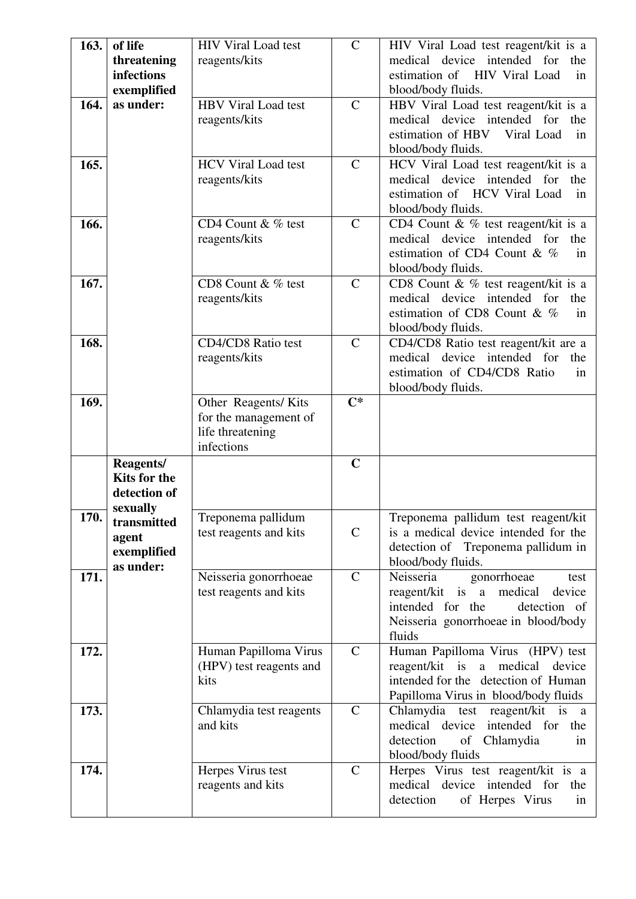| 163. | of life             | <b>HIV Viral Load test</b> | $\mathcal{C}$  | HIV Viral Load test reagent/kit is a                                   |
|------|---------------------|----------------------------|----------------|------------------------------------------------------------------------|
|      | threatening         | reagents/kits              |                | medical device intended for the                                        |
|      | infections          |                            |                | estimation of HIV Viral Load<br>in                                     |
|      | exemplified         |                            |                | blood/body fluids.                                                     |
| 164. | as under:           | <b>HBV Viral Load test</b> | $\mathsf{C}$   | HBV Viral Load test reagent/kit is a                                   |
|      |                     | reagents/kits              |                | medical device intended for the                                        |
|      |                     |                            |                | estimation of HBV<br>Viral Load<br>in                                  |
|      |                     |                            |                | blood/body fluids.                                                     |
| 165. |                     | <b>HCV Viral Load test</b> | $\mathcal{C}$  | HCV Viral Load test reagent/kit is a                                   |
|      |                     | reagents/kits              |                | medical device intended for<br>the                                     |
|      |                     |                            |                | estimation of HCV Viral Load<br>in                                     |
|      |                     |                            |                | blood/body fluids.                                                     |
| 166. |                     | CD4 Count $\& \%$ test     | $\mathsf{C}$   | CD4 Count & $%$ test reagent/kit is a                                  |
|      |                     | reagents/kits              |                | medical device intended for<br>the                                     |
|      |                     |                            |                | estimation of CD4 Count & %<br>in                                      |
|      |                     |                            |                | blood/body fluids.                                                     |
| 167. |                     | CD8 Count & % test         | $\mathsf{C}$   | CD8 Count & % test reagent/kit is a<br>medical device intended for the |
|      |                     | reagents/kits              |                | in<br>estimation of CD8 Count & %                                      |
|      |                     |                            |                | blood/body fluids.                                                     |
| 168. |                     | CD4/CD8 Ratio test         | $\mathsf{C}$   | CD4/CD8 Ratio test reagent/kit are a                                   |
|      |                     | reagents/kits              |                | medical device intended for<br>the                                     |
|      |                     |                            |                | estimation of CD4/CD8 Ratio<br>in                                      |
|      |                     |                            |                | blood/body fluids.                                                     |
| 169. |                     | Other Reagents/Kits        | $\mathbf{C}^*$ |                                                                        |
|      |                     | for the management of      |                |                                                                        |
|      |                     | life threatening           |                |                                                                        |
|      |                     | infections                 |                |                                                                        |
|      | Reagents/           |                            | $\mathbf C$    |                                                                        |
|      | <b>Kits for the</b> |                            |                |                                                                        |
|      | detection of        |                            |                |                                                                        |
| 170. | sexually            | Treponema pallidum         |                | Treponema pallidum test reagent/kit                                    |
|      | transmitted         | test reagents and kits     | $\mathcal{C}$  | is a medical device intended for the                                   |
|      | agent               |                            |                | detection of Treponema pallidum in                                     |
|      | exemplified         |                            |                | blood/body fluids.                                                     |
| 171. | as under:           | Neisseria gonorrhoeae      | $\mathbf C$    | Neisseria<br>gonorrhoeae<br>test                                       |
|      |                     | test reagents and kits     |                | reagent/kit is a<br>medical<br>device                                  |
|      |                     |                            |                | intended for the<br>detection of                                       |
|      |                     |                            |                | Neisseria gonorrhoeae in blood/body                                    |
|      |                     |                            |                | fluids                                                                 |
| 172. |                     | Human Papilloma Virus      | $\mathsf{C}$   | Human Papilloma Virus (HPV) test                                       |
|      |                     | (HPV) test reagents and    |                | reagent/kit is a<br>medical<br>device                                  |
|      |                     | kits                       |                | intended for the detection of Human                                    |
|      |                     |                            |                | Papilloma Virus in blood/body fluids                                   |
| 173. |                     | Chlamydia test reagents    | $\mathcal{C}$  | Chlamydia<br>reagent/kit is a<br>test                                  |
|      |                     | and kits                   |                | medical device intended for the                                        |
|      |                     |                            |                | detection<br>of Chlamydia<br>in                                        |
|      |                     |                            |                | blood/body fluids                                                      |
| 174. |                     | Herpes Virus test          | $\mathsf{C}$   | Herpes Virus test reagent/kit is a                                     |
|      |                     | reagents and kits          |                | medical device intended for the                                        |
|      |                     |                            |                | detection<br>of Herpes Virus<br>in                                     |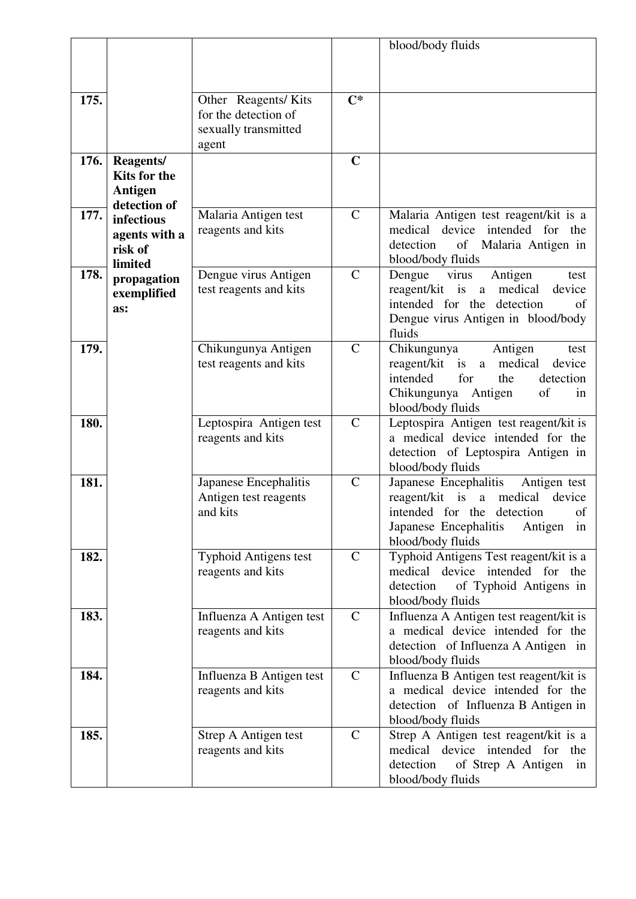|      |                                                             |                                                                              |                | blood/body fluids                                                                                                                                                           |
|------|-------------------------------------------------------------|------------------------------------------------------------------------------|----------------|-----------------------------------------------------------------------------------------------------------------------------------------------------------------------------|
|      |                                                             |                                                                              |                |                                                                                                                                                                             |
|      |                                                             |                                                                              |                |                                                                                                                                                                             |
| 175. |                                                             | Other Reagents/Kits<br>for the detection of<br>sexually transmitted<br>agent | $\mathbf{C}^*$ |                                                                                                                                                                             |
| 176. | Reagents/<br><b>Kits for the</b><br>Antigen<br>detection of |                                                                              | $\mathbf C$    |                                                                                                                                                                             |
| 177. | infectious<br>agents with a<br>risk of<br>limited           | Malaria Antigen test<br>reagents and kits                                    | $\mathsf{C}$   | Malaria Antigen test reagent/kit is a<br>medical device intended for the<br>detection<br>of Malaria Antigen in<br>blood/body fluids                                         |
| 178. | propagation<br>exemplified<br>as:                           | Dengue virus Antigen<br>test reagents and kits                               | $\mathsf{C}$   | virus<br>Antigen<br>Dengue<br>test<br>medical<br>device<br>reagent/kit is a<br>intended for the detection<br>of<br>Dengue virus Antigen in blood/body<br>fluids             |
| 179. |                                                             | Chikungunya Antigen<br>test reagents and kits                                | $\mathsf{C}$   | Chikungunya<br>Antigen<br>test<br>reagent/kit is a<br>medical<br>device<br>intended<br>for<br>detection<br>the<br>Chikungunya Antigen<br>of<br>in<br>blood/body fluids      |
| 180. |                                                             | Leptospira Antigen test<br>reagents and kits                                 | $\mathsf{C}$   | Leptospira Antigen test reagent/kit is<br>a medical device intended for the<br>detection of Leptospira Antigen in<br>blood/body fluids                                      |
| 181. |                                                             | Japanese Encephalitis<br>Antigen test reagents<br>and kits                   | $\mathsf{C}$   | Japanese Encephalitis<br>Antigen test<br>reagent/kit is a medical<br>device<br>intended for the detection<br>of<br>Japanese Encephalitis<br>Antigen in<br>blood/body fluids |
| 182. |                                                             | <b>Typhoid Antigens test</b><br>reagents and kits                            | $\mathsf{C}$   | Typhoid Antigens Test reagent/kit is a<br>medical device intended for the<br>detection<br>of Typhoid Antigens in<br>blood/body fluids                                       |
| 183. |                                                             | Influenza A Antigen test<br>reagents and kits                                | $\mathcal{C}$  | Influenza A Antigen test reagent/kit is<br>a medical device intended for the<br>detection of Influenza A Antigen in<br>blood/body fluids                                    |
| 184. |                                                             | Influenza B Antigen test<br>reagents and kits                                | $\mathsf{C}$   | Influenza B Antigen test reagent/kit is<br>a medical device intended for the<br>detection of Influenza B Antigen in<br>blood/body fluids                                    |
| 185. |                                                             | Strep A Antigen test<br>reagents and kits                                    | $\mathsf{C}$   | Strep A Antigen test reagent/kit is a<br>medical device intended for<br>the<br>detection<br>of Strep A Antigen<br>in<br>blood/body fluids                                   |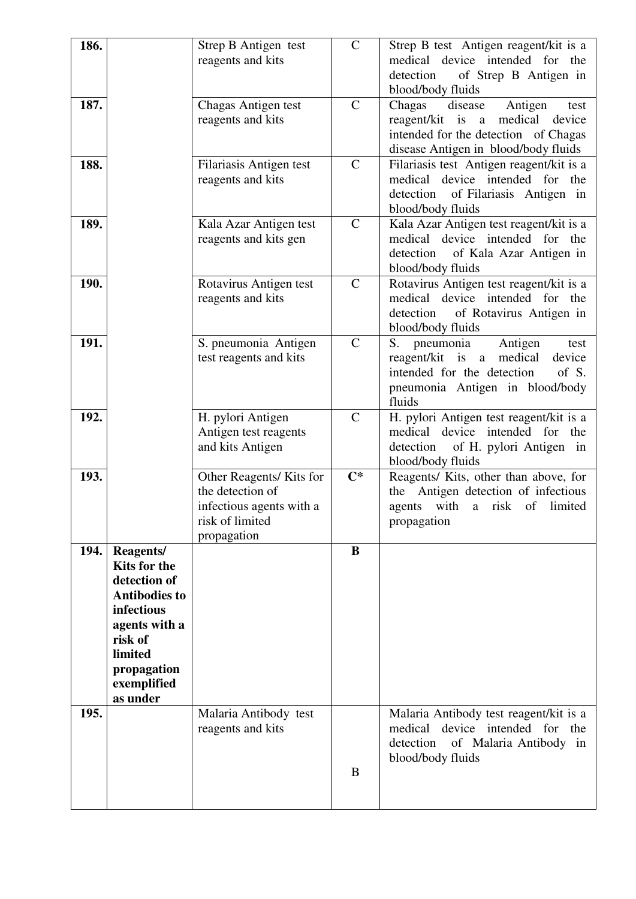| 186. |                                                                                                                                                                         | Strep B Antigen test<br>reagents and kits                                                                  | $\mathsf{C}$   | Strep B test Antigen reagent/kit is a<br>medical device intended for the<br>detection<br>of Strep B Antigen in<br>blood/body fluids                             |
|------|-------------------------------------------------------------------------------------------------------------------------------------------------------------------------|------------------------------------------------------------------------------------------------------------|----------------|-----------------------------------------------------------------------------------------------------------------------------------------------------------------|
| 187. |                                                                                                                                                                         | Chagas Antigen test<br>reagents and kits                                                                   | $\mathsf{C}$   | Antigen<br>Chagas disease<br>test<br>reagent/kit is a<br>medical device<br>intended for the detection of Chagas<br>disease Antigen in blood/body fluids         |
| 188. |                                                                                                                                                                         | Filariasis Antigen test<br>reagents and kits                                                               | $\mathbf C$    | Filariasis test Antigen reagent/kit is a<br>medical device intended for the<br>detection of Filariasis Antigen in<br>blood/body fluids                          |
| 189. |                                                                                                                                                                         | Kala Azar Antigen test<br>reagents and kits gen                                                            | $\mathsf{C}$   | Kala Azar Antigen test reagent/kit is a<br>medical device intended for the<br>of Kala Azar Antigen in<br>detection<br>blood/body fluids                         |
| 190. |                                                                                                                                                                         | Rotavirus Antigen test<br>reagents and kits                                                                | $\mathsf{C}$   | Rotavirus Antigen test reagent/kit is a<br>medical device intended for the<br>of Rotavirus Antigen in<br>detection<br>blood/body fluids                         |
| 191. |                                                                                                                                                                         | S. pneumonia Antigen<br>test reagents and kits                                                             | $\mathsf{C}$   | S.<br>pneumonia<br>Antigen<br>test<br>reagent/kit is a<br>medical<br>device<br>intended for the detection<br>of S.<br>pneumonia Antigen in blood/body<br>fluids |
| 192. |                                                                                                                                                                         | H. pylori Antigen<br>Antigen test reagents<br>and kits Antigen                                             | $\mathcal{C}$  | H. pylori Antigen test reagent/kit is a<br>medical device intended for the<br>of H. pylori Antigen in<br>detection<br>blood/body fluids                         |
| 193. |                                                                                                                                                                         | Other Reagents/ Kits for<br>the detection of<br>infectious agents with a<br>risk of limited<br>propagation | $\mathbf{C}^*$ | Reagents/ Kits, other than above, for<br>the Antigen detection of infectious<br>with a risk of limited<br>agents<br>propagation                                 |
| 194. | Reagents/<br><b>Kits for the</b><br>detection of<br><b>Antibodies to</b><br>infectious<br>agents with a<br>risk of<br>limited<br>propagation<br>exemplified<br>as under |                                                                                                            | $\bf{B}$       |                                                                                                                                                                 |
| 195. |                                                                                                                                                                         | Malaria Antibody test<br>reagents and kits                                                                 | B              | Malaria Antibody test reagent/kit is a<br>medical device intended for the<br>detection<br>of Malaria Antibody in<br>blood/body fluids                           |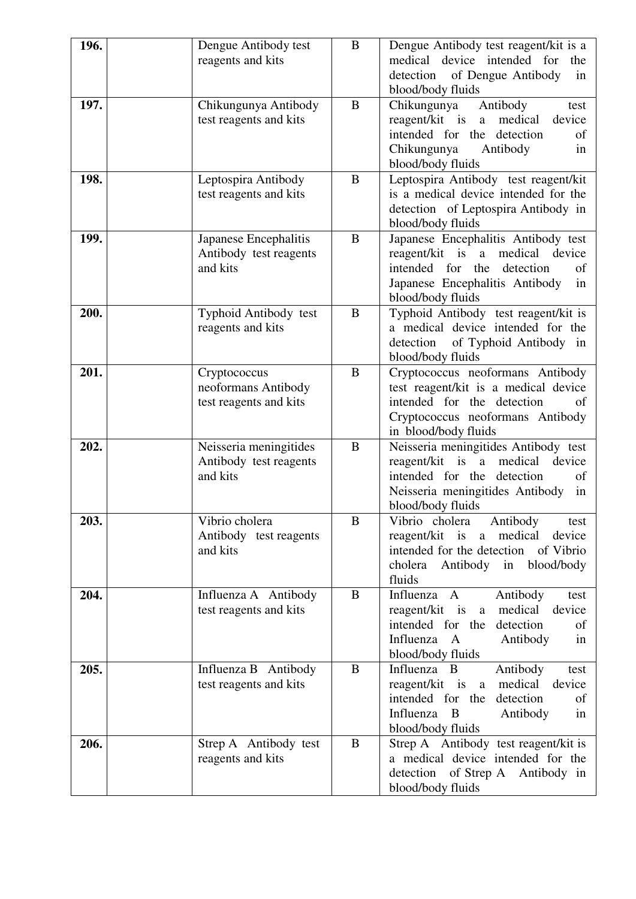| 196. | Dengue Antibody test<br>reagents and kits                     | B        | Dengue Antibody test reagent/kit is a<br>medical device intended for<br>the<br>detection of Dengue Antibody<br>in<br>blood/body fluids                                                 |
|------|---------------------------------------------------------------|----------|----------------------------------------------------------------------------------------------------------------------------------------------------------------------------------------|
| 197. | Chikungunya Antibody<br>test reagents and kits                | B        | Chikungunya<br>Antibody<br>test<br>reagent/kit is<br>a medical<br>device<br>intended for the<br>detection<br>of<br>Chikungunya<br>Antibody<br>in<br>blood/body fluids                  |
| 198. | Leptospira Antibody<br>test reagents and kits                 | $\bf{B}$ | Leptospira Antibody test reagent/kit<br>is a medical device intended for the<br>detection of Leptospira Antibody in<br>blood/body fluids                                               |
| 199. | Japanese Encephalitis<br>Antibody test reagents<br>and kits   | B        | Japanese Encephalitis Antibody test<br>reagent/kit is a medical device<br>intended for the<br>detection<br>of<br>Japanese Encephalitis Antibody<br>in<br>blood/body fluids             |
| 200. | Typhoid Antibody test<br>reagents and kits                    | $\bf{B}$ | Typhoid Antibody test reagent/kit is<br>a medical device intended for the<br>of Typhoid Antibody in<br>detection<br>blood/body fluids                                                  |
| 201. | Cryptococcus<br>neoformans Antibody<br>test reagents and kits | B        | Cryptococcus neoformans Antibody<br>test reagent/kit is a medical device<br>intended for the detection<br>of<br>Cryptococcus neoformans Antibody<br>in blood/body fluids               |
| 202. | Neisseria meningitides<br>Antibody test reagents<br>and kits  | $\bf{B}$ | Neisseria meningitides Antibody test<br>reagent/kit is a<br>medical<br>device<br>intended for the detection<br>of<br>Neisseria meningitides Antibody in<br>blood/body fluids           |
| 203. | Vibrio cholera<br>Antibody test reagents<br>and kits          | $\bf{B}$ | Vibrio cholera<br>Antibody<br>test<br>reagent/kit is<br>a medical<br>device<br>intended for the detection of Vibrio<br>Antibody<br>cholera<br>in blood/body<br>fluids                  |
| 204. | Influenza A Antibody<br>test reagents and kits                | $\bf{B}$ | Influenza A<br>Antibody<br>test<br>reagent/kit is<br>medical<br>device<br>a<br>intended for the<br>detection<br>of<br>Influenza<br>Antibody<br>$\mathbf{A}$<br>in<br>blood/body fluids |
| 205. | Influenza B Antibody<br>test reagents and kits                | B        | Influenza B<br>Antibody<br>test<br>reagent/kit is<br>medical<br>device<br>a<br>intended for the<br>detection<br>of<br>Influenza B<br>Antibody<br>in<br>blood/body fluids               |
| 206. | Strep A Antibody test<br>reagents and kits                    | B        | Strep A Antibody test reagent/kit is<br>a medical device intended for the<br>detection of Strep A Antibody in<br>blood/body fluids                                                     |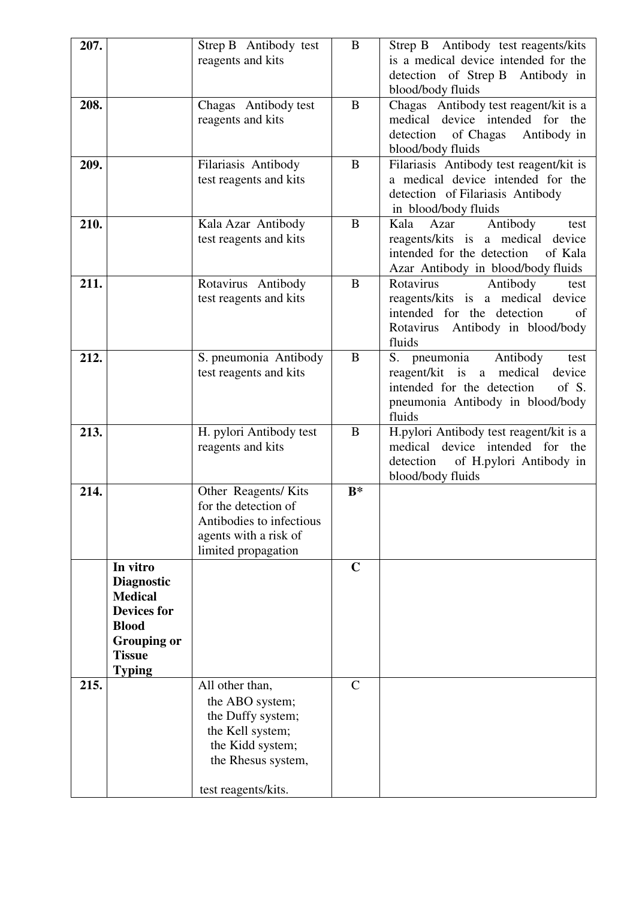| 207. |                                                                                                                                               | Strep B Antibody test<br>reagents and kits                                                                                                   | $\bf{B}$      | Strep B Antibody test reagents/kits<br>is a medical device intended for the<br>detection of Strep B Antibody in<br>blood/body fluids                        |
|------|-----------------------------------------------------------------------------------------------------------------------------------------------|----------------------------------------------------------------------------------------------------------------------------------------------|---------------|-------------------------------------------------------------------------------------------------------------------------------------------------------------|
| 208. |                                                                                                                                               | Chagas Antibody test<br>reagents and kits                                                                                                    | $\bf{B}$      | Chagas Antibody test reagent/kit is a<br>medical device intended for the<br>detection<br>of Chagas<br>Antibody in<br>blood/body fluids                      |
| 209. |                                                                                                                                               | Filariasis Antibody<br>test reagents and kits                                                                                                | $\bf{B}$      | Filariasis Antibody test reagent/kit is<br>a medical device intended for the<br>detection of Filariasis Antibody<br>in blood/body fluids                    |
| 210. |                                                                                                                                               | Kala Azar Antibody<br>test reagents and kits                                                                                                 | $\bf{B}$      | Kala<br>Azar<br>Antibody<br>test<br>reagents/kits is a medical<br>device<br>intended for the detection<br>of Kala<br>Azar Antibody in blood/body fluids     |
| 211. |                                                                                                                                               | Rotavirus Antibody<br>test reagents and kits                                                                                                 | B             | Rotavirus<br>Antibody<br>test<br>reagents/kits is a medical device<br>intended for the detection<br>of<br>Rotavirus Antibody in blood/body<br>fluids        |
| 212. |                                                                                                                                               | S. pneumonia Antibody<br>test reagents and kits                                                                                              | $\bf{B}$      | S. pneumonia<br>Antibody<br>test<br>reagent/kit is a medical<br>device<br>intended for the detection<br>of S.<br>pneumonia Antibody in blood/body<br>fluids |
| 213. |                                                                                                                                               | H. pylori Antibody test<br>reagents and kits                                                                                                 | B             | H.pylori Antibody test reagent/kit is a<br>medical device intended for the<br>detection<br>of H.pylori Antibody in<br>blood/body fluids                     |
| 214. |                                                                                                                                               | Other Reagents/Kits<br>for the detection of<br>Antibodies to infectious<br>agents with a risk of<br>limited propagation                      | $B^*$         |                                                                                                                                                             |
|      | In vitro<br><b>Diagnostic</b><br><b>Medical</b><br><b>Devices for</b><br><b>Blood</b><br><b>Grouping or</b><br><b>Tissue</b><br><b>Typing</b> |                                                                                                                                              | $\mathbf C$   |                                                                                                                                                             |
| 215. |                                                                                                                                               | All other than,<br>the ABO system;<br>the Duffy system;<br>the Kell system;<br>the Kidd system;<br>the Rhesus system,<br>test reagents/kits. | $\mathcal{C}$ |                                                                                                                                                             |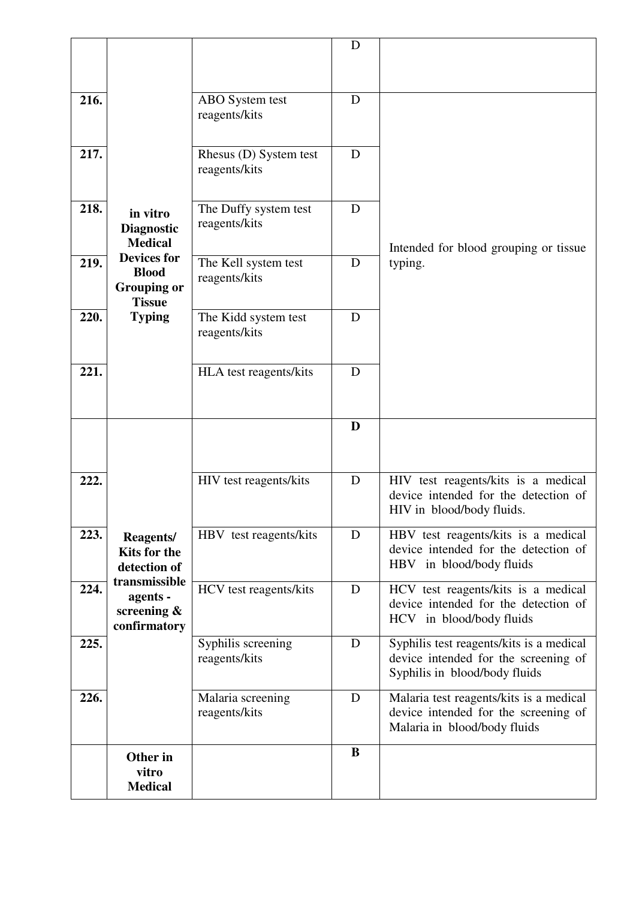|      |                                                                                                                 |                                         | D |                                                                                                                   |
|------|-----------------------------------------------------------------------------------------------------------------|-----------------------------------------|---|-------------------------------------------------------------------------------------------------------------------|
|      |                                                                                                                 |                                         |   |                                                                                                                   |
|      |                                                                                                                 |                                         |   |                                                                                                                   |
| 216. |                                                                                                                 | <b>ABO</b> System test<br>reagents/kits | D |                                                                                                                   |
| 217. |                                                                                                                 | Rhesus (D) System test<br>reagents/kits | D |                                                                                                                   |
| 218. | in vitro<br><b>Diagnostic</b><br><b>Medical</b>                                                                 | The Duffy system test<br>reagents/kits  | D | Intended for blood grouping or tissue                                                                             |
| 219. | <b>Devices for</b><br><b>Blood</b><br><b>Grouping or</b><br><b>Tissue</b>                                       | The Kell system test<br>reagents/kits   | D | typing.                                                                                                           |
| 220. | <b>Typing</b>                                                                                                   | The Kidd system test<br>reagents/kits   | D |                                                                                                                   |
| 221. |                                                                                                                 | HLA test reagents/kits                  | D |                                                                                                                   |
|      |                                                                                                                 |                                         | D |                                                                                                                   |
| 222. | Reagents/<br><b>Kits for the</b><br>detection of<br>transmissible<br>agents -<br>screening $\&$<br>confirmatory | HIV test reagents/kits                  | D | HIV test reagents/kits is a medical<br>device intended for the detection of<br>HIV in blood/body fluids.          |
| 223. |                                                                                                                 | HBV test reagents/kits                  | D | HBV test reagents/kits is a medical<br>device intended for the detection of<br>HBV in blood/body fluids           |
| 224. |                                                                                                                 | HCV test reagents/kits                  | D | HCV test reagents/kits is a medical<br>device intended for the detection of<br>HCV in blood/body fluids           |
| 225. |                                                                                                                 | Syphilis screening<br>reagents/kits     | D | Syphilis test reagents/kits is a medical<br>device intended for the screening of<br>Syphilis in blood/body fluids |
| 226. |                                                                                                                 | Malaria screening<br>reagents/kits      | D | Malaria test reagents/kits is a medical<br>device intended for the screening of<br>Malaria in blood/body fluids   |
|      | Other in<br>vitro<br><b>Medical</b>                                                                             |                                         | B |                                                                                                                   |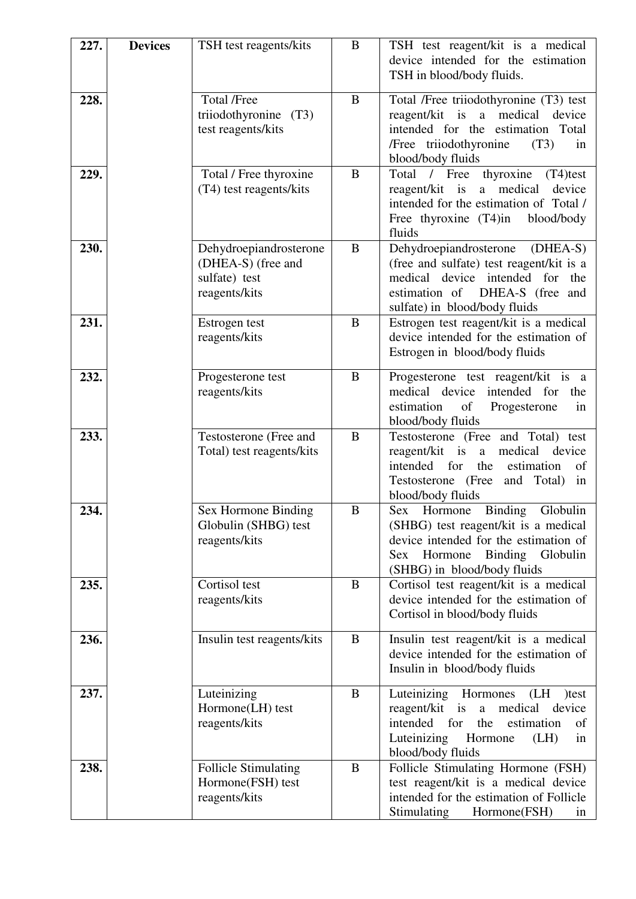| 227. | <b>Devices</b> | TSH test reagents/kits                                                         | B            | TSH test reagent/kit is a medical<br>device intended for the estimation<br>TSH in blood/body fluids.                                                                                               |
|------|----------------|--------------------------------------------------------------------------------|--------------|----------------------------------------------------------------------------------------------------------------------------------------------------------------------------------------------------|
| 228. |                | <b>Total /Free</b><br>triiodothyronine (T3)<br>test reagents/kits              | B            | Total /Free triiodothyronine (T3) test<br>reagent/kit is a medical<br>device<br>intended for the estimation Total<br>/Free triiodothyronine<br>(T3)<br>in<br>blood/body fluids                     |
| 229. |                | Total / Free thyroxine<br>(T4) test reagents/kits                              | $\mathbf{B}$ | thyroxine<br>Total / Free<br>$(T4)$ test<br>reagent/kit is<br>a medical<br>device<br>intended for the estimation of Total /<br>Free thyroxine (T4)in<br>blood/body<br>fluids                       |
| 230. |                | Dehydroepiandrosterone<br>(DHEA-S) (free and<br>sulfate) test<br>reagents/kits | $\, {\bf B}$ | Dehydroepiandrosterone (DHEA-S)<br>(free and sulfate) test reagent/kit is a<br>medical device intended for the<br>estimation of DHEA-S (free and<br>sulfate) in blood/body fluids                  |
| 231. |                | Estrogen test<br>reagents/kits                                                 | B            | Estrogen test reagent/kit is a medical<br>device intended for the estimation of<br>Estrogen in blood/body fluids                                                                                   |
| 232. |                | Progesterone test<br>reagents/kits                                             | $\bf{B}$     | Progesterone test reagent/kit is a<br>medical device<br>intended for<br>the<br>estimation<br>of<br>Progesterone<br>in<br>blood/body fluids                                                         |
| 233. |                | Testosterone (Free and<br>Total) test reagents/kits                            | B            | Testosterone (Free and Total) test<br>reagent/kit is<br>a medical device<br>intended for<br>the<br>estimation<br>of<br>and Total)<br>Testosterone (Free<br>in<br>blood/body fluids                 |
| 234. |                | Sex Hormone Binding<br>Globulin (SHBG) test<br>reagents/kits                   | B            | <b>Binding</b><br>Globulin<br>Sex<br>Hormone<br>(SHBG) test reagent/kit is a medical<br>device intended for the estimation of<br>Binding Globulin<br>Hormone<br>Sex<br>(SHBG) in blood/body fluids |
| 235. |                | Cortisol test<br>reagents/kits                                                 | B            | Cortisol test reagent/kit is a medical<br>device intended for the estimation of<br>Cortisol in blood/body fluids                                                                                   |
| 236. |                | Insulin test reagents/kits                                                     | $\bf{B}$     | Insulin test reagent/kit is a medical<br>device intended for the estimation of<br>Insulin in blood/body fluids                                                                                     |
| 237. |                | Luteinizing<br>Hormone(LH) test<br>reagents/kits                               | $\bf{B}$     | Luteinizing Hormones (LH<br>test<br>reagent/kit is a medical device<br>estimation<br>intended for<br>the<br>of<br>Luteinizing<br>Hormone<br>(LH)<br>in<br>blood/body fluids                        |
| 238. |                | <b>Follicle Stimulating</b><br>Hormone(FSH) test<br>reagents/kits              | B            | Follicle Stimulating Hormone (FSH)<br>test reagent/kit is a medical device<br>intended for the estimation of Follicle<br>Stimulating<br>Hormone(FSH)<br>in                                         |